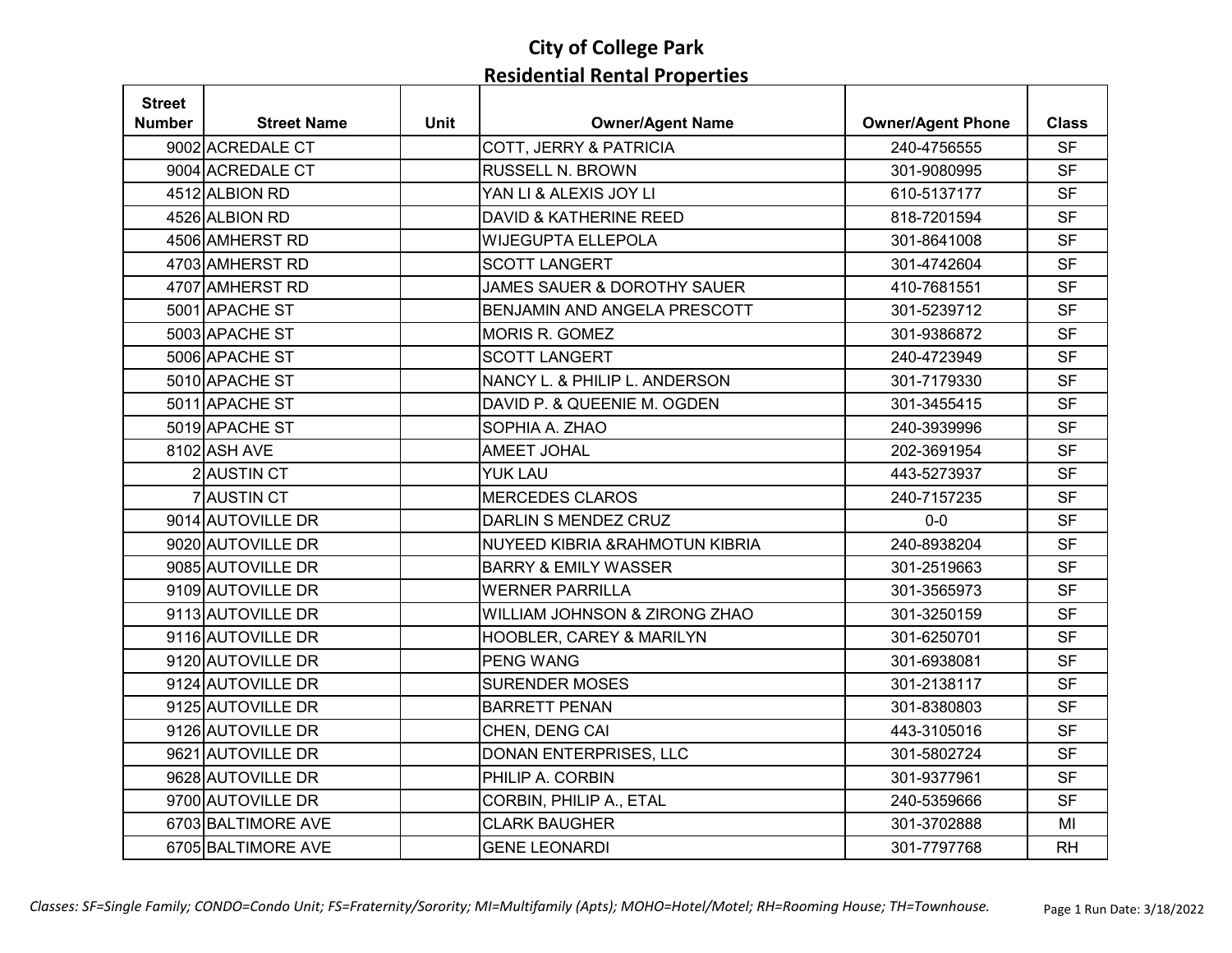| <b>Street</b> |                    |             |                                          |                          |              |
|---------------|--------------------|-------------|------------------------------------------|--------------------------|--------------|
| <b>Number</b> | <b>Street Name</b> | <b>Unit</b> | <b>Owner/Agent Name</b>                  | <b>Owner/Agent Phone</b> | <b>Class</b> |
|               | 9002 ACREDALE CT   |             | COTT, JERRY & PATRICIA                   | 240-4756555              | <b>SF</b>    |
|               | 9004 ACREDALE CT   |             | <b>RUSSELL N. BROWN</b>                  | 301-9080995              | <b>SF</b>    |
|               | 4512 ALBION RD     |             | YAN LI & ALEXIS JOY LI                   | 610-5137177              | <b>SF</b>    |
|               | 4526 ALBION RD     |             | <b>DAVID &amp; KATHERINE REED</b>        | 818-7201594              | <b>SF</b>    |
|               | 4506 AMHERST RD    |             | <b>WIJEGUPTA ELLEPOLA</b>                | 301-8641008              | <b>SF</b>    |
|               | 4703 AMHERST RD    |             | <b>SCOTT LANGERT</b>                     | 301-4742604              | <b>SF</b>    |
|               | 4707 AMHERST RD    |             | <b>JAMES SAUER &amp; DOROTHY SAUER</b>   | 410-7681551              | <b>SF</b>    |
|               | 5001 APACHE ST     |             | BENJAMIN AND ANGELA PRESCOTT             | 301-5239712              | <b>SF</b>    |
|               | 5003 APACHE ST     |             | <b>MORIS R. GOMEZ</b>                    | 301-9386872              | <b>SF</b>    |
|               | 5006 APACHE ST     |             | <b>SCOTT LANGERT</b>                     | 240-4723949              | <b>SF</b>    |
|               | 5010 APACHE ST     |             | NANCY L. & PHILIP L. ANDERSON            | 301-7179330              | <b>SF</b>    |
|               | 5011 APACHE ST     |             | DAVID P. & QUEENIE M. OGDEN              | 301-3455415              | <b>SF</b>    |
|               | 5019 APACHE ST     |             | SOPHIA A. ZHAO                           | 240-3939996              | <b>SF</b>    |
|               | 8102 ASH AVE       |             | <b>AMEET JOHAL</b>                       | 202-3691954              | <b>SF</b>    |
|               | 2 AUSTIN CT        |             | <b>YUK LAU</b>                           | 443-5273937              | <b>SF</b>    |
|               | 7 AUSTIN CT        |             | <b>MERCEDES CLAROS</b>                   | 240-7157235              | <b>SF</b>    |
|               | 9014 AUTOVILLE DR  |             | DARLIN S MENDEZ CRUZ                     | $0-0$                    | <b>SF</b>    |
|               | 9020 AUTOVILLE DR  |             | NUYEED KIBRIA & RAHMOTUN KIBRIA          | 240-8938204              | <b>SF</b>    |
|               | 9085 AUTOVILLE DR  |             | <b>BARRY &amp; EMILY WASSER</b>          | 301-2519663              | <b>SF</b>    |
|               | 9109 AUTOVILLE DR  |             | <b>WERNER PARRILLA</b>                   | 301-3565973              | <b>SF</b>    |
|               | 9113 AUTOVILLE DR  |             | <b>WILLIAM JOHNSON &amp; ZIRONG ZHAO</b> | 301-3250159              | <b>SF</b>    |
|               | 9116 AUTOVILLE DR  |             | HOOBLER, CAREY & MARILYN                 | 301-6250701              | <b>SF</b>    |
|               | 9120 AUTOVILLE DR  |             | <b>PENG WANG</b>                         | 301-6938081              | <b>SF</b>    |
|               | 9124 AUTOVILLE DR  |             | <b>SURENDER MOSES</b>                    | 301-2138117              | <b>SF</b>    |
|               | 9125 AUTOVILLE DR  |             | <b>BARRETT PENAN</b>                     | 301-8380803              | <b>SF</b>    |
|               | 9126 AUTOVILLE DR  |             | CHEN, DENG CAI                           | 443-3105016              | <b>SF</b>    |
|               | 9621 AUTOVILLE DR  |             | DONAN ENTERPRISES, LLC                   | 301-5802724              | <b>SF</b>    |
|               | 9628 AUTOVILLE DR  |             | PHILIP A. CORBIN                         | 301-9377961              | <b>SF</b>    |
|               | 9700 AUTOVILLE DR  |             | CORBIN, PHILIP A., ETAL                  | 240-5359666              | <b>SF</b>    |
|               | 6703 BALTIMORE AVE |             | <b>CLARK BAUGHER</b>                     | 301-3702888              | MI           |
|               | 6705 BALTIMORE AVE |             | <b>GENE LEONARDI</b>                     | 301-7797768              | <b>RH</b>    |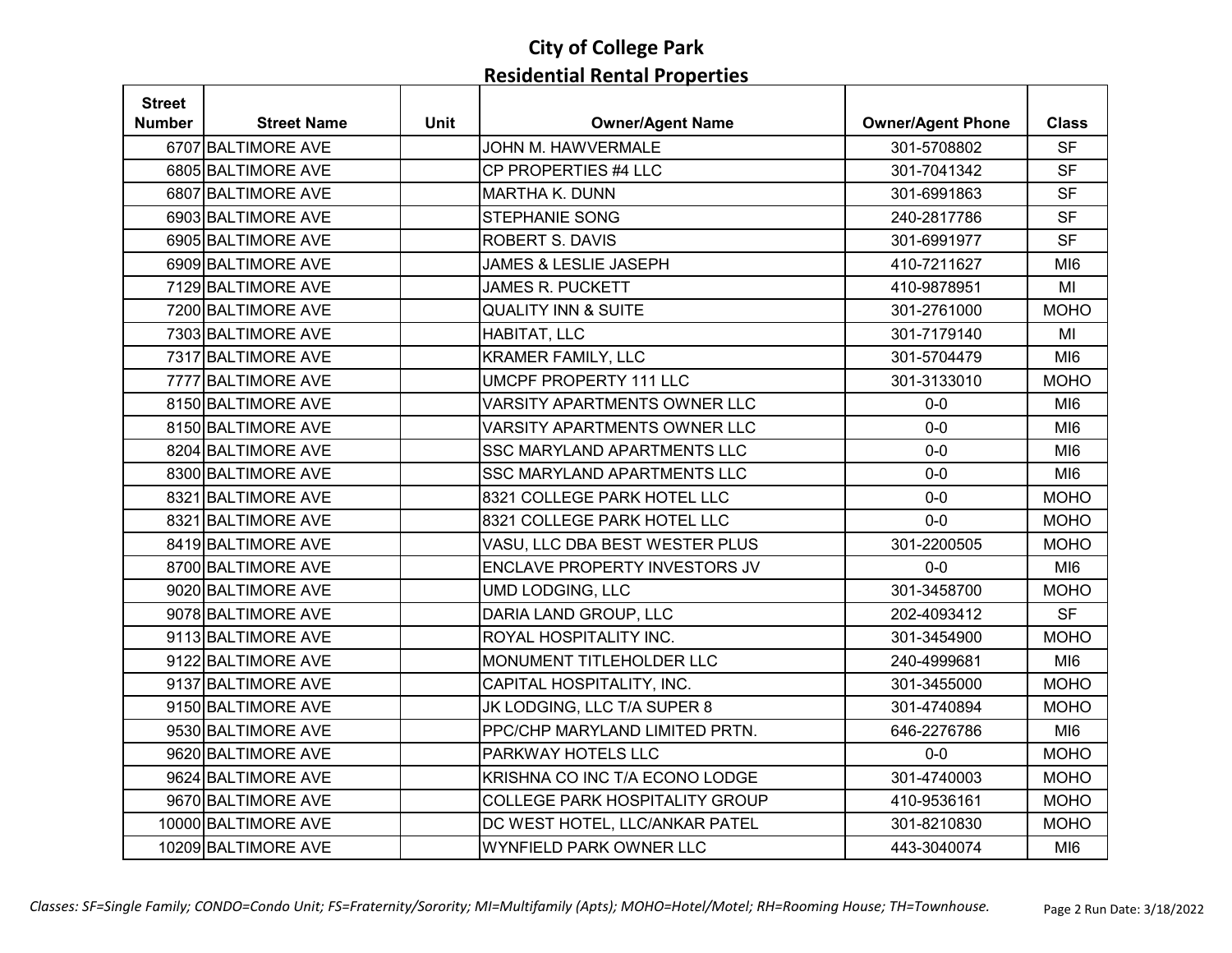| <b>Street</b> |                     |             |                                       |                          |                 |
|---------------|---------------------|-------------|---------------------------------------|--------------------------|-----------------|
| Number        | <b>Street Name</b>  | <b>Unit</b> | <b>Owner/Agent Name</b>               | <b>Owner/Agent Phone</b> | <b>Class</b>    |
|               | 6707 BALTIMORE AVE  |             | <b>JOHN M. HAWVERMALE</b>             | 301-5708802              | <b>SF</b>       |
|               | 6805 BALTIMORE AVE  |             | CP PROPERTIES #4 LLC                  | 301-7041342              | <b>SF</b>       |
|               | 6807 BALTIMORE AVE  |             | <b>MARTHA K. DUNN</b>                 | 301-6991863              | <b>SF</b>       |
|               | 6903 BALTIMORE AVE  |             | STEPHANIE SONG                        | 240-2817786              | <b>SF</b>       |
|               | 6905 BALTIMORE AVE  |             | <b>ROBERT S. DAVIS</b>                | 301-6991977              | <b>SF</b>       |
|               | 6909 BALTIMORE AVE  |             | <b>JAMES &amp; LESLIE JASEPH</b>      | 410-7211627              | MI <sub>6</sub> |
|               | 7129 BALTIMORE AVE  |             | <b>JAMES R. PUCKETT</b>               | 410-9878951              | MI              |
|               | 7200 BALTIMORE AVE  |             | <b>QUALITY INN &amp; SUITE</b>        | 301-2761000              | <b>MOHO</b>     |
|               | 7303 BALTIMORE AVE  |             | HABITAT, LLC                          | 301-7179140              | MI              |
|               | 7317 BALTIMORE AVE  |             | <b>KRAMER FAMILY, LLC</b>             | 301-5704479              | MI <sub>6</sub> |
|               | 7777 BALTIMORE AVE  |             | <b>UMCPF PROPERTY 111 LLC</b>         | 301-3133010              | <b>MOHO</b>     |
|               | 8150 BALTIMORE AVE  |             | VARSITY APARTMENTS OWNER LLC          | $0-0$                    | MI <sub>6</sub> |
|               | 8150 BALTIMORE AVE  |             | <b>VARSITY APARTMENTS OWNER LLC</b>   | $0-0$                    | MI <sub>6</sub> |
|               | 8204 BALTIMORE AVE  |             | <b>SSC MARYLAND APARTMENTS LLC</b>    | $0-0$                    | MI <sub>6</sub> |
|               | 8300 BALTIMORE AVE  |             | <b>SSC MARYLAND APARTMENTS LLC</b>    | $0-0$                    | MI <sub>6</sub> |
|               | 8321 BALTIMORE AVE  |             | 8321 COLLEGE PARK HOTEL LLC           | $0-0$                    | <b>MOHO</b>     |
|               | 8321 BALTIMORE AVE  |             | 8321 COLLEGE PARK HOTEL LLC           | $0-0$                    | <b>MOHO</b>     |
|               | 8419 BALTIMORE AVE  |             | VASU, LLC DBA BEST WESTER PLUS        | 301-2200505              | <b>MOHO</b>     |
|               | 8700 BALTIMORE AVE  |             | ENCLAVE PROPERTY INVESTORS JV         | $0-0$                    | MI6             |
|               | 9020 BALTIMORE AVE  |             | <b>UMD LODGING, LLC</b>               | 301-3458700              | <b>MOHO</b>     |
|               | 9078 BALTIMORE AVE  |             | DARIA LAND GROUP, LLC                 | 202-4093412              | <b>SF</b>       |
|               | 9113 BALTIMORE AVE  |             | ROYAL HOSPITALITY INC.                | 301-3454900              | <b>MOHO</b>     |
|               | 9122 BALTIMORE AVE  |             | MONUMENT TITLEHOLDER LLC              | 240-4999681              | MI <sub>6</sub> |
|               | 9137 BALTIMORE AVE  |             | CAPITAL HOSPITALITY, INC.             | 301-3455000              | <b>MOHO</b>     |
|               | 9150 BALTIMORE AVE  |             | JK LODGING, LLC T/A SUPER 8           | 301-4740894              | <b>MOHO</b>     |
|               | 9530 BALTIMORE AVE  |             | PPC/CHP MARYLAND LIMITED PRTN.        | 646-2276786              | MI <sub>6</sub> |
|               | 9620 BALTIMORE AVE  |             | PARKWAY HOTELS LLC                    | $0-0$                    | <b>MOHO</b>     |
|               | 9624 BALTIMORE AVE  |             | KRISHNA CO INC T/A ECONO LODGE        | 301-4740003              | <b>MOHO</b>     |
|               | 9670 BALTIMORE AVE  |             | <b>COLLEGE PARK HOSPITALITY GROUP</b> | 410-9536161              | <b>MOHO</b>     |
|               | 10000 BALTIMORE AVE |             | DC WEST HOTEL, LLC/ANKAR PATEL        | 301-8210830              | <b>MOHO</b>     |
|               | 10209 BALTIMORE AVE |             | <b>WYNFIELD PARK OWNER LLC</b>        | 443-3040074              | MI <sub>6</sub> |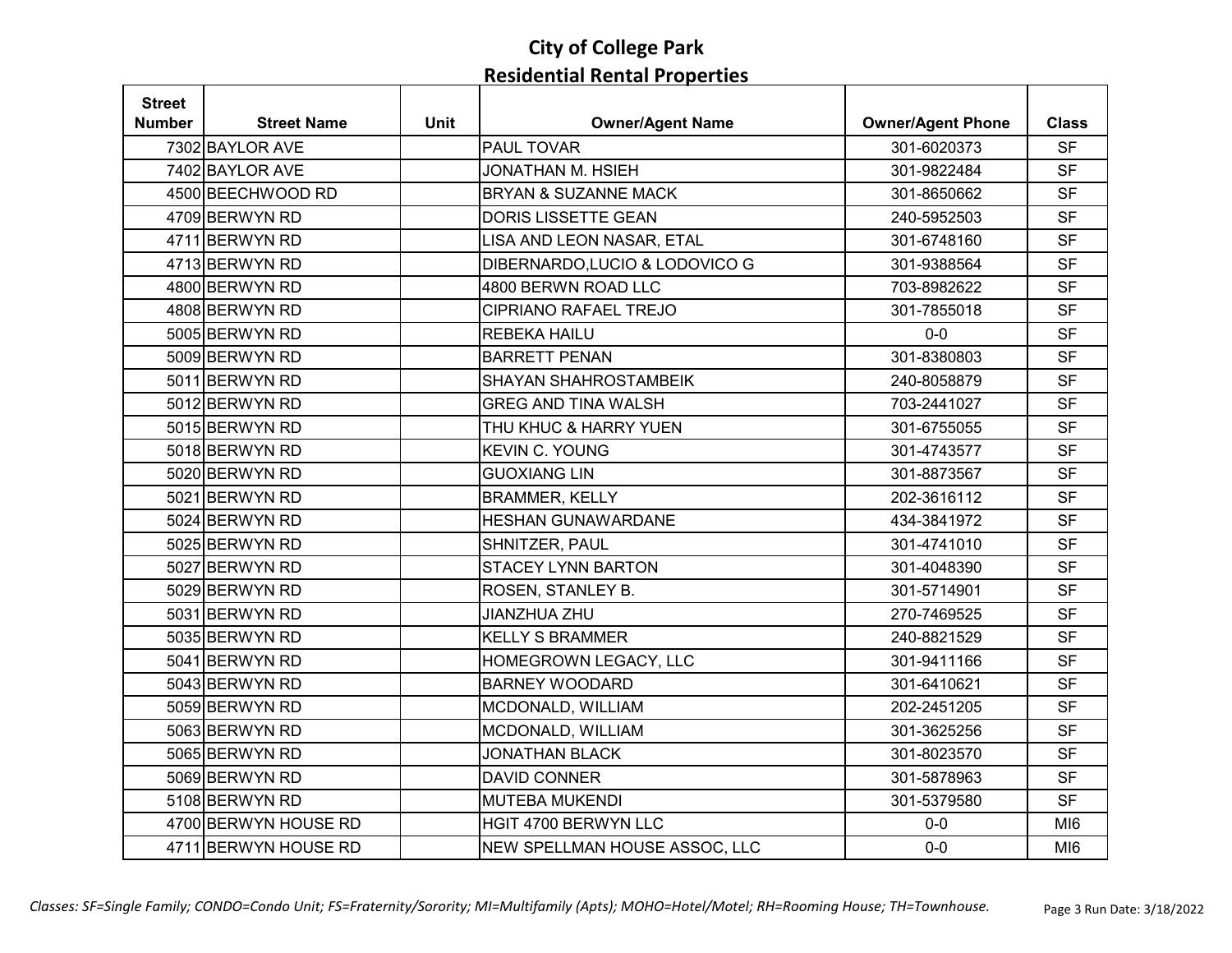| <b>Street</b> |                      |             |                                 |                          |                 |
|---------------|----------------------|-------------|---------------------------------|--------------------------|-----------------|
| Number        | <b>Street Name</b>   | <b>Unit</b> | <b>Owner/Agent Name</b>         | <b>Owner/Agent Phone</b> | <b>Class</b>    |
|               | 7302 BAYLOR AVE      |             | <b>PAUL TOVAR</b>               | 301-6020373              | <b>SF</b>       |
|               | 7402 BAYLOR AVE      |             | <b>JONATHAN M. HSIEH</b>        | 301-9822484              | <b>SF</b>       |
|               | 4500 BEECHWOOD RD    |             | <b>BRYAN &amp; SUZANNE MACK</b> | 301-8650662              | <b>SF</b>       |
|               | 4709 BERWYN RD       |             | DORIS LISSETTE GEAN             | 240-5952503              | <b>SF</b>       |
|               | 4711 BERWYN RD       |             | LISA AND LEON NASAR, ETAL       | 301-6748160              | <b>SF</b>       |
|               | 4713 BERWYN RD       |             | DIBERNARDO, LUCIO & LODOVICO G  | 301-9388564              | <b>SF</b>       |
|               | 4800 BERWYN RD       |             | 4800 BERWN ROAD LLC             | 703-8982622              | <b>SF</b>       |
|               | 4808 BERWYN RD       |             | <b>CIPRIANO RAFAEL TREJO</b>    | 301-7855018              | <b>SF</b>       |
|               | 5005 BERWYN RD       |             | <b>REBEKA HAILU</b>             | $0-0$                    | <b>SF</b>       |
|               | 5009 BERWYN RD       |             | <b>BARRETT PENAN</b>            | 301-8380803              | <b>SF</b>       |
|               | 5011 BERWYN RD       |             | <b>SHAYAN SHAHROSTAMBEIK</b>    | 240-8058879              | <b>SF</b>       |
|               | 5012 BERWYN RD       |             | <b>GREG AND TINA WALSH</b>      | 703-2441027              | <b>SF</b>       |
|               | 5015 BERWYN RD       |             | THU KHUC & HARRY YUEN           | 301-6755055              | <b>SF</b>       |
|               | 5018 BERWYN RD       |             | <b>KEVIN C. YOUNG</b>           | 301-4743577              | <b>SF</b>       |
|               | 5020 BERWYN RD       |             | <b>GUOXIANG LIN</b>             | 301-8873567              | <b>SF</b>       |
|               | 5021 BERWYN RD       |             | <b>BRAMMER, KELLY</b>           | 202-3616112              | <b>SF</b>       |
|               | 5024 BERWYN RD       |             | <b>HESHAN GUNAWARDANE</b>       | 434-3841972              | <b>SF</b>       |
|               | 5025 BERWYN RD       |             | SHNITZER, PAUL                  | 301-4741010              | <b>SF</b>       |
|               | 5027 BERWYN RD       |             | <b>STACEY LYNN BARTON</b>       | 301-4048390              | <b>SF</b>       |
|               | 5029 BERWYN RD       |             | ROSEN, STANLEY B.               | 301-5714901              | <b>SF</b>       |
|               | 5031 BERWYN RD       |             | <b>JIANZHUA ZHU</b>             | 270-7469525              | <b>SF</b>       |
|               | 5035 BERWYN RD       |             | <b>KELLY S BRAMMER</b>          | 240-8821529              | <b>SF</b>       |
|               | 5041 BERWYN RD       |             | HOMEGROWN LEGACY, LLC           | 301-9411166              | <b>SF</b>       |
|               | 5043 BERWYN RD       |             | <b>BARNEY WOODARD</b>           | 301-6410621              | <b>SF</b>       |
|               | 5059 BERWYN RD       |             | MCDONALD, WILLIAM               | 202-2451205              | <b>SF</b>       |
|               | 5063 BERWYN RD       |             | MCDONALD, WILLIAM               | 301-3625256              | <b>SF</b>       |
|               | 5065 BERWYN RD       |             | <b>JONATHAN BLACK</b>           | 301-8023570              | <b>SF</b>       |
|               | 5069 BERWYN RD       |             | <b>DAVID CONNER</b>             | 301-5878963              | <b>SF</b>       |
|               | 5108 BERWYN RD       |             | <b>MUTEBA MUKENDI</b>           | 301-5379580              | <b>SF</b>       |
|               | 4700 BERWYN HOUSE RD |             | HGIT 4700 BERWYN LLC            | $0-0$                    | MI <sub>6</sub> |
|               | 4711 BERWYN HOUSE RD |             | NEW SPELLMAN HOUSE ASSOC, LLC   | $0-0$                    | MI <sub>6</sub> |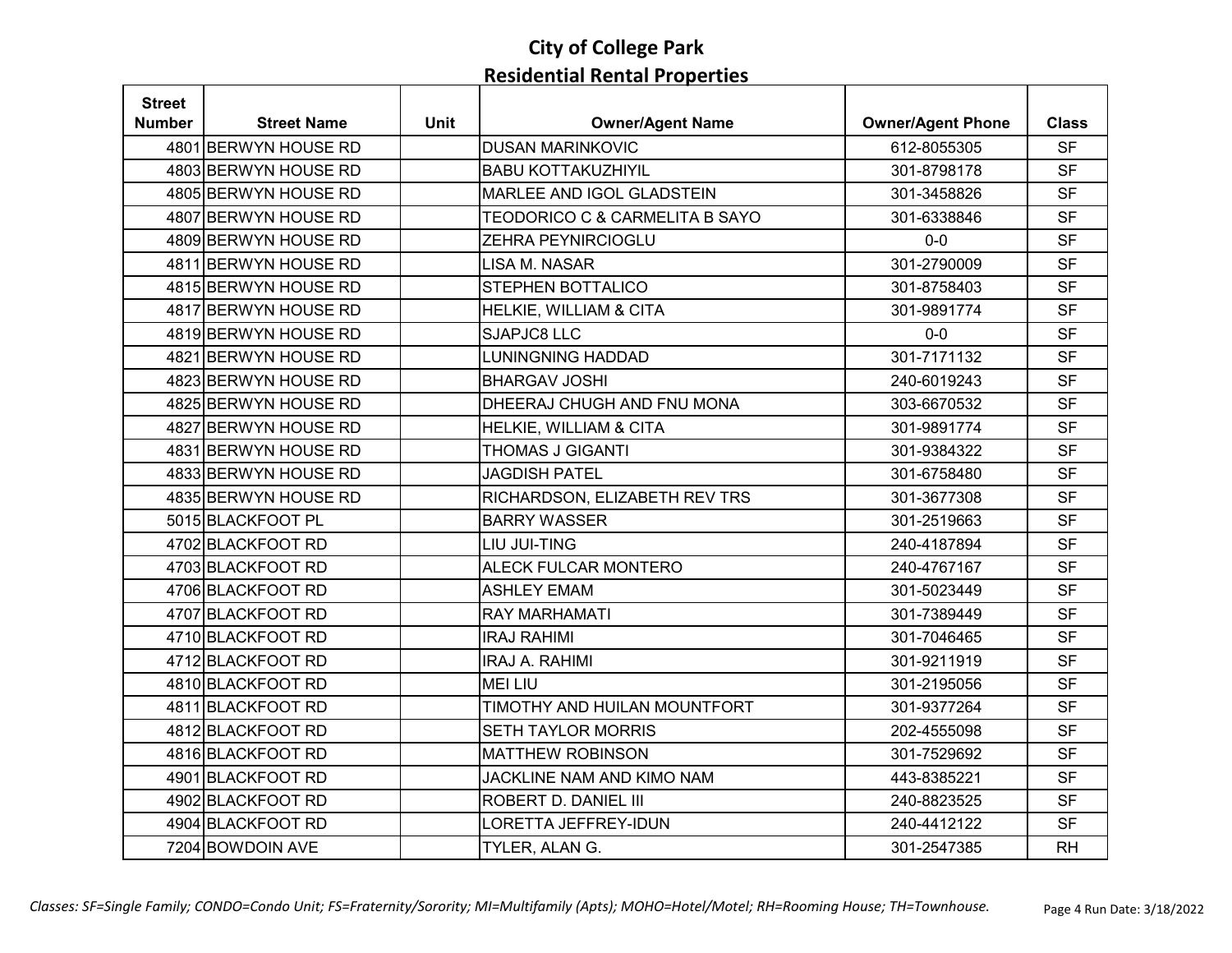| <b>Street</b> |                      |             |                                   |                          |              |
|---------------|----------------------|-------------|-----------------------------------|--------------------------|--------------|
| <b>Number</b> | <b>Street Name</b>   | <b>Unit</b> | <b>Owner/Agent Name</b>           | <b>Owner/Agent Phone</b> | <b>Class</b> |
|               | 4801 BERWYN HOUSE RD |             | <b>DUSAN MARINKOVIC</b>           | 612-8055305              | <b>SF</b>    |
|               | 4803 BERWYN HOUSE RD |             | <b>BABU KOTTAKUZHIYIL</b>         | 301-8798178              | <b>SF</b>    |
|               | 4805 BERWYN HOUSE RD |             | <b>MARLEE AND IGOL GLADSTEIN</b>  | 301-3458826              | <b>SF</b>    |
|               | 4807 BERWYN HOUSE RD |             | TEODORICO C & CARMELITA B SAYO    | 301-6338846              | <b>SF</b>    |
|               | 4809 BERWYN HOUSE RD |             | ZEHRA PEYNIRCIOGLU                | $0-0$                    | <b>SF</b>    |
|               | 4811 BERWYN HOUSE RD |             | <b>LISA M. NASAR</b>              | 301-2790009              | <b>SF</b>    |
|               | 4815 BERWYN HOUSE RD |             | <b>STEPHEN BOTTALICO</b>          | 301-8758403              | <b>SF</b>    |
|               | 4817 BERWYN HOUSE RD |             | HELKIE, WILLIAM & CITA            | 301-9891774              | <b>SF</b>    |
|               | 4819 BERWYN HOUSE RD |             | SJAPJC8 LLC                       | $0-0$                    | <b>SF</b>    |
|               | 4821 BERWYN HOUSE RD |             | <b>LUNINGNING HADDAD</b>          | 301-7171132              | <b>SF</b>    |
|               | 4823 BERWYN HOUSE RD |             | <b>BHARGAV JOSHI</b>              | 240-6019243              | <b>SF</b>    |
|               | 4825 BERWYN HOUSE RD |             | DHEERAJ CHUGH AND FNU MONA        | 303-6670532              | <b>SF</b>    |
|               | 4827 BERWYN HOUSE RD |             | <b>HELKIE, WILLIAM &amp; CITA</b> | 301-9891774              | <b>SF</b>    |
|               | 4831 BERWYN HOUSE RD |             | THOMAS J GIGANTI                  | 301-9384322              | <b>SF</b>    |
|               | 4833 BERWYN HOUSE RD |             | <b>JAGDISH PATEL</b>              | 301-6758480              | <b>SF</b>    |
|               | 4835 BERWYN HOUSE RD |             | RICHARDSON, ELIZABETH REV TRS     | 301-3677308              | <b>SF</b>    |
|               | 5015 BLACKFOOT PL    |             | <b>BARRY WASSER</b>               | 301-2519663              | <b>SF</b>    |
|               | 4702 BLACKFOOT RD    |             | LIU JUI-TING                      | 240-4187894              | <b>SF</b>    |
|               | 4703 BLACKFOOT RD    |             | <b>ALECK FULCAR MONTERO</b>       | 240-4767167              | <b>SF</b>    |
|               | 4706 BLACKFOOT RD    |             | <b>ASHLEY EMAM</b>                | 301-5023449              | <b>SF</b>    |
|               | 4707 BLACKFOOT RD    |             | <b>RAY MARHAMATI</b>              | 301-7389449              | <b>SF</b>    |
|               | 4710 BLACKFOOT RD    |             | <b>IRAJ RAHIMI</b>                | 301-7046465              | <b>SF</b>    |
|               | 4712 BLACKFOOT RD    |             | <b>IRAJ A. RAHIMI</b>             | 301-9211919              | <b>SF</b>    |
|               | 4810 BLACKFOOT RD    |             | <b>MEI LIU</b>                    | 301-2195056              | <b>SF</b>    |
|               | 4811 BLACKFOOT RD    |             | TIMOTHY AND HUILAN MOUNTFORT      | 301-9377264              | <b>SF</b>    |
|               | 4812 BLACKFOOT RD    |             | <b>SETH TAYLOR MORRIS</b>         | 202-4555098              | <b>SF</b>    |
|               | 4816 BLACKFOOT RD    |             | <b>MATTHEW ROBINSON</b>           | 301-7529692              | <b>SF</b>    |
|               | 4901 BLACKFOOT RD    |             | JACKLINE NAM AND KIMO NAM         | 443-8385221              | <b>SF</b>    |
|               | 4902 BLACKFOOT RD    |             | ROBERT D. DANIEL III              | 240-8823525              | <b>SF</b>    |
|               | 4904 BLACKFOOT RD    |             | <b>LORETTA JEFFREY-IDUN</b>       | 240-4412122              | <b>SF</b>    |
|               | 7204 BOWDOIN AVE     |             | TYLER, ALAN G.                    | 301-2547385              | <b>RH</b>    |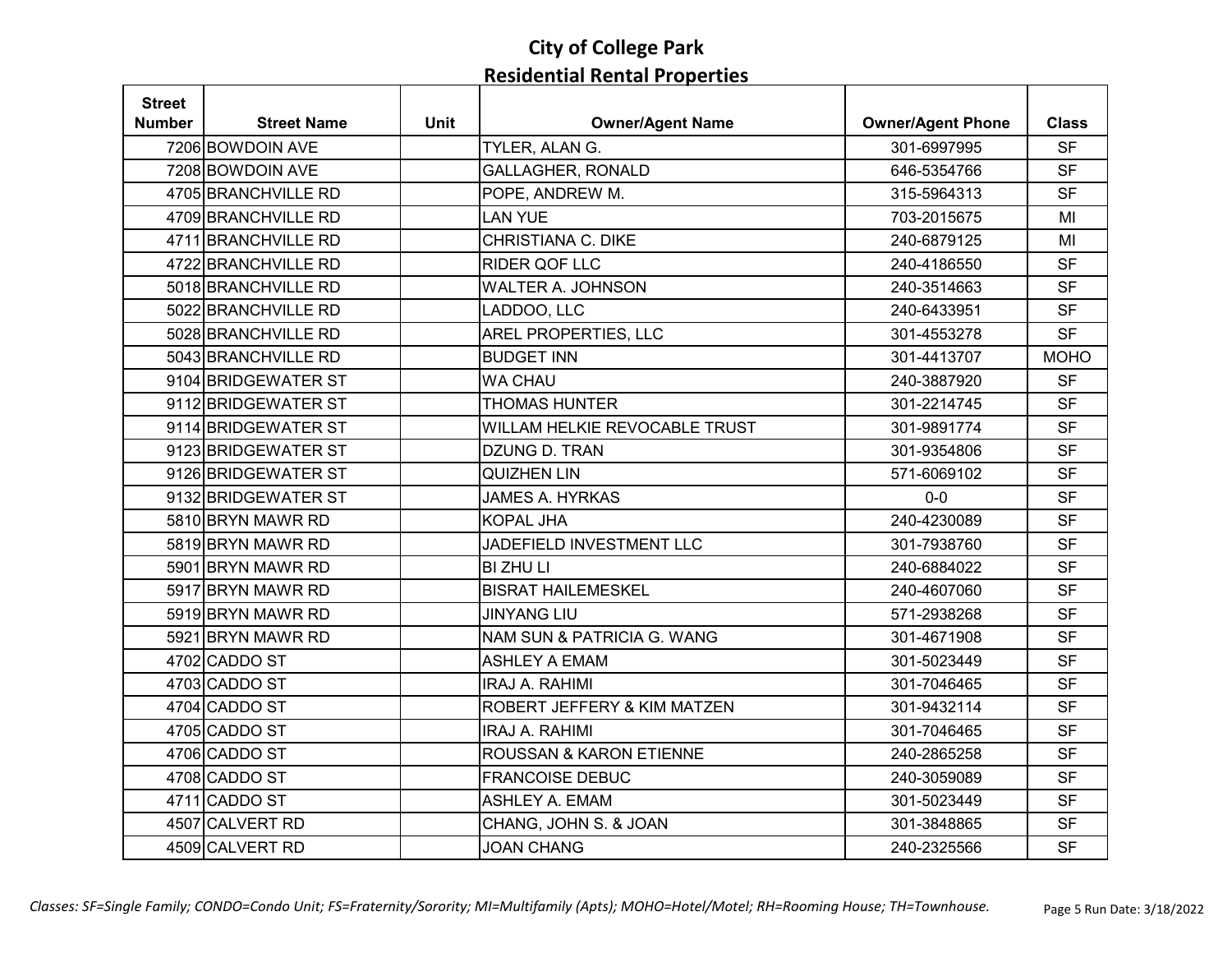| <b>Street</b> |                     |             |                               |                          |              |
|---------------|---------------------|-------------|-------------------------------|--------------------------|--------------|
| <b>Number</b> | <b>Street Name</b>  | <b>Unit</b> | <b>Owner/Agent Name</b>       | <b>Owner/Agent Phone</b> | <b>Class</b> |
|               | 7206 BOWDOIN AVE    |             | TYLER, ALAN G.                | 301-6997995              | <b>SF</b>    |
|               | 7208 BOWDOIN AVE    |             | <b>GALLAGHER, RONALD</b>      | 646-5354766              | <b>SF</b>    |
|               | 4705 BRANCHVILLE RD |             | POPE, ANDREW M.               | 315-5964313              | <b>SF</b>    |
|               | 4709 BRANCHVILLE RD |             | <b>LAN YUE</b>                | 703-2015675              | MI           |
|               | 4711 BRANCHVILLE RD |             | <b>CHRISTIANA C. DIKE</b>     | 240-6879125              | MI           |
|               | 4722 BRANCHVILLE RD |             | <b>RIDER QOF LLC</b>          | 240-4186550              | <b>SF</b>    |
|               | 5018 BRANCHVILLE RD |             | <b>WALTER A. JOHNSON</b>      | 240-3514663              | <b>SF</b>    |
|               | 5022 BRANCHVILLE RD |             | LADDOO, LLC                   | 240-6433951              | <b>SF</b>    |
|               | 5028 BRANCHVILLE RD |             | <b>AREL PROPERTIES, LLC</b>   | 301-4553278              | <b>SF</b>    |
|               | 5043 BRANCHVILLE RD |             | <b>BUDGET INN</b>             | 301-4413707              | <b>MOHO</b>  |
|               | 9104 BRIDGEWATER ST |             | <b>WA CHAU</b>                | 240-3887920              | <b>SF</b>    |
|               | 9112 BRIDGEWATER ST |             | <b>THOMAS HUNTER</b>          | 301-2214745              | <b>SF</b>    |
|               | 9114 BRIDGEWATER ST |             | WILLAM HELKIE REVOCABLE TRUST | 301-9891774              | <b>SF</b>    |
|               | 9123 BRIDGEWATER ST |             | DZUNG D. TRAN                 | 301-9354806              | <b>SF</b>    |
|               | 9126 BRIDGEWATER ST |             | <b>QUIZHEN LIN</b>            | 571-6069102              | <b>SF</b>    |
|               | 9132 BRIDGEWATER ST |             | <b>JAMES A. HYRKAS</b>        | $0-0$                    | <b>SF</b>    |
|               | 5810 BRYN MAWR RD   |             | <b>KOPAL JHA</b>              | 240-4230089              | <b>SF</b>    |
|               | 5819 BRYN MAWR RD   |             | JADEFIELD INVESTMENT LLC      | 301-7938760              | <b>SF</b>    |
|               | 5901 BRYN MAWR RD   |             | <b>BI ZHU LI</b>              | 240-6884022              | <b>SF</b>    |
|               | 5917 BRYN MAWR RD   |             | <b>BISRAT HAILEMESKEL</b>     | 240-4607060              | <b>SF</b>    |
|               | 5919 BRYN MAWR RD   |             | <b>JINYANG LIU</b>            | 571-2938268              | <b>SF</b>    |
|               | 5921 BRYN MAWR RD   |             | NAM SUN & PATRICIA G. WANG    | 301-4671908              | <b>SF</b>    |
|               | 4702 CADDO ST       |             | <b>ASHLEY A EMAM</b>          | 301-5023449              | <b>SF</b>    |
|               | 4703 CADDO ST       |             | <b>IRAJ A. RAHIMI</b>         | 301-7046465              | <b>SF</b>    |
|               | 4704 CADDO ST       |             | ROBERT JEFFERY & KIM MATZEN   | 301-9432114              | <b>SF</b>    |
|               | 4705 CADDO ST       |             | <b>IRAJ A. RAHIMI</b>         | 301-7046465              | <b>SF</b>    |
|               | 4706 CADDO ST       |             | ROUSSAN & KARON ETIENNE       | 240-2865258              | <b>SF</b>    |
|               | 4708 CADDO ST       |             | <b>FRANCOISE DEBUC</b>        | 240-3059089              | <b>SF</b>    |
|               | 4711 CADDO ST       |             | <b>ASHLEY A. EMAM</b>         | 301-5023449              | <b>SF</b>    |
|               | 4507 CALVERT RD     |             | CHANG, JOHN S. & JOAN         | 301-3848865              | <b>SF</b>    |
|               | 4509 CALVERT RD     |             | <b>JOAN CHANG</b>             | 240-2325566              | <b>SF</b>    |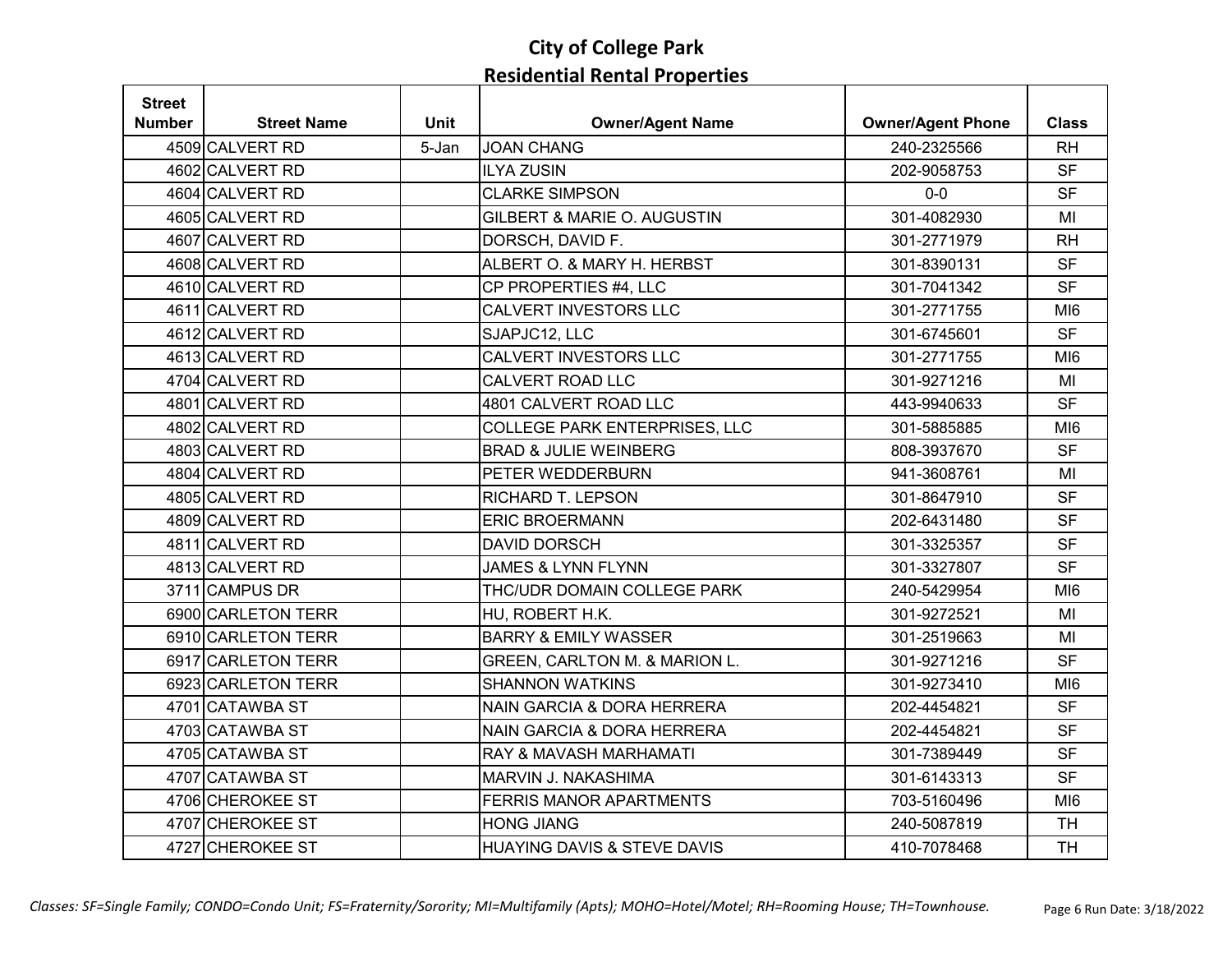| <b>Street</b> |                    |             |                                        |                          |                 |
|---------------|--------------------|-------------|----------------------------------------|--------------------------|-----------------|
| <b>Number</b> | <b>Street Name</b> | <b>Unit</b> | <b>Owner/Agent Name</b>                | <b>Owner/Agent Phone</b> | <b>Class</b>    |
|               | 4509 CALVERT RD    | 5-Jan       | <b>JOAN CHANG</b>                      | 240-2325566              | <b>RH</b>       |
|               | 4602 CALVERT RD    |             | <b>ILYA ZUSIN</b>                      | 202-9058753              | <b>SF</b>       |
|               | 4604 CALVERT RD    |             | <b>CLARKE SIMPSON</b>                  | $0-0$                    | <b>SF</b>       |
|               | 4605 CALVERT RD    |             | GILBERT & MARIE O. AUGUSTIN            | 301-4082930              | MI              |
|               | 4607 CALVERT RD    |             | DORSCH, DAVID F.                       | 301-2771979              | <b>RH</b>       |
|               | 4608 CALVERT RD    |             | ALBERT O. & MARY H. HERBST             | 301-8390131              | <b>SF</b>       |
|               | 4610 CALVERT RD    |             | CP PROPERTIES #4, LLC                  | 301-7041342              | <b>SF</b>       |
|               | 4611 CALVERT RD    |             | CALVERT INVESTORS LLC                  | 301-2771755              | MI <sub>6</sub> |
|               | 4612 CALVERT RD    |             | SJAPJC12, LLC                          | 301-6745601              | <b>SF</b>       |
|               | 4613 CALVERT RD    |             | CALVERT INVESTORS LLC                  | 301-2771755              | M <sub>16</sub> |
|               | 4704 CALVERT RD    |             | CALVERT ROAD LLC                       | 301-9271216              | MI              |
|               | 4801 CALVERT RD    |             | 4801 CALVERT ROAD LLC                  | 443-9940633              | <b>SF</b>       |
|               | 4802 CALVERT RD    |             | <b>COLLEGE PARK ENTERPRISES, LLC</b>   | 301-5885885              | MI <sub>6</sub> |
|               | 4803 CALVERT RD    |             | <b>BRAD &amp; JULIE WEINBERG</b>       | 808-3937670              | <b>SF</b>       |
|               | 4804 CALVERT RD    |             | PETER WEDDERBURN                       | 941-3608761              | MI              |
|               | 4805 CALVERT RD    |             | RICHARD T. LEPSON                      | 301-8647910              | <b>SF</b>       |
|               | 4809 CALVERT RD    |             | <b>ERIC BROERMANN</b>                  | 202-6431480              | <b>SF</b>       |
|               | 4811 CALVERT RD    |             | <b>DAVID DORSCH</b>                    | 301-3325357              | <b>SF</b>       |
|               | 4813 CALVERT RD    |             | <b>JAMES &amp; LYNN FLYNN</b>          | 301-3327807              | <b>SF</b>       |
|               | 3711 CAMPUS DR     |             | THC/UDR DOMAIN COLLEGE PARK            | 240-5429954              | M <sub>16</sub> |
|               | 6900 CARLETON TERR |             | HU, ROBERT H.K.                        | 301-9272521              | MI              |
|               | 6910 CARLETON TERR |             | <b>BARRY &amp; EMILY WASSER</b>        | 301-2519663              | MI              |
|               | 6917 CARLETON TERR |             | GREEN, CARLTON M. & MARION L.          | 301-9271216              | <b>SF</b>       |
|               | 6923 CARLETON TERR |             | <b>SHANNON WATKINS</b>                 | 301-9273410              | MI <sub>6</sub> |
|               | 4701 CATAWBA ST    |             | <b>NAIN GARCIA &amp; DORA HERRERA</b>  | 202-4454821              | <b>SF</b>       |
|               | 4703 CATAWBA ST    |             | <b>NAIN GARCIA &amp; DORA HERRERA</b>  | 202-4454821              | <b>SF</b>       |
|               | 4705 CATAWBA ST    |             | RAY & MAVASH MARHAMATI                 | 301-7389449              | <b>SF</b>       |
|               | 4707 CATAWBA ST    |             | MARVIN J. NAKASHIMA                    | 301-6143313              | <b>SF</b>       |
|               | 4706 CHEROKEE ST   |             | FERRIS MANOR APARTMENTS                | 703-5160496              | MI <sub>6</sub> |
|               | 4707 CHEROKEE ST   |             | <b>HONG JIANG</b>                      | 240-5087819              | <b>TH</b>       |
|               | 4727 CHEROKEE ST   |             | <b>HUAYING DAVIS &amp; STEVE DAVIS</b> | 410-7078468              | <b>TH</b>       |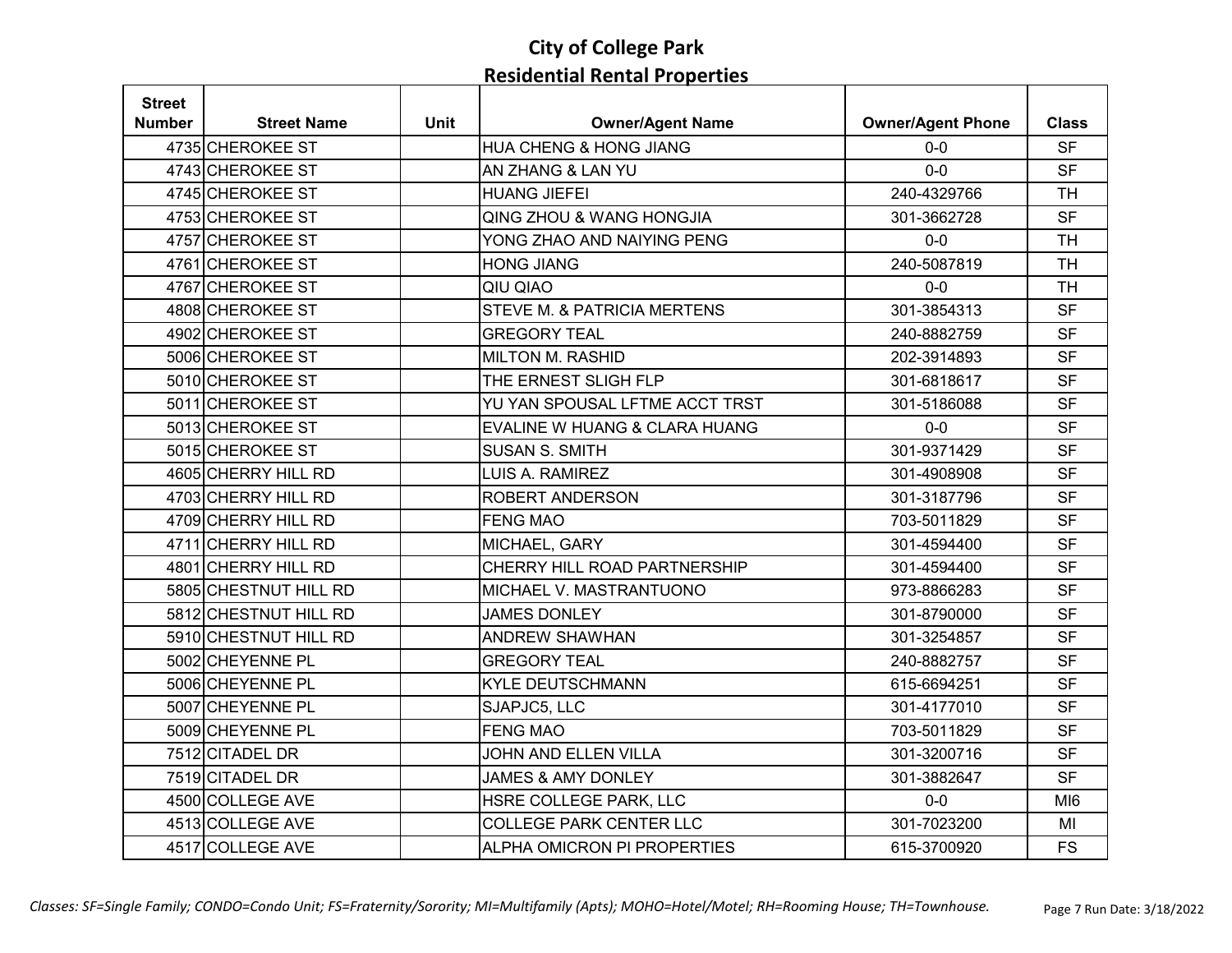| <b>Street</b> |                       |             |                                        |                          |                 |
|---------------|-----------------------|-------------|----------------------------------------|--------------------------|-----------------|
| Number        | <b>Street Name</b>    | <b>Unit</b> | <b>Owner/Agent Name</b>                | <b>Owner/Agent Phone</b> | <b>Class</b>    |
|               | 4735 CHEROKEE ST      |             | HUA CHENG & HONG JIANG                 | $0-0$                    | <b>SF</b>       |
|               | 4743 CHEROKEE ST      |             | AN ZHANG & LAN YU                      | $0-0$                    | <b>SF</b>       |
|               | 4745 CHEROKEE ST      |             | <b>HUANG JIEFEI</b>                    | 240-4329766              | <b>TH</b>       |
|               | 4753 CHEROKEE ST      |             | <b>QING ZHOU &amp; WANG HONGJIA</b>    | 301-3662728              | <b>SF</b>       |
|               | 4757 CHEROKEE ST      |             | YONG ZHAO AND NAIYING PENG             | $0-0$                    | <b>TH</b>       |
|               | 4761 CHEROKEE ST      |             | <b>HONG JIANG</b>                      | 240-5087819              | <b>TH</b>       |
|               | 4767 CHEROKEE ST      |             | QIU QIAO                               | $0-0$                    | <b>TH</b>       |
|               | 4808 CHEROKEE ST      |             | <b>STEVE M. &amp; PATRICIA MERTENS</b> | 301-3854313              | <b>SF</b>       |
|               | 4902 CHEROKEE ST      |             | <b>GREGORY TEAL</b>                    | 240-8882759              | <b>SF</b>       |
|               | 5006 CHEROKEE ST      |             | <b>MILTON M. RASHID</b>                | 202-3914893              | <b>SF</b>       |
|               | 5010 CHEROKEE ST      |             | THE ERNEST SLIGH FLP                   | 301-6818617              | <b>SF</b>       |
|               | 5011 CHEROKEE ST      |             | YU YAN SPOUSAL LFTME ACCT TRST         | 301-5186088              | <b>SF</b>       |
|               | 5013 CHEROKEE ST      |             | EVALINE W HUANG & CLARA HUANG          | $0-0$                    | <b>SF</b>       |
|               | 5015 CHEROKEE ST      |             | <b>SUSAN S. SMITH</b>                  | 301-9371429              | <b>SF</b>       |
|               | 4605 CHERRY HILL RD   |             | LUIS A. RAMIREZ                        | 301-4908908              | <b>SF</b>       |
|               | 4703 CHERRY HILL RD   |             | ROBERT ANDERSON                        | 301-3187796              | <b>SF</b>       |
|               | 4709 CHERRY HILL RD   |             | <b>FENG MAO</b>                        | 703-5011829              | <b>SF</b>       |
|               | 4711 CHERRY HILL RD   |             | MICHAEL, GARY                          | 301-4594400              | <b>SF</b>       |
|               | 4801 CHERRY HILL RD   |             | CHERRY HILL ROAD PARTNERSHIP           | 301-4594400              | <b>SF</b>       |
|               | 5805 CHESTNUT HILL RD |             | MICHAEL V. MASTRANTUONO                | 973-8866283              | <b>SF</b>       |
|               | 5812 CHESTNUT HILL RD |             | <b>JAMES DONLEY</b>                    | 301-8790000              | <b>SF</b>       |
|               | 5910 CHESTNUT HILL RD |             | <b>ANDREW SHAWHAN</b>                  | 301-3254857              | <b>SF</b>       |
|               | 5002 CHEYENNE PL      |             | <b>GREGORY TEAL</b>                    | 240-8882757              | <b>SF</b>       |
|               | 5006 CHEYENNE PL      |             | <b>KYLE DEUTSCHMANN</b>                | 615-6694251              | <b>SF</b>       |
|               | 5007 CHEYENNE PL      |             | SJAPJC5, LLC                           | 301-4177010              | <b>SF</b>       |
|               | 5009 CHEYENNE PL      |             | <b>FENG MAO</b>                        | 703-5011829              | <b>SF</b>       |
|               | 7512 CITADEL DR       |             | JOHN AND ELLEN VILLA                   | 301-3200716              | <b>SF</b>       |
|               | 7519 CITADEL DR       |             | <b>JAMES &amp; AMY DONLEY</b>          | 301-3882647              | <b>SF</b>       |
|               | 4500 COLLEGE AVE      |             | HSRE COLLEGE PARK, LLC                 | $0-0$                    | MI <sub>6</sub> |
|               | 4513 COLLEGE AVE      |             | <b>COLLEGE PARK CENTER LLC</b>         | 301-7023200              | MI              |
|               | 4517 COLLEGE AVE      |             | ALPHA OMICRON PI PROPERTIES            | 615-3700920              | <b>FS</b>       |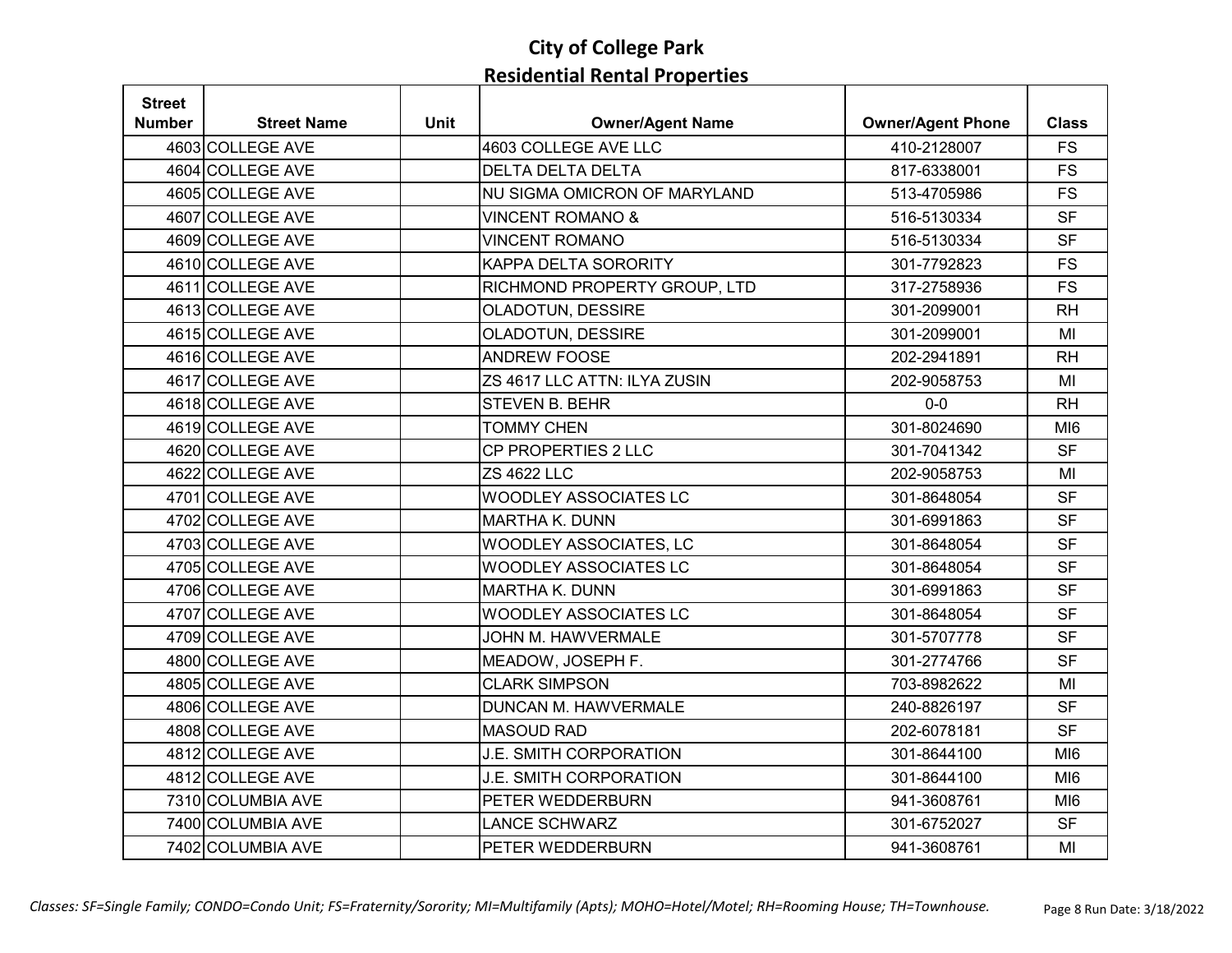| <b>Street</b> |                    |      |                              |                          |                 |
|---------------|--------------------|------|------------------------------|--------------------------|-----------------|
| Number        | <b>Street Name</b> | Unit | <b>Owner/Agent Name</b>      | <b>Owner/Agent Phone</b> | <b>Class</b>    |
|               | 4603 COLLEGE AVE   |      | 4603 COLLEGE AVE LLC         | 410-2128007              | <b>FS</b>       |
|               | 4604 COLLEGE AVE   |      | <b>DELTA DELTA DELTA</b>     | 817-6338001              | <b>FS</b>       |
|               | 4605 COLLEGE AVE   |      | NU SIGMA OMICRON OF MARYLAND | 513-4705986              | <b>FS</b>       |
|               | 4607 COLLEGE AVE   |      | <b>VINCENT ROMANO &amp;</b>  | 516-5130334              | <b>SF</b>       |
|               | 4609 COLLEGE AVE   |      | <b>VINCENT ROMANO</b>        | 516-5130334              | <b>SF</b>       |
|               | 4610 COLLEGE AVE   |      | KAPPA DELTA SORORITY         | 301-7792823              | <b>FS</b>       |
|               | 4611 COLLEGE AVE   |      | RICHMOND PROPERTY GROUP, LTD | 317-2758936              | <b>FS</b>       |
|               | 4613 COLLEGE AVE   |      | OLADOTUN, DESSIRE            | 301-2099001              | <b>RH</b>       |
|               | 4615 COLLEGE AVE   |      | OLADOTUN, DESSIRE            | 301-2099001              | MI              |
|               | 4616 COLLEGE AVE   |      | <b>ANDREW FOOSE</b>          | 202-2941891              | <b>RH</b>       |
|               | 4617 COLLEGE AVE   |      | ZS 4617 LLC ATTN: ILYA ZUSIN | 202-9058753              | MI              |
|               | 4618 COLLEGE AVE   |      | <b>STEVEN B. BEHR</b>        | $0 - 0$                  | <b>RH</b>       |
|               | 4619 COLLEGE AVE   |      | <b>TOMMY CHEN</b>            | 301-8024690              | MI <sub>6</sub> |
|               | 4620 COLLEGE AVE   |      | CP PROPERTIES 2 LLC          | 301-7041342              | <b>SF</b>       |
|               | 4622 COLLEGE AVE   |      | <b>ZS 4622 LLC</b>           | 202-9058753              | MI              |
|               | 4701 COLLEGE AVE   |      | <b>WOODLEY ASSOCIATES LC</b> | 301-8648054              | <b>SF</b>       |
|               | 4702 COLLEGE AVE   |      | <b>MARTHA K. DUNN</b>        | 301-6991863              | <b>SF</b>       |
|               | 4703 COLLEGE AVE   |      | WOODLEY ASSOCIATES, LC       | 301-8648054              | <b>SF</b>       |
|               | 4705 COLLEGE AVE   |      | <b>WOODLEY ASSOCIATES LC</b> | 301-8648054              | <b>SF</b>       |
|               | 4706 COLLEGE AVE   |      | <b>MARTHA K. DUNN</b>        | 301-6991863              | <b>SF</b>       |
|               | 4707 COLLEGE AVE   |      | <b>WOODLEY ASSOCIATES LC</b> | 301-8648054              | <b>SF</b>       |
|               | 4709 COLLEGE AVE   |      | JOHN M. HAWVERMALE           | 301-5707778              | <b>SF</b>       |
|               | 4800 COLLEGE AVE   |      | MEADOW, JOSEPH F.            | 301-2774766              | <b>SF</b>       |
|               | 4805 COLLEGE AVE   |      | <b>CLARK SIMPSON</b>         | 703-8982622              | MI              |
|               | 4806 COLLEGE AVE   |      | <b>DUNCAN M. HAWVERMALE</b>  | 240-8826197              | <b>SF</b>       |
|               | 4808 COLLEGE AVE   |      | <b>MASOUD RAD</b>            | 202-6078181              | <b>SF</b>       |
|               | 4812 COLLEGE AVE   |      | J.E. SMITH CORPORATION       | 301-8644100              | MI <sub>6</sub> |
|               | 4812 COLLEGE AVE   |      | J.E. SMITH CORPORATION       | 301-8644100              | MI <sub>6</sub> |
|               | 7310 COLUMBIA AVE  |      | PETER WEDDERBURN             | 941-3608761              | MI <sub>6</sub> |
|               | 7400 COLUMBIA AVE  |      | <b>LANCE SCHWARZ</b>         | 301-6752027              | <b>SF</b>       |
|               | 7402 COLUMBIA AVE  |      | PETER WEDDERBURN             | 941-3608761              | MI              |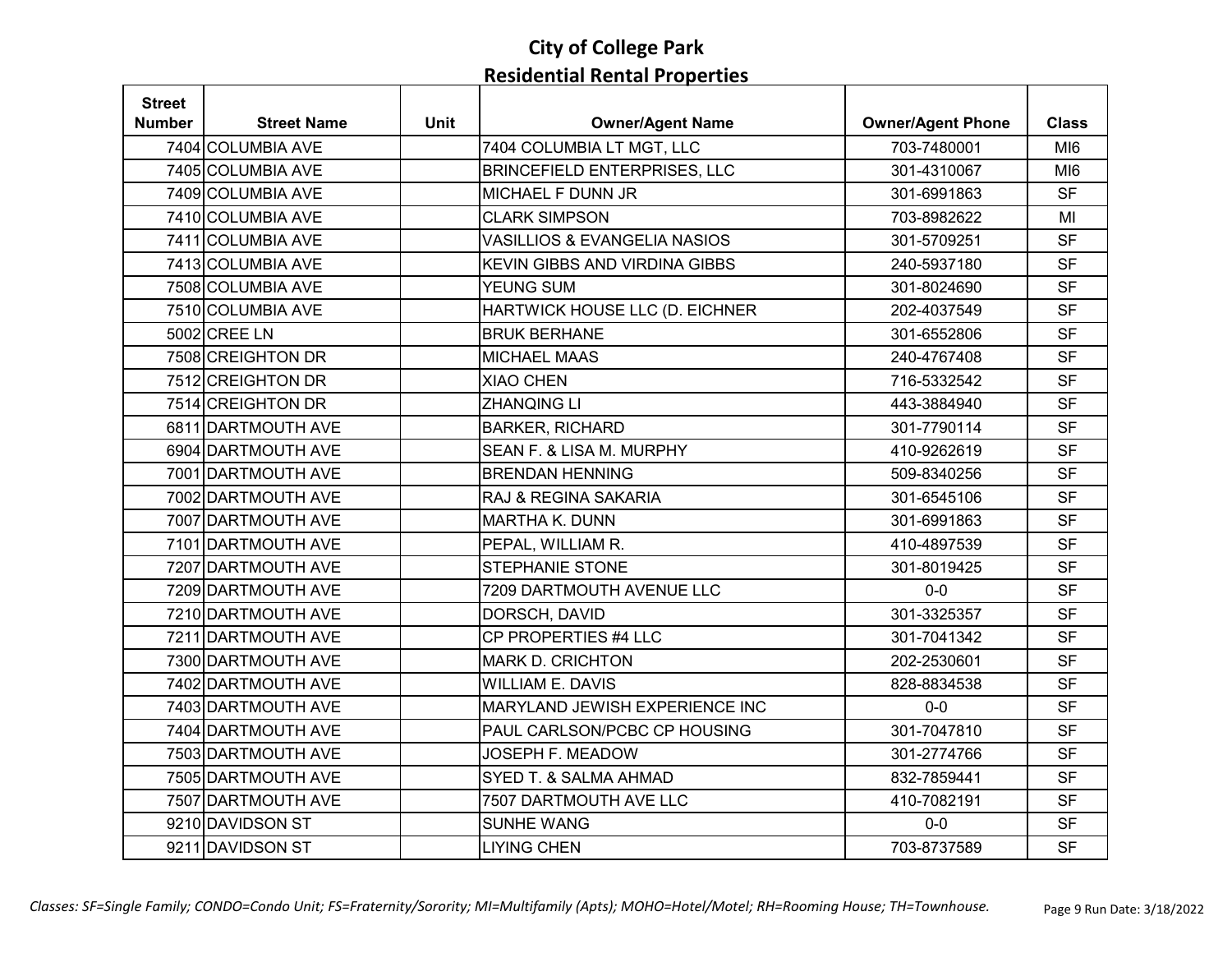| <b>Street</b> |                    |             |                                         |                          |                 |
|---------------|--------------------|-------------|-----------------------------------------|--------------------------|-----------------|
| <b>Number</b> | <b>Street Name</b> | <b>Unit</b> | <b>Owner/Agent Name</b>                 | <b>Owner/Agent Phone</b> | <b>Class</b>    |
|               | 7404 COLUMBIA AVE  |             | 7404 COLUMBIA LT MGT, LLC               | 703-7480001              | MI <sub>6</sub> |
|               | 7405 COLUMBIA AVE  |             | <b>BRINCEFIELD ENTERPRISES, LLC</b>     | 301-4310067              | MI <sub>6</sub> |
|               | 7409 COLUMBIA AVE  |             | MICHAEL F DUNN JR                       | 301-6991863              | <b>SF</b>       |
|               | 7410 COLUMBIA AVE  |             | <b>CLARK SIMPSON</b>                    | 703-8982622              | MI              |
|               | 7411 COLUMBIA AVE  |             | <b>VASILLIOS &amp; EVANGELIA NASIOS</b> | 301-5709251              | <b>SF</b>       |
|               | 7413 COLUMBIA AVE  |             | <b>KEVIN GIBBS AND VIRDINA GIBBS</b>    | 240-5937180              | <b>SF</b>       |
|               | 7508 COLUMBIA AVE  |             | <b>YEUNG SUM</b>                        | 301-8024690              | <b>SF</b>       |
|               | 7510 COLUMBIA AVE  |             | HARTWICK HOUSE LLC (D. EICHNER          | 202-4037549              | <b>SF</b>       |
|               | 5002 CREE LN       |             | <b>BRUK BERHANE</b>                     | 301-6552806              | <b>SF</b>       |
|               | 7508 CREIGHTON DR  |             | <b>MICHAEL MAAS</b>                     | 240-4767408              | <b>SF</b>       |
|               | 7512 CREIGHTON DR  |             | <b>XIAO CHEN</b>                        | 716-5332542              | <b>SF</b>       |
|               | 7514 CREIGHTON DR  |             | <b>ZHANQING LI</b>                      | 443-3884940              | <b>SF</b>       |
|               | 6811 DARTMOUTH AVE |             | <b>BARKER, RICHARD</b>                  | 301-7790114              | <b>SF</b>       |
|               | 6904 DARTMOUTH AVE |             | SEAN F. & LISA M. MURPHY                | 410-9262619              | <b>SF</b>       |
|               | 7001 DARTMOUTH AVE |             | <b>BRENDAN HENNING</b>                  | 509-8340256              | <b>SF</b>       |
|               | 7002 DARTMOUTH AVE |             | RAJ & REGINA SAKARIA                    | 301-6545106              | <b>SF</b>       |
|               | 7007 DARTMOUTH AVE |             | <b>MARTHA K. DUNN</b>                   | 301-6991863              | <b>SF</b>       |
|               | 7101 DARTMOUTH AVE |             | PEPAL, WILLIAM R.                       | 410-4897539              | <b>SF</b>       |
|               | 7207 DARTMOUTH AVE |             | <b>STEPHANIE STONE</b>                  | 301-8019425              | <b>SF</b>       |
|               | 7209 DARTMOUTH AVE |             | 7209 DARTMOUTH AVENUE LLC               | $0-0$                    | <b>SF</b>       |
|               | 7210 DARTMOUTH AVE |             | DORSCH, DAVID                           | 301-3325357              | <b>SF</b>       |
|               | 7211 DARTMOUTH AVE |             | CP PROPERTIES #4 LLC                    | 301-7041342              | <b>SF</b>       |
|               | 7300 DARTMOUTH AVE |             | <b>MARK D. CRICHTON</b>                 | 202-2530601              | <b>SF</b>       |
|               | 7402 DARTMOUTH AVE |             | <b>WILLIAM E. DAVIS</b>                 | 828-8834538              | <b>SF</b>       |
|               | 7403 DARTMOUTH AVE |             | MARYLAND JEWISH EXPERIENCE INC          | $0-0$                    | <b>SF</b>       |
|               | 7404 DARTMOUTH AVE |             | PAUL CARLSON/PCBC CP HOUSING            | 301-7047810              | <b>SF</b>       |
|               | 7503 DARTMOUTH AVE |             | JOSEPH F. MEADOW                        | 301-2774766              | <b>SF</b>       |
|               | 7505 DARTMOUTH AVE |             | SYED T. & SALMA AHMAD                   | 832-7859441              | <b>SF</b>       |
|               | 7507 DARTMOUTH AVE |             | 7507 DARTMOUTH AVE LLC                  | 410-7082191              | <b>SF</b>       |
|               | 9210 DAVIDSON ST   |             | SUNHE WANG                              | $0-0$                    | <b>SF</b>       |
|               | 9211 DAVIDSON ST   |             | <b>LIYING CHEN</b>                      | 703-8737589              | <b>SF</b>       |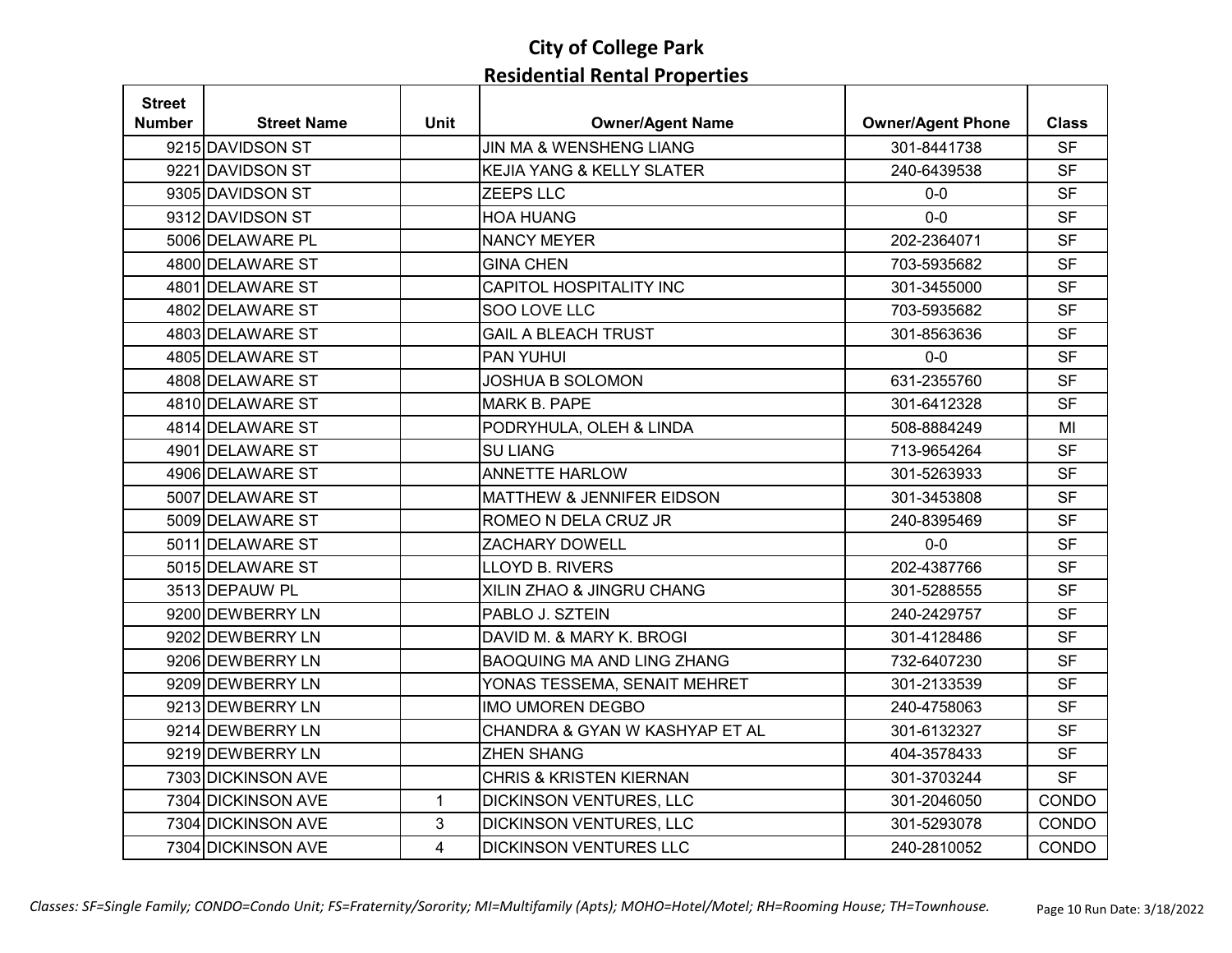| <b>Street</b> |                    |                |                                      |                          |              |
|---------------|--------------------|----------------|--------------------------------------|--------------------------|--------------|
| Number        | <b>Street Name</b> | <b>Unit</b>    | <b>Owner/Agent Name</b>              | <b>Owner/Agent Phone</b> | <b>Class</b> |
|               | 9215 DAVIDSON ST   |                | JIN MA & WENSHENG LIANG              | 301-8441738              | <b>SF</b>    |
|               | 9221 DAVIDSON ST   |                | <b>KEJIA YANG &amp; KELLY SLATER</b> | 240-6439538              | <b>SF</b>    |
|               | 9305 DAVIDSON ST   |                | <b>ZEEPS LLC</b>                     | $0-0$                    | <b>SF</b>    |
|               | 9312 DAVIDSON ST   |                | <b>HOA HUANG</b>                     | $0-0$                    | <b>SF</b>    |
|               | 5006 DELAWARE PL   |                | <b>NANCY MEYER</b>                   | 202-2364071              | <b>SF</b>    |
|               | 4800 DELAWARE ST   |                | <b>GINA CHEN</b>                     | 703-5935682              | <b>SF</b>    |
|               | 4801 DELAWARE ST   |                | CAPITOL HOSPITALITY INC              | 301-3455000              | <b>SF</b>    |
|               | 4802 DELAWARE ST   |                | SOO LOVE LLC                         | 703-5935682              | <b>SF</b>    |
|               | 4803 DELAWARE ST   |                | <b>GAIL A BLEACH TRUST</b>           | 301-8563636              | <b>SF</b>    |
|               | 4805 DELAWARE ST   |                | PAN YUHUI                            | $0-0$                    | <b>SF</b>    |
|               | 4808 DELAWARE ST   |                | <b>JOSHUA B SOLOMON</b>              | 631-2355760              | <b>SF</b>    |
|               | 4810 DELAWARE ST   |                | <b>MARK B. PAPE</b>                  | 301-6412328              | <b>SF</b>    |
|               | 4814 DELAWARE ST   |                | PODRYHULA, OLEH & LINDA              | 508-8884249              | MI           |
|               | 4901 DELAWARE ST   |                | <b>SU LIANG</b>                      | 713-9654264              | <b>SF</b>    |
|               | 4906 DELAWARE ST   |                | <b>ANNETTE HARLOW</b>                | 301-5263933              | <b>SF</b>    |
|               | 5007 DELAWARE ST   |                | MATTHEW & JENNIFER EIDSON            | 301-3453808              | <b>SF</b>    |
|               | 5009 DELAWARE ST   |                | ROMEO N DELA CRUZ JR                 | 240-8395469              | <b>SF</b>    |
|               | 5011 DELAWARE ST   |                | <b>ZACHARY DOWELL</b>                | $0-0$                    | <b>SF</b>    |
|               | 5015 DELAWARE ST   |                | LLOYD B. RIVERS                      | 202-4387766              | <b>SF</b>    |
|               | 3513 DEPAUW PL     |                | XILIN ZHAO & JINGRU CHANG            | 301-5288555              | <b>SF</b>    |
|               | 9200 DEWBERRY LN   |                | PABLO J. SZTEIN                      | 240-2429757              | <b>SF</b>    |
|               | 9202 DEWBERRY LN   |                | DAVID M. & MARY K. BROGI             | 301-4128486              | <b>SF</b>    |
|               | 9206 DEWBERRY LN   |                | <b>BAOQUING MA AND LING ZHANG</b>    | 732-6407230              | <b>SF</b>    |
|               | 9209 DEWBERRY LN   |                | YONAS TESSEMA, SENAIT MEHRET         | 301-2133539              | <b>SF</b>    |
|               | 9213 DEWBERRY LN   |                | <b>IMO UMOREN DEGBO</b>              | 240-4758063              | <b>SF</b>    |
|               | 9214 DEWBERRY LN   |                | CHANDRA & GYAN W KASHYAP ET AL       | 301-6132327              | <b>SF</b>    |
|               | 9219 DEWBERRY LN   |                | <b>ZHEN SHANG</b>                    | 404-3578433              | <b>SF</b>    |
|               | 7303 DICKINSON AVE |                | <b>CHRIS &amp; KRISTEN KIERNAN</b>   | 301-3703244              | <b>SF</b>    |
|               | 7304 DICKINSON AVE | $\mathbf{1}$   | <b>DICKINSON VENTURES, LLC</b>       | 301-2046050              | CONDO        |
|               | 7304 DICKINSON AVE | 3              | DICKINSON VENTURES, LLC              | 301-5293078              | CONDO        |
|               | 7304 DICKINSON AVE | $\overline{4}$ | <b>DICKINSON VENTURES LLC</b>        | 240-2810052              | <b>CONDO</b> |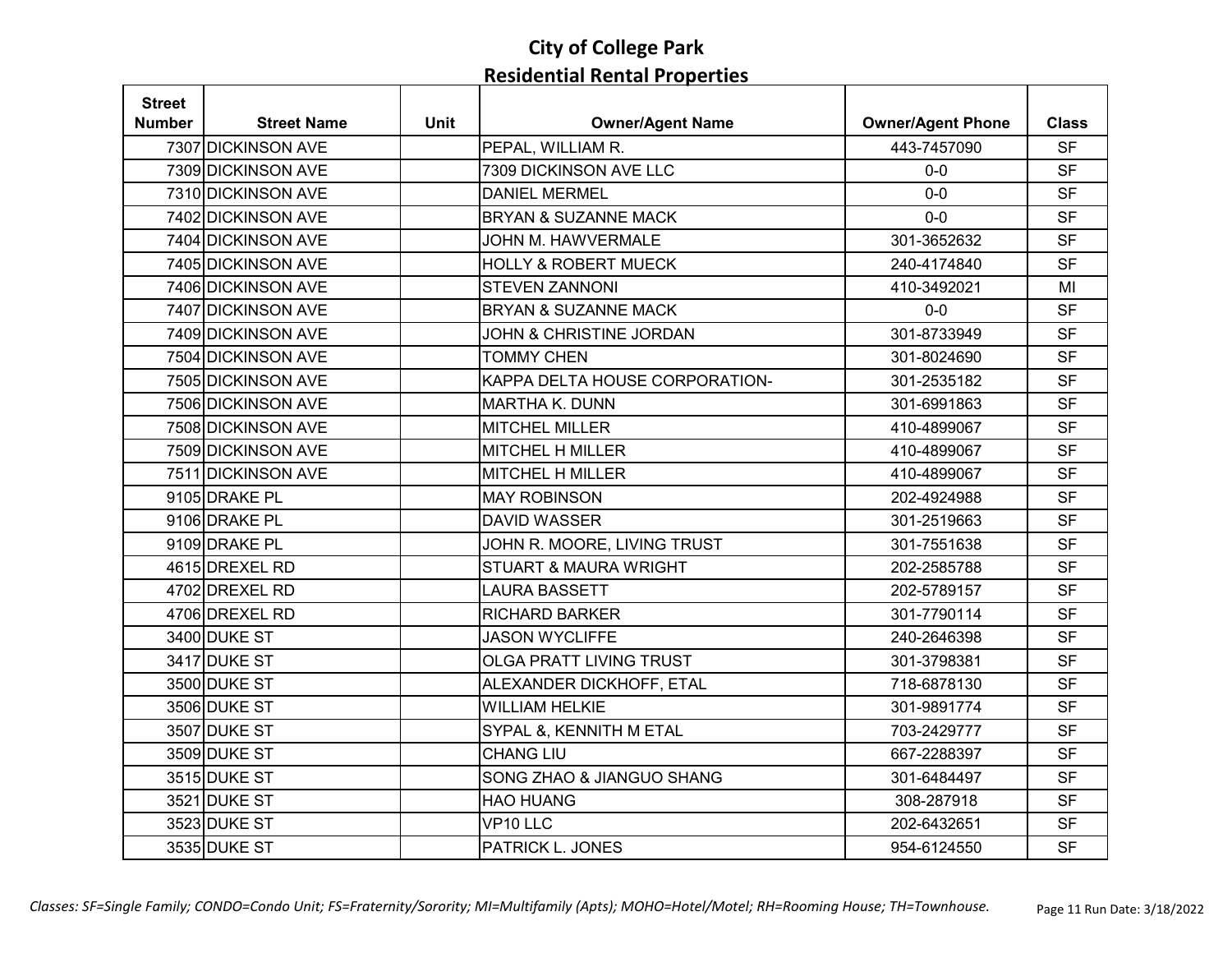| <b>Street</b> |                    |             |                                    |                          |              |
|---------------|--------------------|-------------|------------------------------------|--------------------------|--------------|
| Number        | <b>Street Name</b> | <b>Unit</b> | <b>Owner/Agent Name</b>            | <b>Owner/Agent Phone</b> | <b>Class</b> |
|               | 7307 DICKINSON AVE |             | PEPAL, WILLIAM R.                  | 443-7457090              | <b>SF</b>    |
|               | 7309 DICKINSON AVE |             | 7309 DICKINSON AVE LLC             | $0 - 0$                  | <b>SF</b>    |
|               | 7310 DICKINSON AVE |             | <b>DANIEL MERMEL</b>               | $0-0$                    | <b>SF</b>    |
|               | 7402 DICKINSON AVE |             | <b>BRYAN &amp; SUZANNE MACK</b>    | $0 - 0$                  | <b>SF</b>    |
|               | 7404 DICKINSON AVE |             | <b>JOHN M. HAWVERMALE</b>          | 301-3652632              | <b>SF</b>    |
|               | 7405 DICKINSON AVE |             | <b>HOLLY &amp; ROBERT MUECK</b>    | 240-4174840              | <b>SF</b>    |
|               | 7406 DICKINSON AVE |             | <b>STEVEN ZANNONI</b>              | 410-3492021              | MI           |
|               | 7407 DICKINSON AVE |             | <b>BRYAN &amp; SUZANNE MACK</b>    | $0-0$                    | <b>SF</b>    |
|               | 7409 DICKINSON AVE |             | <b>JOHN &amp; CHRISTINE JORDAN</b> | 301-8733949              | <b>SF</b>    |
|               | 7504 DICKINSON AVE |             | <b>TOMMY CHEN</b>                  | 301-8024690              | <b>SF</b>    |
|               | 7505 DICKINSON AVE |             | KAPPA DELTA HOUSE CORPORATION-     | 301-2535182              | <b>SF</b>    |
|               | 7506 DICKINSON AVE |             | MARTHA K. DUNN                     | 301-6991863              | <b>SF</b>    |
|               | 7508 DICKINSON AVE |             | <b>MITCHEL MILLER</b>              | 410-4899067              | <b>SF</b>    |
|               | 7509 DICKINSON AVE |             | <b>MITCHEL H MILLER</b>            | 410-4899067              | <b>SF</b>    |
|               | 7511 DICKINSON AVE |             | <b>MITCHEL H MILLER</b>            | 410-4899067              | <b>SF</b>    |
|               | 9105 DRAKE PL      |             | <b>MAY ROBINSON</b>                | 202-4924988              | <b>SF</b>    |
|               | 9106 DRAKE PL      |             | <b>DAVID WASSER</b>                | 301-2519663              | <b>SF</b>    |
|               | 9109 DRAKE PL      |             | JOHN R. MOORE, LIVING TRUST        | 301-7551638              | <b>SF</b>    |
|               | 4615 DREXEL RD     |             | <b>STUART &amp; MAURA WRIGHT</b>   | 202-2585788              | <b>SF</b>    |
|               | 4702 DREXEL RD     |             | <b>LAURA BASSETT</b>               | 202-5789157              | <b>SF</b>    |
|               | 4706 DREXEL RD     |             | <b>RICHARD BARKER</b>              | 301-7790114              | <b>SF</b>    |
|               | 3400 DUKE ST       |             | <b>JASON WYCLIFFE</b>              | 240-2646398              | <b>SF</b>    |
|               | 3417 DUKE ST       |             | OLGA PRATT LIVING TRUST            | 301-3798381              | <b>SF</b>    |
|               | 3500 DUKE ST       |             | ALEXANDER DICKHOFF, ETAL           | 718-6878130              | <b>SF</b>    |
|               | 3506 DUKE ST       |             | <b>WILLIAM HELKIE</b>              | 301-9891774              | <b>SF</b>    |
|               | 3507 DUKE ST       |             | SYPAL &, KENNITH M ETAL            | 703-2429777              | <b>SF</b>    |
|               | 3509 DUKE ST       |             | <b>CHANG LIU</b>                   | 667-2288397              | <b>SF</b>    |
|               | 3515 DUKE ST       |             | SONG ZHAO & JIANGUO SHANG          | 301-6484497              | <b>SF</b>    |
|               | 3521 DUKE ST       |             | <b>HAO HUANG</b>                   | 308-287918               | <b>SF</b>    |
|               | 3523 DUKE ST       |             | VP10 LLC                           | 202-6432651              | <b>SF</b>    |
|               | 3535 DUKE ST       |             | PATRICK L. JONES                   | 954-6124550              | <b>SF</b>    |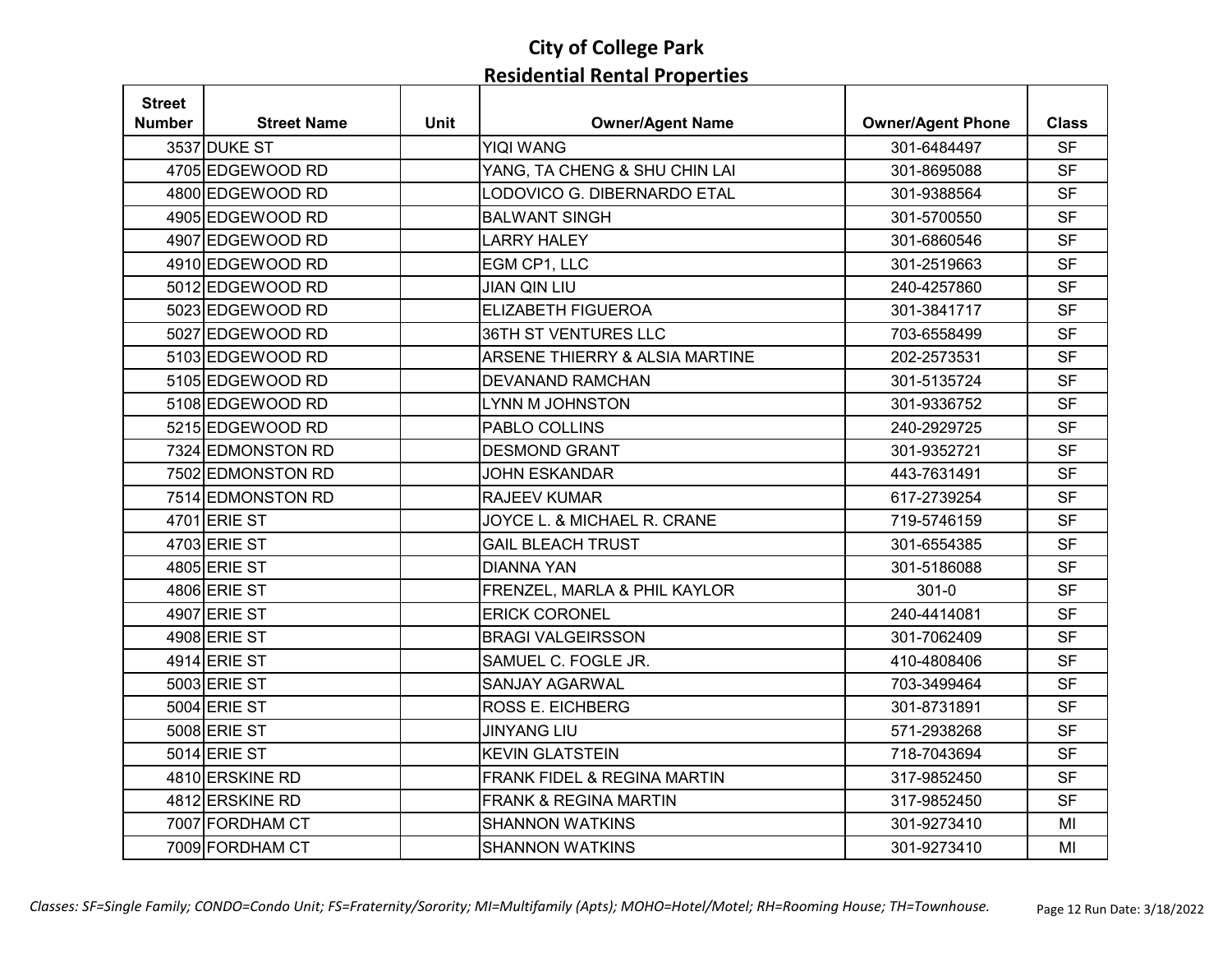| <b>Street</b> |                    |             |                                |                          |              |
|---------------|--------------------|-------------|--------------------------------|--------------------------|--------------|
| Number        | <b>Street Name</b> | <b>Unit</b> | <b>Owner/Agent Name</b>        | <b>Owner/Agent Phone</b> | <b>Class</b> |
|               | 3537 DUKE ST       |             | <b>YIQI WANG</b>               | 301-6484497              | <b>SF</b>    |
|               | 4705 EDGEWOOD RD   |             | YANG, TA CHENG & SHU CHIN LAI  | 301-8695088              | <b>SF</b>    |
|               | 4800 EDGEWOOD RD   |             | LODOVICO G. DIBERNARDO ETAL    | 301-9388564              | <b>SF</b>    |
|               | 4905 EDGEWOOD RD   |             | <b>BALWANT SINGH</b>           | 301-5700550              | <b>SF</b>    |
|               | 4907 EDGEWOOD RD   |             | <b>LARRY HALEY</b>             | 301-6860546              | <b>SF</b>    |
|               | 4910 EDGEWOOD RD   |             | EGM CP1, LLC                   | 301-2519663              | <b>SF</b>    |
|               | 5012 EDGEWOOD RD   |             | <b>JIAN QIN LIU</b>            | 240-4257860              | <b>SF</b>    |
|               | 5023 EDGEWOOD RD   |             | <b>ELIZABETH FIGUEROA</b>      | 301-3841717              | <b>SF</b>    |
|               | 5027 EDGEWOOD RD   |             | 36TH ST VENTURES LLC           | 703-6558499              | <b>SF</b>    |
|               | 5103 EDGEWOOD RD   |             | ARSENE THIERRY & ALSIA MARTINE | 202-2573531              | <b>SF</b>    |
|               | 5105 EDGEWOOD RD   |             | <b>DEVANAND RAMCHAN</b>        | 301-5135724              | <b>SF</b>    |
|               | 5108 EDGEWOOD RD   |             | <b>LYNN M JOHNSTON</b>         | 301-9336752              | <b>SF</b>    |
|               | 5215 EDGEWOOD RD   |             | PABLO COLLINS                  | 240-2929725              | <b>SF</b>    |
|               | 7324 EDMONSTON RD  |             | <b>DESMOND GRANT</b>           | 301-9352721              | <b>SF</b>    |
|               | 7502 EDMONSTON RD  |             | <b>JOHN ESKANDAR</b>           | 443-7631491              | <b>SF</b>    |
|               | 7514 EDMONSTON RD  |             | RAJEEV KUMAR                   | 617-2739254              | <b>SF</b>    |
|               | 4701 ERIE ST       |             | JOYCE L. & MICHAEL R. CRANE    | 719-5746159              | <b>SF</b>    |
|               | 4703 ERIE ST       |             | <b>GAIL BLEACH TRUST</b>       | 301-6554385              | <b>SF</b>    |
|               | 4805 ERIE ST       |             | <b>DIANNA YAN</b>              | 301-5186088              | <b>SF</b>    |
|               | 4806 ERIE ST       |             | FRENZEL, MARLA & PHIL KAYLOR   | $301 - 0$                | <b>SF</b>    |
|               | 4907 ERIE ST       |             | <b>ERICK CORONEL</b>           | 240-4414081              | <b>SF</b>    |
|               | 4908 ERIE ST       |             | <b>BRAGI VALGEIRSSON</b>       | 301-7062409              | <b>SF</b>    |
|               | 4914 ERIE ST       |             | SAMUEL C. FOGLE JR.            | 410-4808406              | <b>SF</b>    |
|               | 5003 ERIE ST       |             | <b>SANJAY AGARWAL</b>          | 703-3499464              | <b>SF</b>    |
|               | 5004 ERIE ST       |             | <b>ROSS E. EICHBERG</b>        | 301-8731891              | <b>SF</b>    |
|               | 5008 ERIE ST       |             | <b>JINYANG LIU</b>             | 571-2938268              | <b>SF</b>    |
|               | 5014 ERIE ST       |             | <b>KEVIN GLATSTEIN</b>         | 718-7043694              | <b>SF</b>    |
|               | 4810 ERSKINE RD    |             | FRANK FIDEL & REGINA MARTIN    | 317-9852450              | <b>SF</b>    |
|               | 4812 ERSKINE RD    |             | FRANK & REGINA MARTIN          | 317-9852450              | <b>SF</b>    |
|               | 7007 FORDHAM CT    |             | <b>SHANNON WATKINS</b>         | 301-9273410              | MI           |
|               | 7009 FORDHAM CT    |             | <b>SHANNON WATKINS</b>         | 301-9273410              | MI           |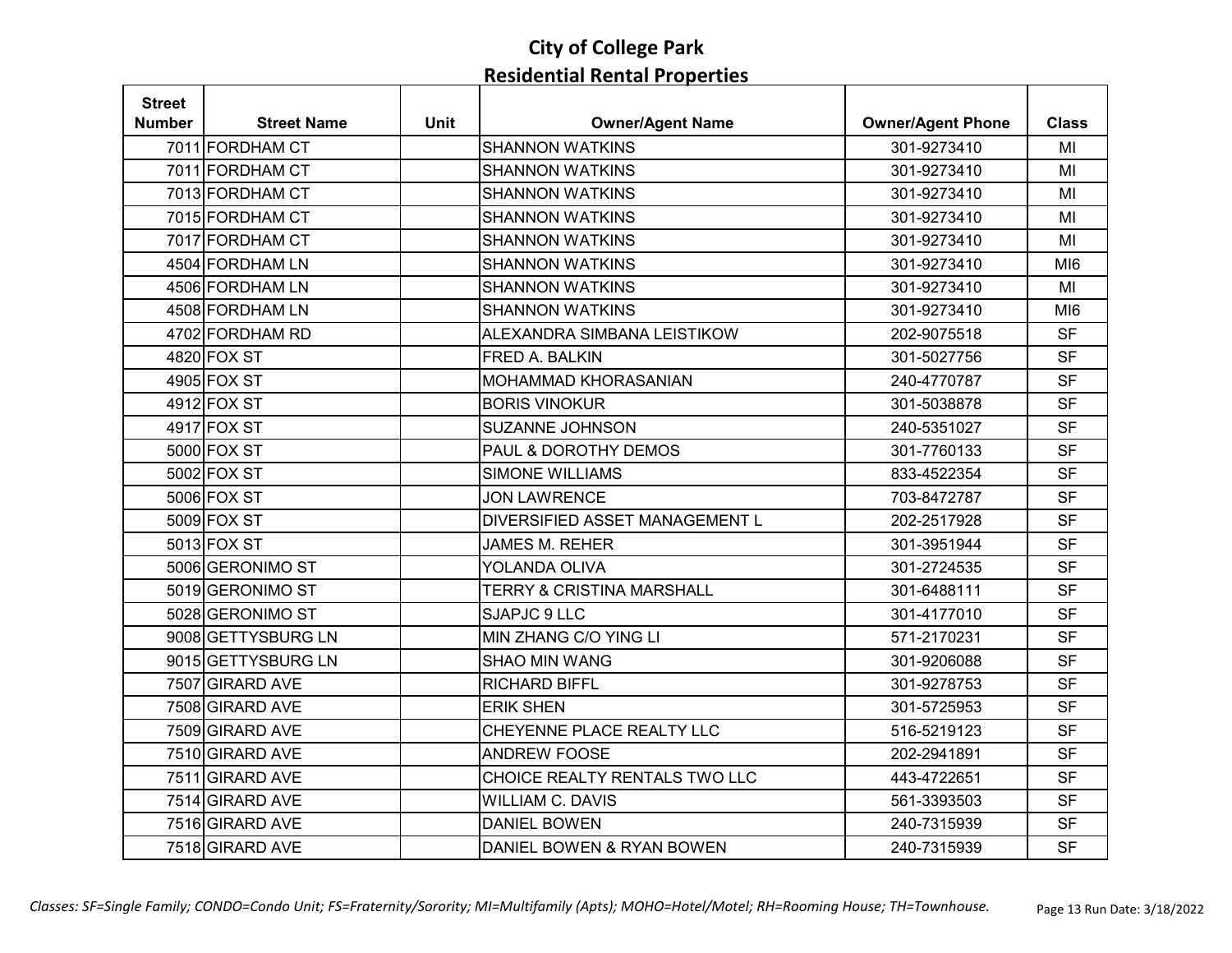| <b>Street</b> |                    |             |                                      |                          |                 |
|---------------|--------------------|-------------|--------------------------------------|--------------------------|-----------------|
| Number        | <b>Street Name</b> | <b>Unit</b> | <b>Owner/Agent Name</b>              | <b>Owner/Agent Phone</b> | <b>Class</b>    |
|               | 7011 FORDHAM CT    |             | <b>SHANNON WATKINS</b>               | 301-9273410              | MI              |
|               | 7011 FORDHAM CT    |             | <b>SHANNON WATKINS</b>               | 301-9273410              | MI              |
|               | 7013 FORDHAM CT    |             | <b>SHANNON WATKINS</b>               | 301-9273410              | MI              |
|               | 7015 FORDHAM CT    |             | <b>SHANNON WATKINS</b>               | 301-9273410              | MI              |
|               | 7017 FORDHAM CT    |             | <b>SHANNON WATKINS</b>               | 301-9273410              | MI              |
|               | 4504 FORDHAM LN    |             | <b>SHANNON WATKINS</b>               | 301-9273410              | MI <sub>6</sub> |
|               | 4506 FORDHAM LN    |             | <b>SHANNON WATKINS</b>               | 301-9273410              | MI              |
|               | 4508 FORDHAM LN    |             | <b>SHANNON WATKINS</b>               | 301-9273410              | MI <sub>6</sub> |
|               | 4702 FORDHAM RD    |             | ALEXANDRA SIMBANA LEISTIKOW          | 202-9075518              | <b>SF</b>       |
|               | 4820 FOX ST        |             | FRED A. BALKIN                       | 301-5027756              | <b>SF</b>       |
|               | 4905 FOX ST        |             | MOHAMMAD KHORASANIAN                 | 240-4770787              | <b>SF</b>       |
|               | 4912 FOX ST        |             | <b>BORIS VINOKUR</b>                 | 301-5038878              | <b>SF</b>       |
|               | 4917 FOX ST        |             | SUZANNE JOHNSON                      | 240-5351027              | <b>SF</b>       |
|               | 5000 FOX ST        |             | PAUL & DOROTHY DEMOS                 | 301-7760133              | <b>SF</b>       |
|               | 5002 FOX ST        |             | <b>SIMONE WILLIAMS</b>               | 833-4522354              | <b>SF</b>       |
|               | 5006 FOX ST        |             | <b>JON LAWRENCE</b>                  | 703-8472787              | <b>SF</b>       |
|               | 5009 FOX ST        |             | DIVERSIFIED ASSET MANAGEMENT L       | 202-2517928              | <b>SF</b>       |
|               | 5013 FOX ST        |             | <b>JAMES M. REHER</b>                | 301-3951944              | <b>SF</b>       |
|               | 5006 GERONIMO ST   |             | YOLANDA OLIVA                        | 301-2724535              | <b>SF</b>       |
|               | 5019 GERONIMO ST   |             | <b>TERRY &amp; CRISTINA MARSHALL</b> | 301-6488111              | <b>SF</b>       |
|               | 5028 GERONIMO ST   |             | SJAPJC 9 LLC                         | 301-4177010              | <b>SF</b>       |
|               | 9008 GETTYSBURG LN |             | MIN ZHANG C/O YING LI                | 571-2170231              | <b>SF</b>       |
|               | 9015 GETTYSBURG LN |             | <b>SHAO MIN WANG</b>                 | 301-9206088              | <b>SF</b>       |
|               | 7507 GIRARD AVE    |             | <b>RICHARD BIFFL</b>                 | 301-9278753              | <b>SF</b>       |
|               | 7508 GIRARD AVE    |             | <b>ERIK SHEN</b>                     | 301-5725953              | <b>SF</b>       |
|               | 7509 GIRARD AVE    |             | CHEYENNE PLACE REALTY LLC            | 516-5219123              | <b>SF</b>       |
|               | 7510 GIRARD AVE    |             | <b>ANDREW FOOSE</b>                  | 202-2941891              | <b>SF</b>       |
|               | 7511 GIRARD AVE    |             | CHOICE REALTY RENTALS TWO LLC        | 443-4722651              | <b>SF</b>       |
|               | 7514 GIRARD AVE    |             | <b>WILLIAM C. DAVIS</b>              | 561-3393503              | <b>SF</b>       |
|               | 7516 GIRARD AVE    |             | <b>DANIEL BOWEN</b>                  | 240-7315939              | <b>SF</b>       |
|               | 7518 GIRARD AVE    |             | DANIEL BOWEN & RYAN BOWEN            | 240-7315939              | <b>SF</b>       |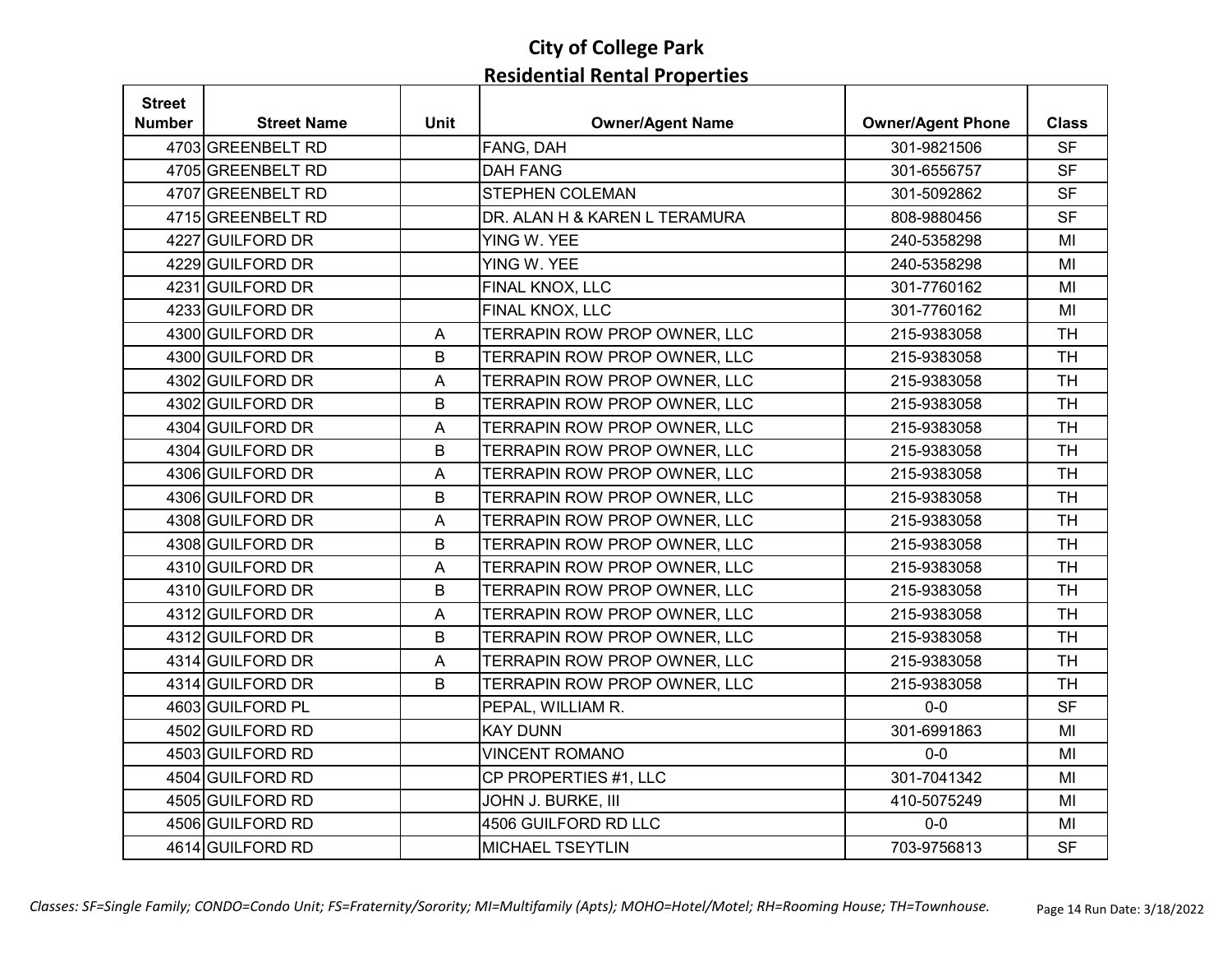| <b>Street</b> |                    |                           |                               |                          |              |
|---------------|--------------------|---------------------------|-------------------------------|--------------------------|--------------|
| Number        | <b>Street Name</b> | <b>Unit</b>               | <b>Owner/Agent Name</b>       | <b>Owner/Agent Phone</b> | <b>Class</b> |
|               | 4703 GREENBELT RD  |                           | FANG, DAH                     | 301-9821506              | <b>SF</b>    |
|               | 4705 GREENBELT RD  |                           | <b>DAH FANG</b>               | 301-6556757              | <b>SF</b>    |
|               | 4707 GREENBELT RD  |                           | <b>STEPHEN COLEMAN</b>        | 301-5092862              | <b>SF</b>    |
|               | 4715 GREENBELT RD  |                           | DR. ALAN H & KAREN L TERAMURA | 808-9880456              | <b>SF</b>    |
|               | 4227 GUILFORD DR   |                           | YING W. YEE                   | 240-5358298              | MI           |
|               | 4229 GUILFORD DR   |                           | YING W. YEE                   | 240-5358298              | MI           |
|               | 4231 GUILFORD DR   |                           | FINAL KNOX, LLC               | 301-7760162              | MI           |
|               | 4233 GUILFORD DR   |                           | FINAL KNOX, LLC               | 301-7760162              | MI           |
|               | 4300 GUILFORD DR   | A                         | TERRAPIN ROW PROP OWNER, LLC  | 215-9383058              | <b>TH</b>    |
|               | 4300 GUILFORD DR   | В                         | TERRAPIN ROW PROP OWNER, LLC  | 215-9383058              | <b>TH</b>    |
|               | 4302 GUILFORD DR   | $\boldsymbol{\mathsf{A}}$ | TERRAPIN ROW PROP OWNER, LLC  | 215-9383058              | <b>TH</b>    |
|               | 4302 GUILFORD DR   | B                         | TERRAPIN ROW PROP OWNER, LLC  | 215-9383058              | <b>TH</b>    |
|               | 4304 GUILFORD DR   | A                         | TERRAPIN ROW PROP OWNER, LLC  | 215-9383058              | <b>TH</b>    |
|               | 4304 GUILFORD DR   | B                         | TERRAPIN ROW PROP OWNER, LLC  | 215-9383058              | <b>TH</b>    |
|               | 4306 GUILFORD DR   | A                         | TERRAPIN ROW PROP OWNER, LLC  | 215-9383058              | <b>TH</b>    |
|               | 4306 GUILFORD DR   | B                         | TERRAPIN ROW PROP OWNER, LLC  | 215-9383058              | <b>TH</b>    |
|               | 4308 GUILFORD DR   | A                         | TERRAPIN ROW PROP OWNER, LLC  | 215-9383058              | <b>TH</b>    |
|               | 4308 GUILFORD DR   | B                         | TERRAPIN ROW PROP OWNER, LLC  | 215-9383058              | <b>TH</b>    |
|               | 4310 GUILFORD DR   | $\mathsf A$               | TERRAPIN ROW PROP OWNER, LLC  | 215-9383058              | <b>TH</b>    |
|               | 4310 GUILFORD DR   | B                         | TERRAPIN ROW PROP OWNER, LLC  | 215-9383058              | <b>TH</b>    |
|               | 4312 GUILFORD DR   | $\overline{\mathsf{A}}$   | TERRAPIN ROW PROP OWNER, LLC  | 215-9383058              | <b>TH</b>    |
|               | 4312 GUILFORD DR   | B                         | TERRAPIN ROW PROP OWNER, LLC  | 215-9383058              | <b>TH</b>    |
|               | 4314 GUILFORD DR   | $\boldsymbol{\mathsf{A}}$ | TERRAPIN ROW PROP OWNER, LLC  | 215-9383058              | <b>TH</b>    |
|               | 4314 GUILFORD DR   | B                         | TERRAPIN ROW PROP OWNER, LLC  | 215-9383058              | <b>TH</b>    |
|               | 4603 GUILFORD PL   |                           | PEPAL, WILLIAM R.             | $0-0$                    | <b>SF</b>    |
|               | 4502 GUILFORD RD   |                           | <b>KAY DUNN</b>               | 301-6991863              | MI           |
|               | 4503 GUILFORD RD   |                           | <b>VINCENT ROMANO</b>         | $0-0$                    | MI           |
|               | 4504 GUILFORD RD   |                           | CP PROPERTIES #1, LLC         | 301-7041342              | MI           |
|               | 4505 GUILFORD RD   |                           | JOHN J. BURKE, III            | 410-5075249              | MI           |
|               | 4506 GUILFORD RD   |                           | 4506 GUILFORD RD LLC          | $0-0$                    | MI           |
|               | 4614 GUILFORD RD   |                           | MICHAEL TSEYTLIN              | 703-9756813              | <b>SF</b>    |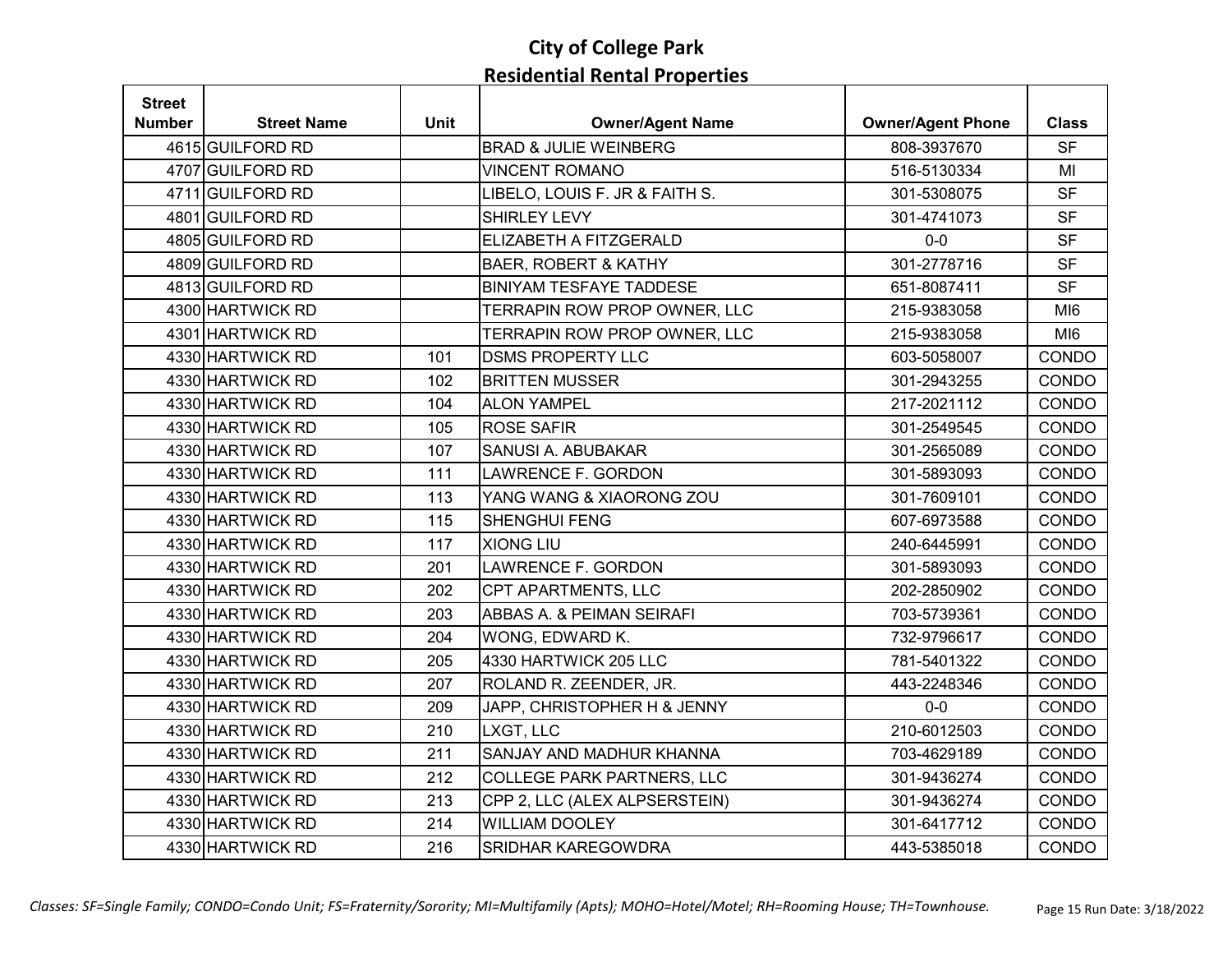| <b>Street</b> |                    |             |                                   |                          |                 |
|---------------|--------------------|-------------|-----------------------------------|--------------------------|-----------------|
| Number        | <b>Street Name</b> | <b>Unit</b> | <b>Owner/Agent Name</b>           | <b>Owner/Agent Phone</b> | <b>Class</b>    |
|               | 4615 GUILFORD RD   |             | <b>BRAD &amp; JULIE WEINBERG</b>  | 808-3937670              | <b>SF</b>       |
|               | 4707 GUILFORD RD   |             | <b>VINCENT ROMANO</b>             | 516-5130334              | MI              |
|               | 4711 GUILFORD RD   |             | LIBELO, LOUIS F. JR & FAITH S.    | 301-5308075              | <b>SF</b>       |
|               | 4801 GUILFORD RD   |             | <b>SHIRLEY LEVY</b>               | 301-4741073              | <b>SF</b>       |
|               | 4805 GUILFORD RD   |             | ELIZABETH A FITZGERALD            | $0 - 0$                  | <b>SF</b>       |
|               | 4809 GUILFORD RD   |             | <b>BAER, ROBERT &amp; KATHY</b>   | 301-2778716              | <b>SF</b>       |
|               | 4813 GUILFORD RD   |             | <b>BINIYAM TESFAYE TADDESE</b>    | 651-8087411              | <b>SF</b>       |
|               | 4300 HARTWICK RD   |             | TERRAPIN ROW PROP OWNER, LLC      | 215-9383058              | MI <sub>6</sub> |
|               | 4301 HARTWICK RD   |             | TERRAPIN ROW PROP OWNER, LLC      | 215-9383058              | MI <sub>6</sub> |
|               | 4330 HARTWICK RD   | 101         | <b>DSMS PROPERTY LLC</b>          | 603-5058007              | CONDO           |
|               | 4330 HARTWICK RD   | 102         | <b>BRITTEN MUSSER</b>             | 301-2943255              | CONDO           |
|               | 4330 HARTWICK RD   | 104         | <b>ALON YAMPEL</b>                | 217-2021112              | CONDO           |
|               | 4330 HARTWICK RD   | 105         | <b>ROSE SAFIR</b>                 | 301-2549545              | CONDO           |
|               | 4330 HARTWICK RD   | 107         | SANUSI A. ABUBAKAR                | 301-2565089              | CONDO           |
|               | 4330 HARTWICK RD   | 111         | LAWRENCE F. GORDON                | 301-5893093              | CONDO           |
|               | 4330 HARTWICK RD   | 113         | YANG WANG & XIAORONG ZOU          | 301-7609101              | CONDO           |
|               | 4330 HARTWICK RD   | 115         | <b>SHENGHUI FENG</b>              | 607-6973588              | CONDO           |
|               | 4330 HARTWICK RD   | 117         | XIONG LIU                         | 240-6445991              | CONDO           |
|               | 4330 HARTWICK RD   | 201         | LAWRENCE F. GORDON                | 301-5893093              | CONDO           |
|               | 4330 HARTWICK RD   | 202         | CPT APARTMENTS, LLC               | 202-2850902              | CONDO           |
|               | 4330 HARTWICK RD   | 203         | ABBAS A. & PEIMAN SEIRAFI         | 703-5739361              | CONDO           |
|               | 4330 HARTWICK RD   | 204         | WONG, EDWARD K.                   | 732-9796617              | CONDO           |
|               | 4330 HARTWICK RD   | 205         | 4330 HARTWICK 205 LLC             | 781-5401322              | CONDO           |
|               | 4330 HARTWICK RD   | 207         | ROLAND R. ZEENDER, JR.            | 443-2248346              | CONDO           |
|               | 4330 HARTWICK RD   | 209         | JAPP, CHRISTOPHER H & JENNY       | $0-0$                    | CONDO           |
|               | 4330 HARTWICK RD   | 210         | LXGT, LLC                         | 210-6012503              | CONDO           |
|               | 4330 HARTWICK RD   | 211         | SANJAY AND MADHUR KHANNA          | 703-4629189              | CONDO           |
|               | 4330 HARTWICK RD   | 212         | <b>COLLEGE PARK PARTNERS, LLC</b> | 301-9436274              | CONDO           |
|               | 4330 HARTWICK RD   | 213         | CPP 2, LLC (ALEX ALPSERSTEIN)     | 301-9436274              | CONDO           |
|               | 4330 HARTWICK RD   | 214         | <b>WILLIAM DOOLEY</b>             | 301-6417712              | CONDO           |
|               | 4330 HARTWICK RD   | 216         | SRIDHAR KAREGOWDRA                | 443-5385018              | CONDO           |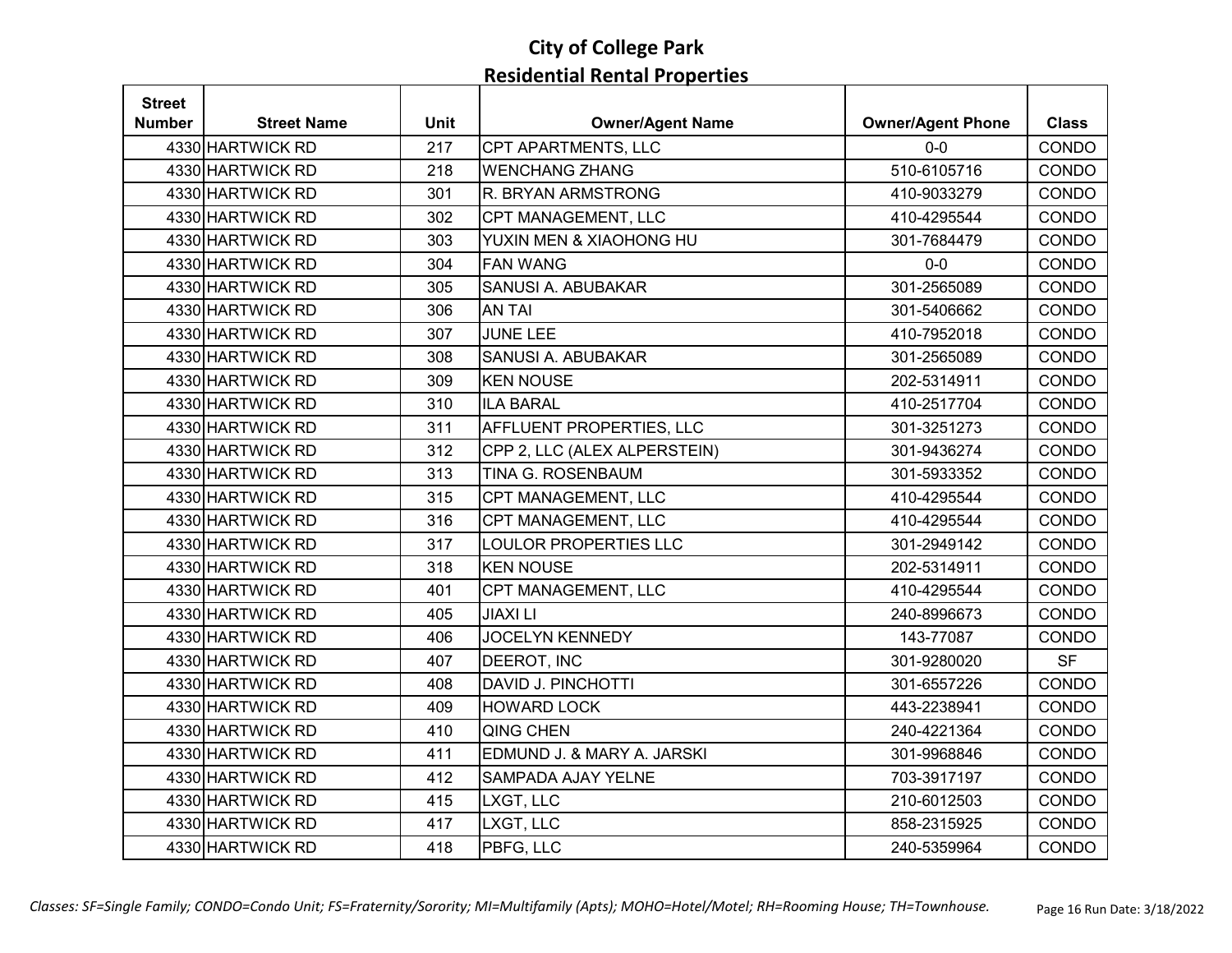| <b>Street</b> |                    |             |                              |                          |              |
|---------------|--------------------|-------------|------------------------------|--------------------------|--------------|
| <b>Number</b> | <b>Street Name</b> | <b>Unit</b> | <b>Owner/Agent Name</b>      | <b>Owner/Agent Phone</b> | <b>Class</b> |
|               | 4330 HARTWICK RD   | 217         | CPT APARTMENTS, LLC          | $0-0$                    | CONDO        |
|               | 4330 HARTWICK RD   | 218         | <b>WENCHANG ZHANG</b>        | 510-6105716              | CONDO        |
|               | 4330 HARTWICK RD   | 301         | R. BRYAN ARMSTRONG           | 410-9033279              | CONDO        |
|               | 4330 HARTWICK RD   | 302         | CPT MANAGEMENT, LLC          | 410-4295544              | CONDO        |
|               | 4330 HARTWICK RD   | 303         | YUXIN MEN & XIAOHONG HU      | 301-7684479              | CONDO        |
|               | 4330 HARTWICK RD   | 304         | <b>FAN WANG</b>              | $0-0$                    | CONDO        |
|               | 4330 HARTWICK RD   | 305         | SANUSI A. ABUBAKAR           | 301-2565089              | CONDO        |
|               | 4330 HARTWICK RD   | 306         | <b>AN TAI</b>                | 301-5406662              | CONDO        |
|               | 4330 HARTWICK RD   | 307         | <b>JUNE LEE</b>              | 410-7952018              | CONDO        |
|               | 4330 HARTWICK RD   | 308         | SANUSI A. ABUBAKAR           | 301-2565089              | CONDO        |
|               | 4330 HARTWICK RD   | 309         | <b>KEN NOUSE</b>             | 202-5314911              | CONDO        |
|               | 4330 HARTWICK RD   | 310         | <b>ILA BARAL</b>             | 410-2517704              | CONDO        |
|               | 4330 HARTWICK RD   | 311         | AFFLUENT PROPERTIES, LLC     | 301-3251273              | CONDO        |
|               | 4330 HARTWICK RD   | 312         | CPP 2, LLC (ALEX ALPERSTEIN) | 301-9436274              | CONDO        |
|               | 4330 HARTWICK RD   | 313         | TINA G. ROSENBAUM            | 301-5933352              | CONDO        |
|               | 4330 HARTWICK RD   | 315         | CPT MANAGEMENT, LLC          | 410-4295544              | CONDO        |
|               | 4330 HARTWICK RD   | 316         | CPT MANAGEMENT, LLC          | 410-4295544              | CONDO        |
|               | 4330 HARTWICK RD   | 317         | <b>LOULOR PROPERTIES LLC</b> | 301-2949142              | CONDO        |
|               | 4330 HARTWICK RD   | 318         | <b>KEN NOUSE</b>             | 202-5314911              | CONDO        |
|               | 4330 HARTWICK RD   | 401         | CPT MANAGEMENT, LLC          | 410-4295544              | CONDO        |
|               | 4330 HARTWICK RD   | 405         | <b>JIAXILI</b>               | 240-8996673              | CONDO        |
|               | 4330 HARTWICK RD   | 406         | <b>JOCELYN KENNEDY</b>       | 143-77087                | CONDO        |
|               | 4330 HARTWICK RD   | 407         | DEEROT, INC                  | 301-9280020              | <b>SF</b>    |
|               | 4330 HARTWICK RD   | 408         | <b>DAVID J. PINCHOTTI</b>    | 301-6557226              | CONDO        |
|               | 4330 HARTWICK RD   | 409         | <b>HOWARD LOCK</b>           | 443-2238941              | CONDO        |
|               | 4330 HARTWICK RD   | 410         | <b>QING CHEN</b>             | 240-4221364              | CONDO        |
|               | 4330 HARTWICK RD   | 411         | EDMUND J. & MARY A. JARSKI   | 301-9968846              | CONDO        |
|               | 4330 HARTWICK RD   | 412         | SAMPADA AJAY YELNE           | 703-3917197              | CONDO        |
|               | 4330 HARTWICK RD   | 415         | LXGT, LLC                    | 210-6012503              | CONDO        |
|               | 4330 HARTWICK RD   | 417         | LXGT, LLC                    | 858-2315925              | CONDO        |
|               | 4330 HARTWICK RD   | 418         | PBFG, LLC                    | 240-5359964              | CONDO        |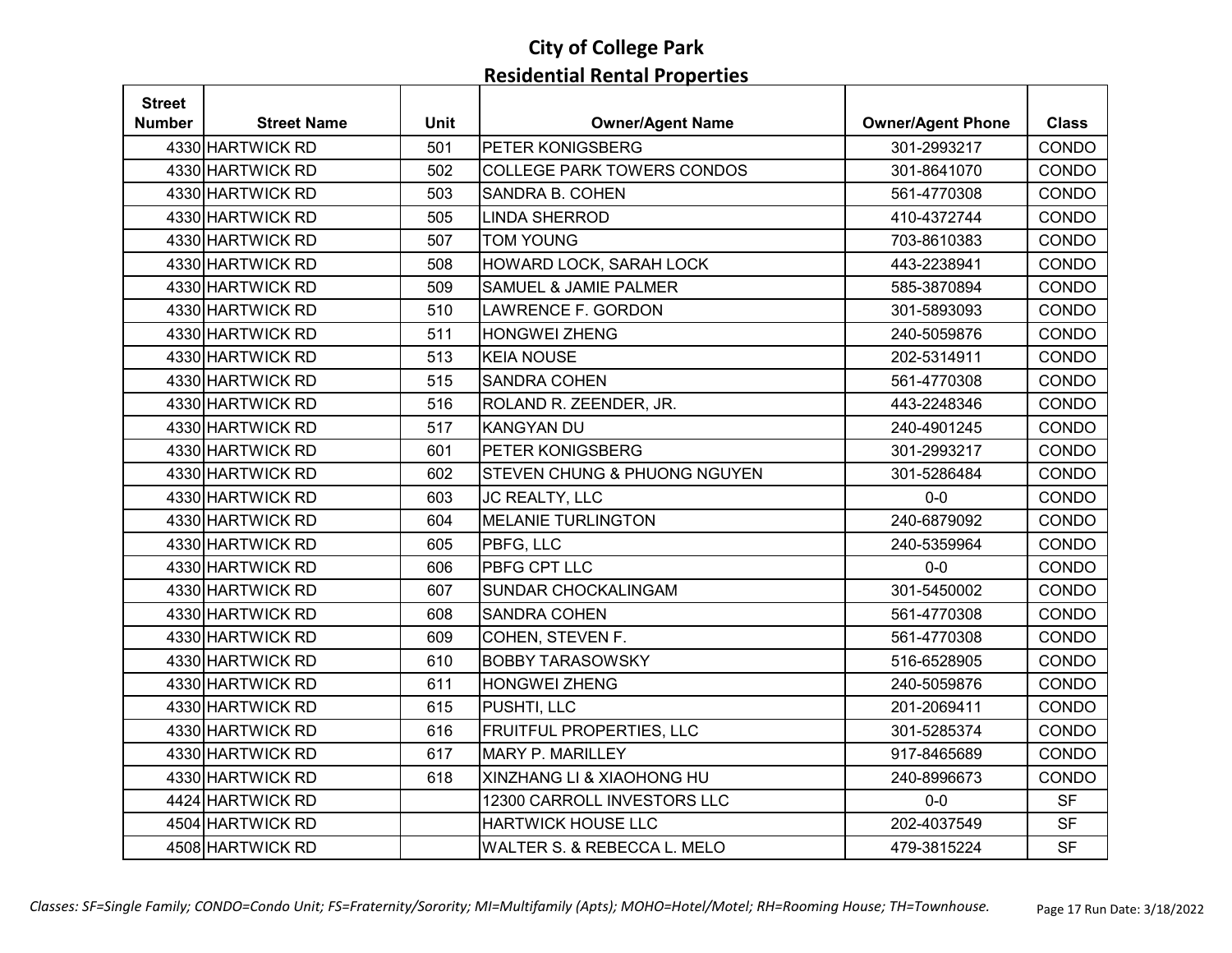| <b>Street</b> |                    |             |                                         |                          |              |
|---------------|--------------------|-------------|-----------------------------------------|--------------------------|--------------|
| Number        | <b>Street Name</b> | <b>Unit</b> | <b>Owner/Agent Name</b>                 | <b>Owner/Agent Phone</b> | <b>Class</b> |
|               | 4330 HARTWICK RD   | 501         | PETER KONIGSBERG                        | 301-2993217              | CONDO        |
|               | 4330 HARTWICK RD   | 502         | <b>COLLEGE PARK TOWERS CONDOS</b>       | 301-8641070              | CONDO        |
|               | 4330 HARTWICK RD   | 503         | <b>SANDRA B. COHEN</b>                  | 561-4770308              | CONDO        |
|               | 4330 HARTWICK RD   | 505         | <b>LINDA SHERROD</b>                    | 410-4372744              | CONDO        |
|               | 4330 HARTWICK RD   | 507         | <b>TOM YOUNG</b>                        | 703-8610383              | CONDO        |
|               | 4330 HARTWICK RD   | 508         | HOWARD LOCK, SARAH LOCK                 | 443-2238941              | CONDO        |
|               | 4330 HARTWICK RD   | 509         | <b>SAMUEL &amp; JAMIE PALMER</b>        | 585-3870894              | CONDO        |
|               | 4330 HARTWICK RD   | 510         | <b>LAWRENCE F. GORDON</b>               | 301-5893093              | CONDO        |
|               | 4330 HARTWICK RD   | 511         | <b>HONGWEI ZHENG</b>                    | 240-5059876              | CONDO        |
|               | 4330 HARTWICK RD   | 513         | <b>KEIA NOUSE</b>                       | 202-5314911              | CONDO        |
|               | 4330 HARTWICK RD   | 515         | <b>SANDRA COHEN</b>                     | 561-4770308              | CONDO        |
|               | 4330 HARTWICK RD   | 516         | ROLAND R. ZEENDER, JR.                  | 443-2248346              | CONDO        |
|               | 4330 HARTWICK RD   | 517         | <b>KANGYAN DU</b>                       | 240-4901245              | CONDO        |
|               | 4330 HARTWICK RD   | 601         | PETER KONIGSBERG                        | 301-2993217              | <b>CONDO</b> |
|               | 4330 HARTWICK RD   | 602         | <b>STEVEN CHUNG &amp; PHUONG NGUYEN</b> | 301-5286484              | CONDO        |
|               | 4330 HARTWICK RD   | 603         | JC REALTY, LLC                          | $0-0$                    | CONDO        |
|               | 4330 HARTWICK RD   | 604         | <b>MELANIE TURLINGTON</b>               | 240-6879092              | CONDO        |
|               | 4330 HARTWICK RD   | 605         | PBFG, LLC                               | 240-5359964              | CONDO        |
|               | 4330 HARTWICK RD   | 606         | <b>PBFG CPT LLC</b>                     | $0-0$                    | CONDO        |
|               | 4330 HARTWICK RD   | 607         | <b>SUNDAR CHOCKALINGAM</b>              | 301-5450002              | CONDO        |
|               | 4330 HARTWICK RD   | 608         | <b>SANDRA COHEN</b>                     | 561-4770308              | CONDO        |
|               | 4330 HARTWICK RD   | 609         | COHEN, STEVEN F.                        | 561-4770308              | CONDO        |
|               | 4330 HARTWICK RD   | 610         | <b>BOBBY TARASOWSKY</b>                 | 516-6528905              | CONDO        |
|               | 4330 HARTWICK RD   | 611         | <b>HONGWEI ZHENG</b>                    | 240-5059876              | CONDO        |
|               | 4330 HARTWICK RD   | 615         | PUSHTI, LLC                             | 201-2069411              | CONDO        |
|               | 4330 HARTWICK RD   | 616         | <b>FRUITFUL PROPERTIES, LLC</b>         | 301-5285374              | CONDO        |
|               | 4330 HARTWICK RD   | 617         | <b>MARY P. MARILLEY</b>                 | 917-8465689              | CONDO        |
|               | 4330 HARTWICK RD   | 618         | XINZHANG LI & XIAOHONG HU               | 240-8996673              | CONDO        |
|               | 4424 HARTWICK RD   |             | 12300 CARROLL INVESTORS LLC             | $0-0$                    | <b>SF</b>    |
|               | 4504 HARTWICK RD   |             | <b>HARTWICK HOUSE LLC</b>               | 202-4037549              | <b>SF</b>    |
|               | 4508 HARTWICK RD   |             | WALTER S. & REBECCA L. MELO             | 479-3815224              | <b>SF</b>    |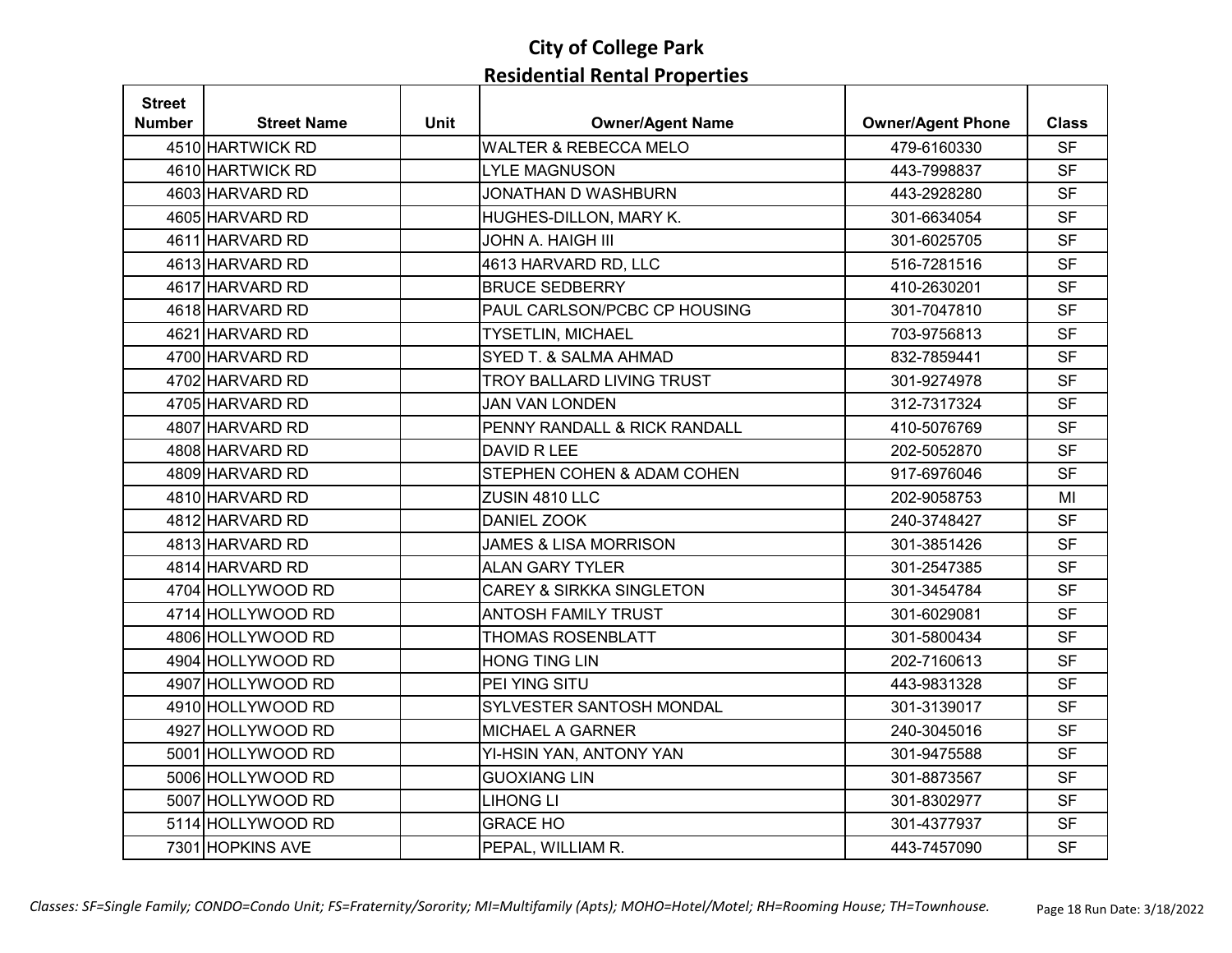| <b>Street</b> |                    |             |                                     |                          |              |
|---------------|--------------------|-------------|-------------------------------------|--------------------------|--------------|
| Number        | <b>Street Name</b> | <b>Unit</b> | <b>Owner/Agent Name</b>             | <b>Owner/Agent Phone</b> | <b>Class</b> |
|               | 4510 HARTWICK RD   |             | <b>WALTER &amp; REBECCA MELO</b>    | 479-6160330              | <b>SF</b>    |
|               | 4610 HARTWICK RD   |             | <b>LYLE MAGNUSON</b>                | 443-7998837              | <b>SF</b>    |
|               | 4603 HARVARD RD    |             | JONATHAN D WASHBURN                 | 443-2928280              | <b>SF</b>    |
|               | 4605 HARVARD RD    |             | HUGHES-DILLON, MARY K.              | 301-6634054              | <b>SF</b>    |
|               | 4611 HARVARD RD    |             | <b>JOHN A. HAIGH III</b>            | 301-6025705              | <b>SF</b>    |
|               | 4613 HARVARD RD    |             | 4613 HARVARD RD, LLC                | 516-7281516              | <b>SF</b>    |
|               | 4617 HARVARD RD    |             | <b>BRUCE SEDBERRY</b>               | 410-2630201              | <b>SF</b>    |
|               | 4618 HARVARD RD    |             | PAUL CARLSON/PCBC CP HOUSING        | 301-7047810              | <b>SF</b>    |
|               | 4621 HARVARD RD    |             | <b>TYSETLIN, MICHAEL</b>            | 703-9756813              | <b>SF</b>    |
|               | 4700 HARVARD RD    |             | SYED T. & SALMA AHMAD               | 832-7859441              | <b>SF</b>    |
|               | 4702 HARVARD RD    |             | TROY BALLARD LIVING TRUST           | 301-9274978              | <b>SF</b>    |
|               | 4705 HARVARD RD    |             | <b>JAN VAN LONDEN</b>               | 312-7317324              | <b>SF</b>    |
|               | 4807 HARVARD RD    |             | PENNY RANDALL & RICK RANDALL        | 410-5076769              | <b>SF</b>    |
|               | 4808 HARVARD RD    |             | DAVID R LEE                         | 202-5052870              | <b>SF</b>    |
|               | 4809 HARVARD RD    |             | STEPHEN COHEN & ADAM COHEN          | 917-6976046              | <b>SF</b>    |
|               | 4810 HARVARD RD    |             | ZUSIN 4810 LLC                      | 202-9058753              | MI           |
|               | 4812 HARVARD RD    |             | <b>DANIEL ZOOK</b>                  | 240-3748427              | <b>SF</b>    |
|               | 4813 HARVARD RD    |             | <b>JAMES &amp; LISA MORRISON</b>    | 301-3851426              | <b>SF</b>    |
|               | 4814 HARVARD RD    |             | <b>ALAN GARY TYLER</b>              | 301-2547385              | <b>SF</b>    |
|               | 4704 HOLLYWOOD RD  |             | <b>CAREY &amp; SIRKKA SINGLETON</b> | 301-3454784              | <b>SF</b>    |
|               | 4714 HOLLYWOOD RD  |             | <b>ANTOSH FAMILY TRUST</b>          | 301-6029081              | <b>SF</b>    |
|               | 4806 HOLLYWOOD RD  |             | <b>THOMAS ROSENBLATT</b>            | 301-5800434              | <b>SF</b>    |
|               | 4904 HOLLYWOOD RD  |             | <b>HONG TING LIN</b>                | 202-7160613              | <b>SF</b>    |
|               | 4907 HOLLYWOOD RD  |             | PEI YING SITU                       | 443-9831328              | <b>SF</b>    |
|               | 4910 HOLLYWOOD RD  |             | SYLVESTER SANTOSH MONDAL            | 301-3139017              | <b>SF</b>    |
|               | 4927 HOLLYWOOD RD  |             | MICHAEL A GARNER                    | 240-3045016              | <b>SF</b>    |
|               | 5001 HOLLYWOOD RD  |             | YI-HSIN YAN, ANTONY YAN             | 301-9475588              | <b>SF</b>    |
|               | 5006 HOLLYWOOD RD  |             | <b>GUOXIANG LIN</b>                 | 301-8873567              | <b>SF</b>    |
|               | 5007 HOLLYWOOD RD  |             | <b>LIHONG LI</b>                    | 301-8302977              | <b>SF</b>    |
|               | 5114 HOLLYWOOD RD  |             | <b>GRACE HO</b>                     | 301-4377937              | <b>SF</b>    |
|               | 7301 HOPKINS AVE   |             | PEPAL, WILLIAM R.                   | 443-7457090              | <b>SF</b>    |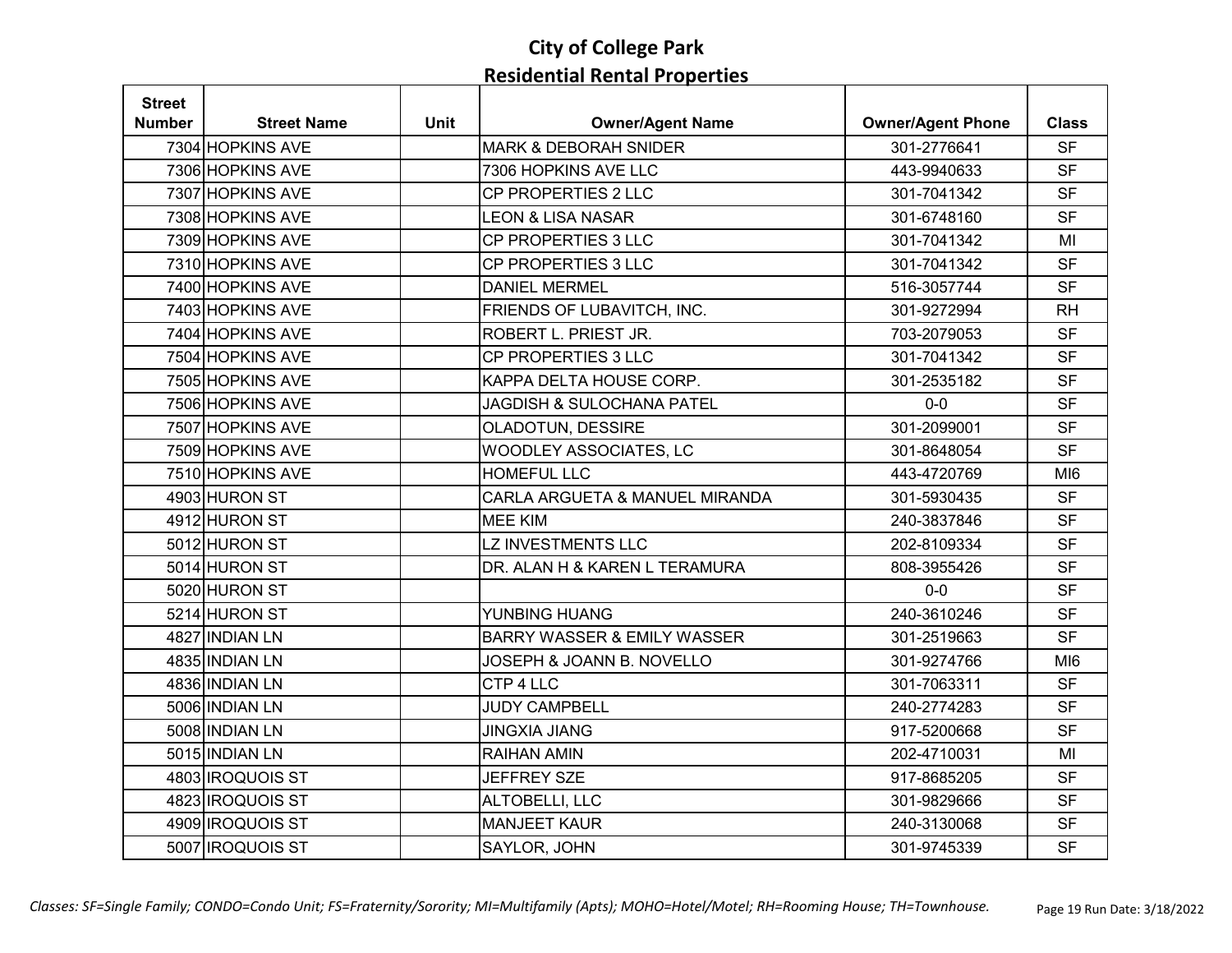| <b>Street</b> |                    |             |                                        |                          |                 |
|---------------|--------------------|-------------|----------------------------------------|--------------------------|-----------------|
| <b>Number</b> | <b>Street Name</b> | <b>Unit</b> | <b>Owner/Agent Name</b>                | <b>Owner/Agent Phone</b> | <b>Class</b>    |
|               | 7304 HOPKINS AVE   |             | <b>MARK &amp; DEBORAH SNIDER</b>       | 301-2776641              | <b>SF</b>       |
|               | 7306 HOPKINS AVE   |             | 7306 HOPKINS AVE LLC                   | 443-9940633              | <b>SF</b>       |
|               | 7307 HOPKINS AVE   |             | CP PROPERTIES 2 LLC                    | 301-7041342              | <b>SF</b>       |
|               | 7308 HOPKINS AVE   |             | <b>LEON &amp; LISA NASAR</b>           | 301-6748160              | <b>SF</b>       |
|               | 7309 HOPKINS AVE   |             | CP PROPERTIES 3 LLC                    | 301-7041342              | MI              |
|               | 7310 HOPKINS AVE   |             | CP PROPERTIES 3 LLC                    | 301-7041342              | <b>SF</b>       |
|               | 7400 HOPKINS AVE   |             | <b>DANIEL MERMEL</b>                   | 516-3057744              | <b>SF</b>       |
|               | 7403 HOPKINS AVE   |             | FRIENDS OF LUBAVITCH, INC.             | 301-9272994              | <b>RH</b>       |
|               | 7404 HOPKINS AVE   |             | ROBERT L. PRIEST JR.                   | 703-2079053              | <b>SF</b>       |
|               | 7504 HOPKINS AVE   |             | CP PROPERTIES 3 LLC                    | 301-7041342              | <b>SF</b>       |
|               | 7505 HOPKINS AVE   |             | KAPPA DELTA HOUSE CORP.                | 301-2535182              | <b>SF</b>       |
|               | 7506 HOPKINS AVE   |             | <b>JAGDISH &amp; SULOCHANA PATEL</b>   | $0 - 0$                  | <b>SF</b>       |
|               | 7507 HOPKINS AVE   |             | OLADOTUN, DESSIRE                      | 301-2099001              | <b>SF</b>       |
|               | 7509 HOPKINS AVE   |             | WOODLEY ASSOCIATES, LC                 | 301-8648054              | <b>SF</b>       |
|               | 7510 HOPKINS AVE   |             | <b>HOMEFUL LLC</b>                     | 443-4720769              | MI <sub>6</sub> |
|               | 4903 HURON ST      |             | CARLA ARGUETA & MANUEL MIRANDA         | 301-5930435              | <b>SF</b>       |
|               | 4912 HURON ST      |             | <b>MEE KIM</b>                         | 240-3837846              | <b>SF</b>       |
|               | 5012 HURON ST      |             | LZ INVESTMENTS LLC                     | 202-8109334              | <b>SF</b>       |
|               | 5014 HURON ST      |             | DR. ALAN H & KAREN L TERAMURA          | 808-3955426              | <b>SF</b>       |
|               | 5020 HURON ST      |             |                                        | $0-0$                    | <b>SF</b>       |
|               | 5214 HURON ST      |             | YUNBING HUANG                          | 240-3610246              | <b>SF</b>       |
|               | 4827 INDIAN LN     |             | <b>BARRY WASSER &amp; EMILY WASSER</b> | 301-2519663              | <b>SF</b>       |
|               | 4835 INDIAN LN     |             | JOSEPH & JOANN B. NOVELLO              | 301-9274766              | MI <sub>6</sub> |
|               | 4836 INDIAN LN     |             | CTP 4 LLC                              | 301-7063311              | <b>SF</b>       |
|               | 5006 INDIAN LN     |             | <b>JUDY CAMPBELL</b>                   | 240-2774283              | <b>SF</b>       |
|               | 5008 INDIAN LN     |             | <b>JINGXIA JIANG</b>                   | 917-5200668              | <b>SF</b>       |
|               | 5015 INDIAN LN     |             | <b>RAIHAN AMIN</b>                     | 202-4710031              | MI              |
|               | 4803 IROQUOIS ST   |             | <b>JEFFREY SZE</b>                     | 917-8685205              | <b>SF</b>       |
|               | 4823 IROQUOIS ST   |             | ALTOBELLI, LLC                         | 301-9829666              | <b>SF</b>       |
|               | 4909 IROQUOIS ST   |             | <b>MANJEET KAUR</b>                    | 240-3130068              | <b>SF</b>       |
|               | 5007 IROQUOIS ST   |             | SAYLOR, JOHN                           | 301-9745339              | <b>SF</b>       |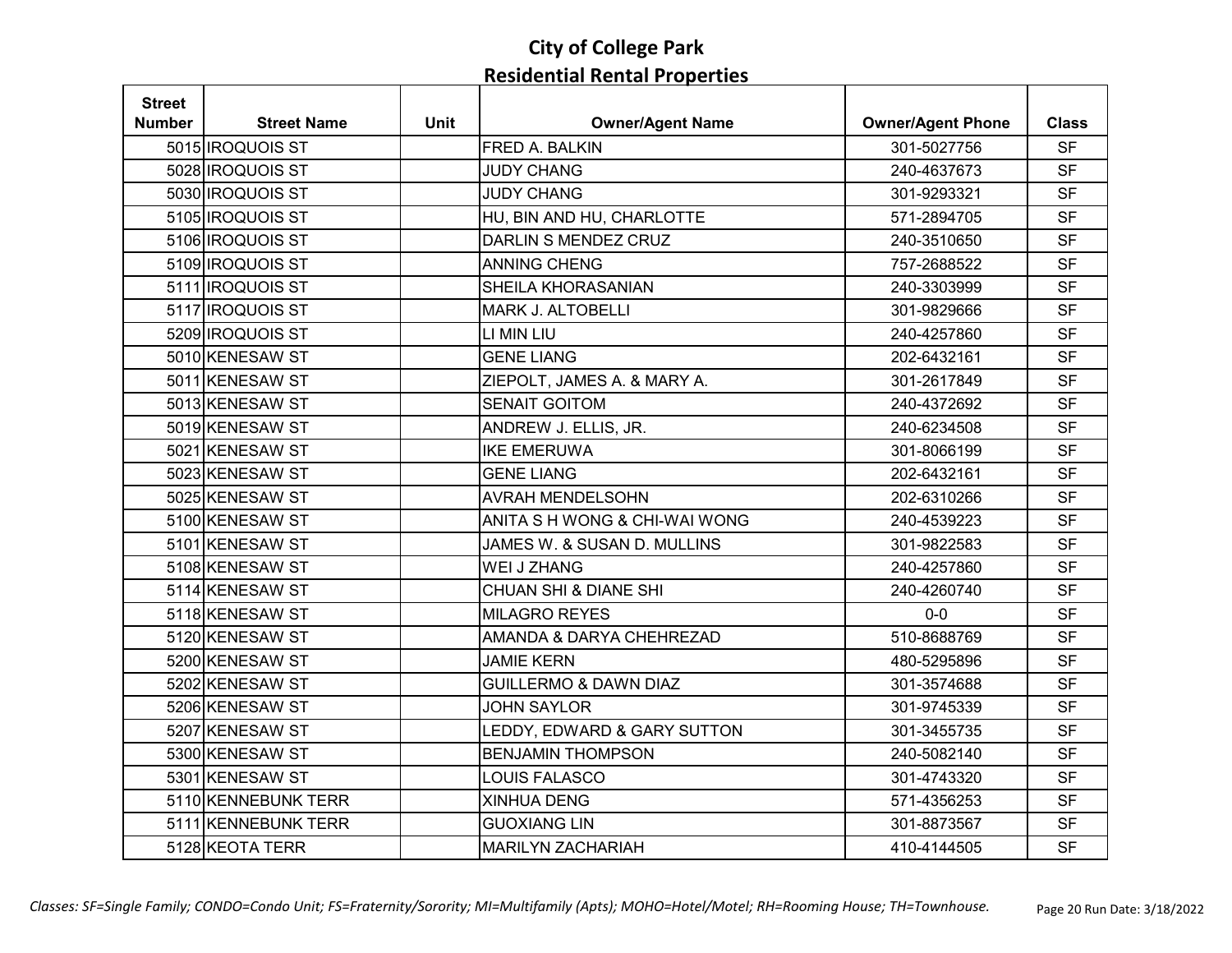| <b>Street</b> |                         |             |                                  |                          |              |
|---------------|-------------------------|-------------|----------------------------------|--------------------------|--------------|
| Number        | <b>Street Name</b>      | <b>Unit</b> | <b>Owner/Agent Name</b>          | <b>Owner/Agent Phone</b> | <b>Class</b> |
|               | 5015 IROQUOIS ST        |             | FRED A. BALKIN                   | 301-5027756              | <b>SF</b>    |
|               | 5028 IROQUOIS ST        |             | <b>JUDY CHANG</b>                | 240-4637673              | <b>SF</b>    |
|               | 5030 IROQUOIS ST        |             | <b>JUDY CHANG</b>                | 301-9293321              | <b>SF</b>    |
|               | 5105 IROQUOIS ST        |             | HU, BIN AND HU, CHARLOTTE        | 571-2894705              | <b>SF</b>    |
|               | 5106 IROQUOIS ST        |             | DARLIN S MENDEZ CRUZ             | 240-3510650              | <b>SF</b>    |
|               | 5109 IROQUOIS ST        |             | <b>ANNING CHENG</b>              | 757-2688522              | <b>SF</b>    |
|               | 5111 <b>IROQUOIS ST</b> |             | SHEILA KHORASANIAN               | 240-3303999              | <b>SF</b>    |
|               | 5117 IROQUOIS ST        |             | <b>MARK J. ALTOBELLI</b>         | 301-9829666              | <b>SF</b>    |
|               | 5209 IROQUOIS ST        |             | LI MIN LIU                       | 240-4257860              | <b>SF</b>    |
|               | 5010 KENESAW ST         |             | <b>GENE LIANG</b>                | 202-6432161              | <b>SF</b>    |
|               | 5011 KENESAW ST         |             | ZIEPOLT, JAMES A. & MARY A.      | 301-2617849              | <b>SF</b>    |
|               | 5013 KENESAW ST         |             | <b>SENAIT GOITOM</b>             | 240-4372692              | <b>SF</b>    |
|               | 5019 KENESAW ST         |             | ANDREW J. ELLIS, JR.             | 240-6234508              | <b>SF</b>    |
|               | 5021 KENESAW ST         |             | <b>IKE EMERUWA</b>               | 301-8066199              | <b>SF</b>    |
|               | 5023 KENESAW ST         |             | <b>GENE LIANG</b>                | 202-6432161              | <b>SF</b>    |
|               | 5025 KENESAW ST         |             | <b>AVRAH MENDELSOHN</b>          | 202-6310266              | <b>SF</b>    |
|               | 5100 KENESAW ST         |             | ANITA S H WONG & CHI-WAI WONG    | 240-4539223              | <b>SF</b>    |
|               | 5101 KENESAW ST         |             | JAMES W. & SUSAN D. MULLINS      | 301-9822583              | <b>SF</b>    |
|               | 5108 KENESAW ST         |             | <b>WEI J ZHANG</b>               | 240-4257860              | <b>SF</b>    |
|               | 5114 KENESAW ST         |             | <b>CHUAN SHI &amp; DIANE SHI</b> | 240-4260740              | <b>SF</b>    |
|               | 5118 KENESAW ST         |             | <b>MILAGRO REYES</b>             | $0 - 0$                  | <b>SF</b>    |
|               | 5120 KENESAW ST         |             | AMANDA & DARYA CHEHREZAD         | 510-8688769              | <b>SF</b>    |
|               | 5200 KENESAW ST         |             | <b>JAMIE KERN</b>                | 480-5295896              | <b>SF</b>    |
|               | 5202 KENESAW ST         |             | <b>GUILLERMO &amp; DAWN DIAZ</b> | 301-3574688              | <b>SF</b>    |
|               | 5206 KENESAW ST         |             | <b>JOHN SAYLOR</b>               | 301-9745339              | <b>SF</b>    |
|               | 5207 KENESAW ST         |             | LEDDY, EDWARD & GARY SUTTON      | 301-3455735              | <b>SF</b>    |
|               | 5300 KENESAW ST         |             | <b>BENJAMIN THOMPSON</b>         | 240-5082140              | <b>SF</b>    |
|               | 5301 KENESAW ST         |             | LOUIS FALASCO                    | 301-4743320              | <b>SF</b>    |
|               | 5110 KENNEBUNK TERR     |             | <b>XINHUA DENG</b>               | 571-4356253              | <b>SF</b>    |
|               | 5111 KENNEBUNK TERR     |             | <b>GUOXIANG LIN</b>              | 301-8873567              | <b>SF</b>    |
|               | 5128 KEOTA TERR         |             | <b>MARILYN ZACHARIAH</b>         | 410-4144505              | <b>SF</b>    |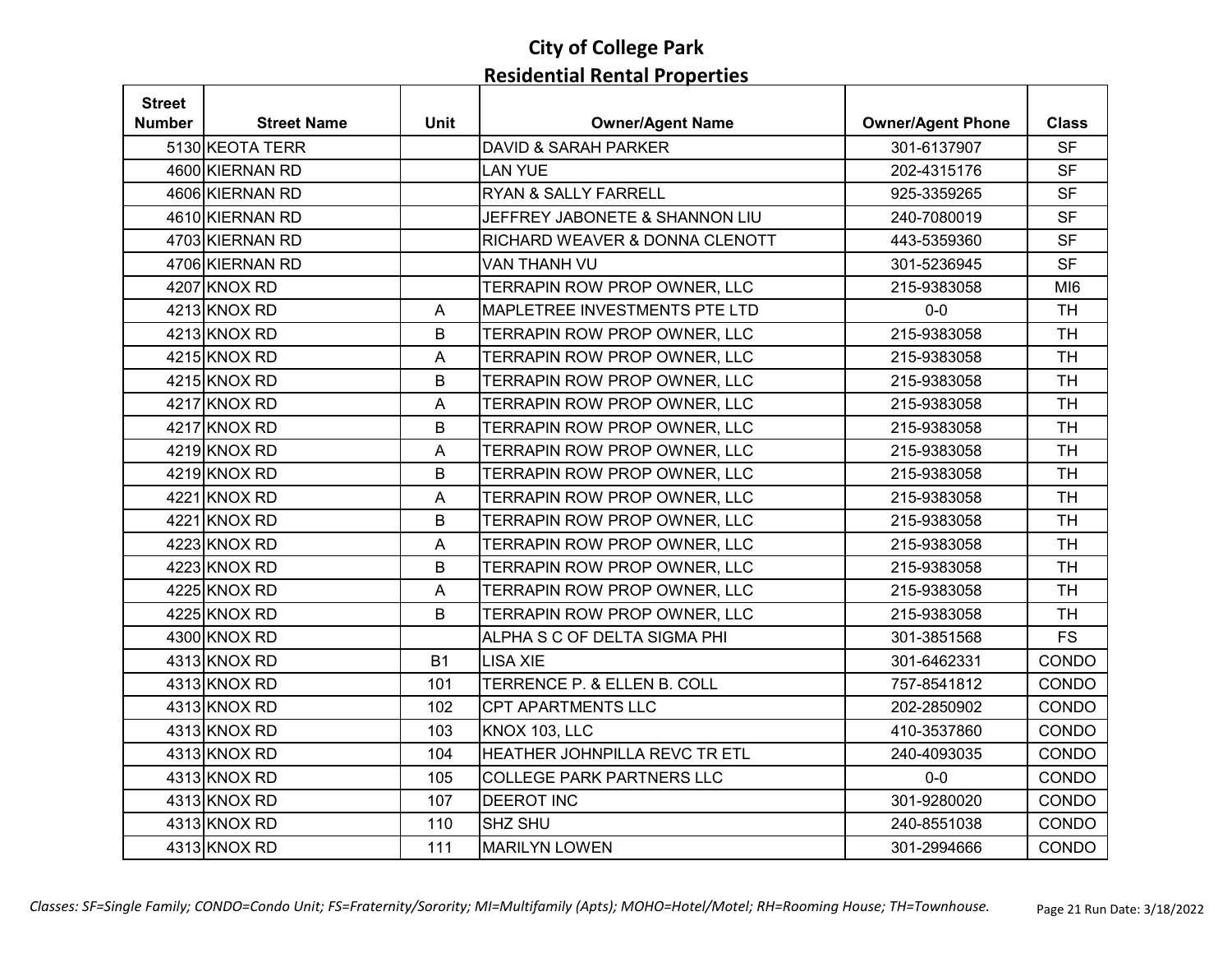| <b>Street</b> |                    |                           |                                      |                          |                 |
|---------------|--------------------|---------------------------|--------------------------------------|--------------------------|-----------------|
| <b>Number</b> | <b>Street Name</b> | <b>Unit</b>               | <b>Owner/Agent Name</b>              | <b>Owner/Agent Phone</b> | <b>Class</b>    |
|               | 5130 KEOTA TERR    |                           | <b>DAVID &amp; SARAH PARKER</b>      | 301-6137907              | <b>SF</b>       |
|               | 4600 KIERNAN RD    |                           | <b>LAN YUE</b>                       | 202-4315176              | <b>SF</b>       |
|               | 4606 KIERNAN RD    |                           | <b>RYAN &amp; SALLY FARRELL</b>      | 925-3359265              | <b>SF</b>       |
|               | 4610 KIERNAN RD    |                           | JEFFREY JABONETE & SHANNON LIU       | 240-7080019              | <b>SF</b>       |
|               | 4703 KIERNAN RD    |                           | RICHARD WEAVER & DONNA CLENOTT       | 443-5359360              | <b>SF</b>       |
|               | 4706 KIERNAN RD    |                           | VAN THANH VU                         | 301-5236945              | <b>SF</b>       |
|               | 4207 KNOX RD       |                           | TERRAPIN ROW PROP OWNER, LLC         | 215-9383058              | MI <sub>6</sub> |
|               | 4213 KNOX RD       | A                         | <b>MAPLETREE INVESTMENTS PTE LTD</b> | $0-0$                    | <b>TH</b>       |
|               | 4213 KNOX RD       | B                         | TERRAPIN ROW PROP OWNER, LLC         | 215-9383058              | <b>TH</b>       |
|               | 4215 KNOX RD       | A                         | TERRAPIN ROW PROP OWNER, LLC         | 215-9383058              | <b>TH</b>       |
|               | 4215 KNOX RD       | B                         | TERRAPIN ROW PROP OWNER, LLC         | 215-9383058              | <b>TH</b>       |
|               | 4217 KNOX RD       | $\mathsf{A}$              | TERRAPIN ROW PROP OWNER, LLC         | 215-9383058              | <b>TH</b>       |
|               | 4217 KNOX RD       | B                         | TERRAPIN ROW PROP OWNER, LLC         | 215-9383058              | <b>TH</b>       |
|               | 4219 KNOX RD       | $\mathsf A$               | TERRAPIN ROW PROP OWNER, LLC         | 215-9383058              | <b>TH</b>       |
|               | 4219 KNOX RD       | B                         | TERRAPIN ROW PROP OWNER, LLC         | 215-9383058              | <b>TH</b>       |
|               | 4221 KNOX RD       | $\mathsf{A}$              | TERRAPIN ROW PROP OWNER, LLC         | 215-9383058              | <b>TH</b>       |
|               | 4221 KNOX RD       | B                         | TERRAPIN ROW PROP OWNER, LLC         | 215-9383058              | <b>TH</b>       |
|               | 4223 KNOX RD       | $\mathsf A$               | TERRAPIN ROW PROP OWNER, LLC         | 215-9383058              | <b>TH</b>       |
|               | 4223 KNOX RD       | B                         | TERRAPIN ROW PROP OWNER, LLC         | 215-9383058              | <b>TH</b>       |
|               | 4225 KNOX RD       | $\boldsymbol{\mathsf{A}}$ | TERRAPIN ROW PROP OWNER, LLC         | 215-9383058              | <b>TH</b>       |
|               | 4225 KNOX RD       | B                         | TERRAPIN ROW PROP OWNER, LLC         | 215-9383058              | <b>TH</b>       |
|               | 4300 KNOX RD       |                           | ALPHA S C OF DELTA SIGMA PHI         | 301-3851568              | <b>FS</b>       |
|               | 4313 KNOX RD       | <b>B1</b>                 | <b>LISA XIE</b>                      | 301-6462331              | CONDO           |
|               | 4313 KNOX RD       | 101                       | TERRENCE P. & ELLEN B. COLL          | 757-8541812              | CONDO           |
|               | 4313 KNOX RD       | 102                       | <b>CPT APARTMENTS LLC</b>            | 202-2850902              | CONDO           |
|               | 4313 KNOX RD       | 103                       | <b>KNOX 103, LLC</b>                 | 410-3537860              | CONDO           |
|               | 4313 KNOX RD       | 104                       | HEATHER JOHNPILLA REVC TR ETL        | 240-4093035              | CONDO           |
|               | 4313 KNOX RD       | 105                       | <b>COLLEGE PARK PARTNERS LLC</b>     | $0-0$                    | CONDO           |
|               | 4313 KNOX RD       | 107                       | <b>DEEROT INC</b>                    | 301-9280020              | CONDO           |
|               | 4313 KNOX RD       | 110                       | <b>SHZ SHU</b>                       | 240-8551038              | <b>CONDO</b>    |
|               | 4313 KNOX RD       | 111                       | <b>MARILYN LOWEN</b>                 | 301-2994666              | CONDO           |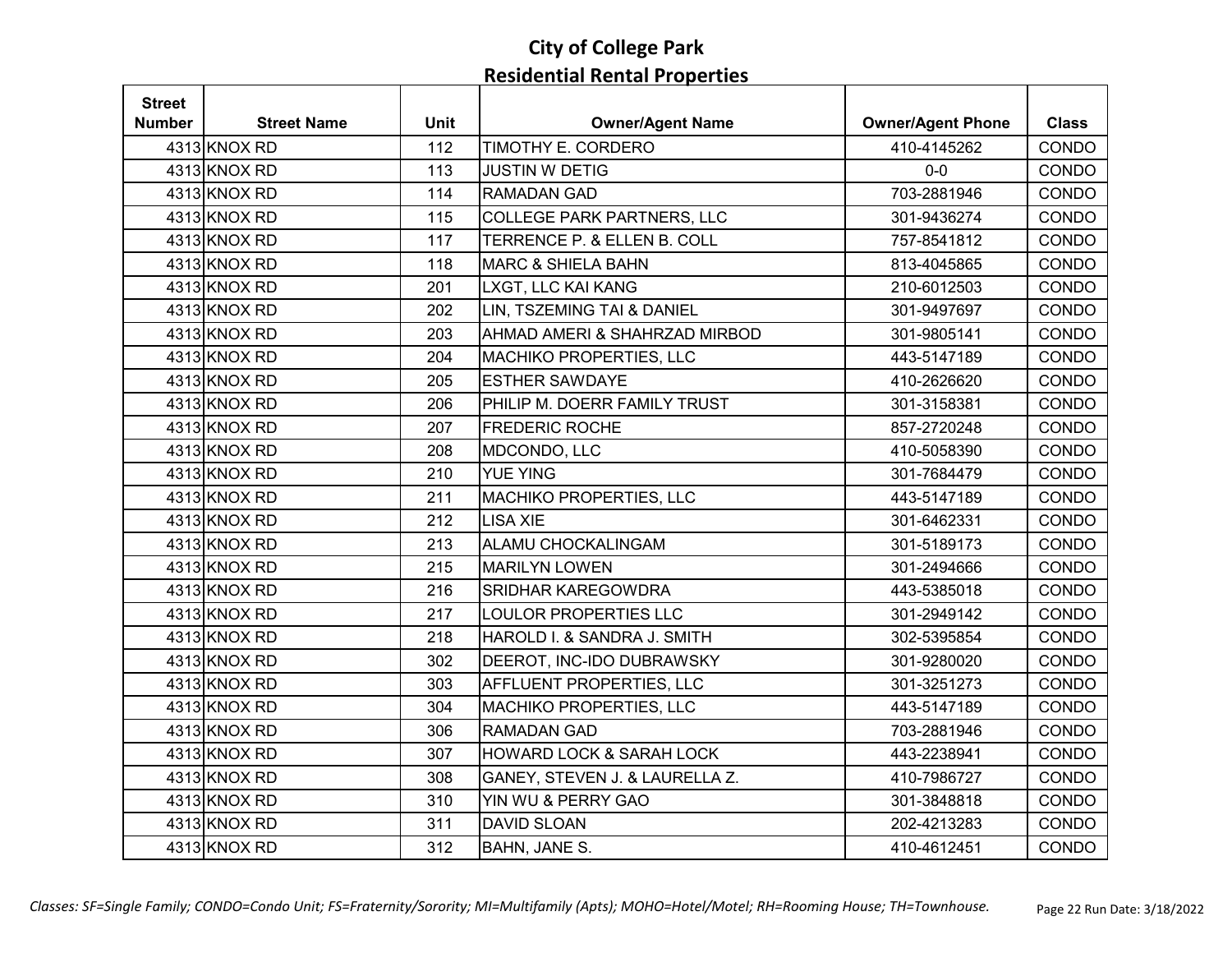| <b>Street</b> |                    |             |                                     |                          |              |
|---------------|--------------------|-------------|-------------------------------------|--------------------------|--------------|
| Number        | <b>Street Name</b> | <b>Unit</b> | <b>Owner/Agent Name</b>             | <b>Owner/Agent Phone</b> | <b>Class</b> |
|               | 4313 KNOX RD       | 112         | TIMOTHY E. CORDERO                  | 410-4145262              | CONDO        |
|               | 4313 KNOX RD       | 113         | <b>JUSTIN W DETIG</b>               | $0-0$                    | CONDO        |
|               | 4313 KNOX RD       | 114         | <b>RAMADAN GAD</b>                  | 703-2881946              | CONDO        |
|               | 4313 KNOX RD       | 115         | <b>COLLEGE PARK PARTNERS, LLC</b>   | 301-9436274              | CONDO        |
|               | 4313 KNOX RD       | 117         | TERRENCE P. & ELLEN B. COLL         | 757-8541812              | CONDO        |
|               | 4313 KNOX RD       | 118         | <b>MARC &amp; SHIELA BAHN</b>       | 813-4045865              | CONDO        |
|               | 4313 KNOX RD       | 201         | LXGT, LLC KAI KANG                  | 210-6012503              | CONDO        |
|               | 4313 KNOX RD       | 202         | LIN, TSZEMING TAI & DANIEL          | 301-9497697              | CONDO        |
|               | 4313 KNOX RD       | 203         | AHMAD AMERI & SHAHRZAD MIRBOD       | 301-9805141              | CONDO        |
|               | 4313 KNOX RD       | 204         | MACHIKO PROPERTIES, LLC             | 443-5147189              | CONDO        |
|               | 4313 KNOX RD       | 205         | <b>ESTHER SAWDAYE</b>               | 410-2626620              | CONDO        |
|               | 4313 KNOX RD       | 206         | PHILIP M. DOERR FAMILY TRUST        | 301-3158381              | CONDO        |
|               | 4313 KNOX RD       | 207         | <b>FREDERIC ROCHE</b>               | 857-2720248              | CONDO        |
|               | 4313 KNOX RD       | 208         | MDCONDO, LLC                        | 410-5058390              | CONDO        |
|               | 4313 KNOX RD       | 210         | <b>YUE YING</b>                     | 301-7684479              | CONDO        |
|               | 4313 KNOX RD       | 211         | <b>MACHIKO PROPERTIES, LLC</b>      | 443-5147189              | CONDO        |
|               | 4313 KNOX RD       | 212         | <b>LISA XIE</b>                     | 301-6462331              | CONDO        |
|               | 4313 KNOX RD       | 213         | ALAMU CHOCKALINGAM                  | 301-5189173              | CONDO        |
|               | 4313 KNOX RD       | 215         | <b>MARILYN LOWEN</b>                | 301-2494666              | CONDO        |
|               | 4313 KNOX RD       | 216         | <b>SRIDHAR KAREGOWDRA</b>           | 443-5385018              | CONDO        |
|               | 4313 KNOX RD       | 217         | <b>LOULOR PROPERTIES LLC</b>        | 301-2949142              | CONDO        |
|               | 4313 KNOX RD       | 218         | HAROLD I. & SANDRA J. SMITH         | 302-5395854              | CONDO        |
|               | 4313 KNOX RD       | 302         | DEEROT, INC-IDO DUBRAWSKY           | 301-9280020              | CONDO        |
|               | 4313 KNOX RD       | 303         | AFFLUENT PROPERTIES, LLC            | 301-3251273              | CONDO        |
|               | 4313 KNOX RD       | 304         | <b>MACHIKO PROPERTIES, LLC</b>      | 443-5147189              | CONDO        |
|               | 4313 KNOX RD       | 306         | <b>RAMADAN GAD</b>                  | 703-2881946              | CONDO        |
|               | 4313 KNOX RD       | 307         | <b>HOWARD LOCK &amp; SARAH LOCK</b> | 443-2238941              | CONDO        |
|               | 4313 KNOX RD       | 308         | GANEY, STEVEN J. & LAURELLA Z.      | 410-7986727              | CONDO        |
|               | 4313 KNOX RD       | 310         | YIN WU & PERRY GAO                  | 301-3848818              | CONDO        |
|               | 4313 KNOX RD       | 311         | <b>DAVID SLOAN</b>                  | 202-4213283              | CONDO        |
|               | 4313 KNOX RD       | 312         | BAHN, JANE S.                       | 410-4612451              | CONDO        |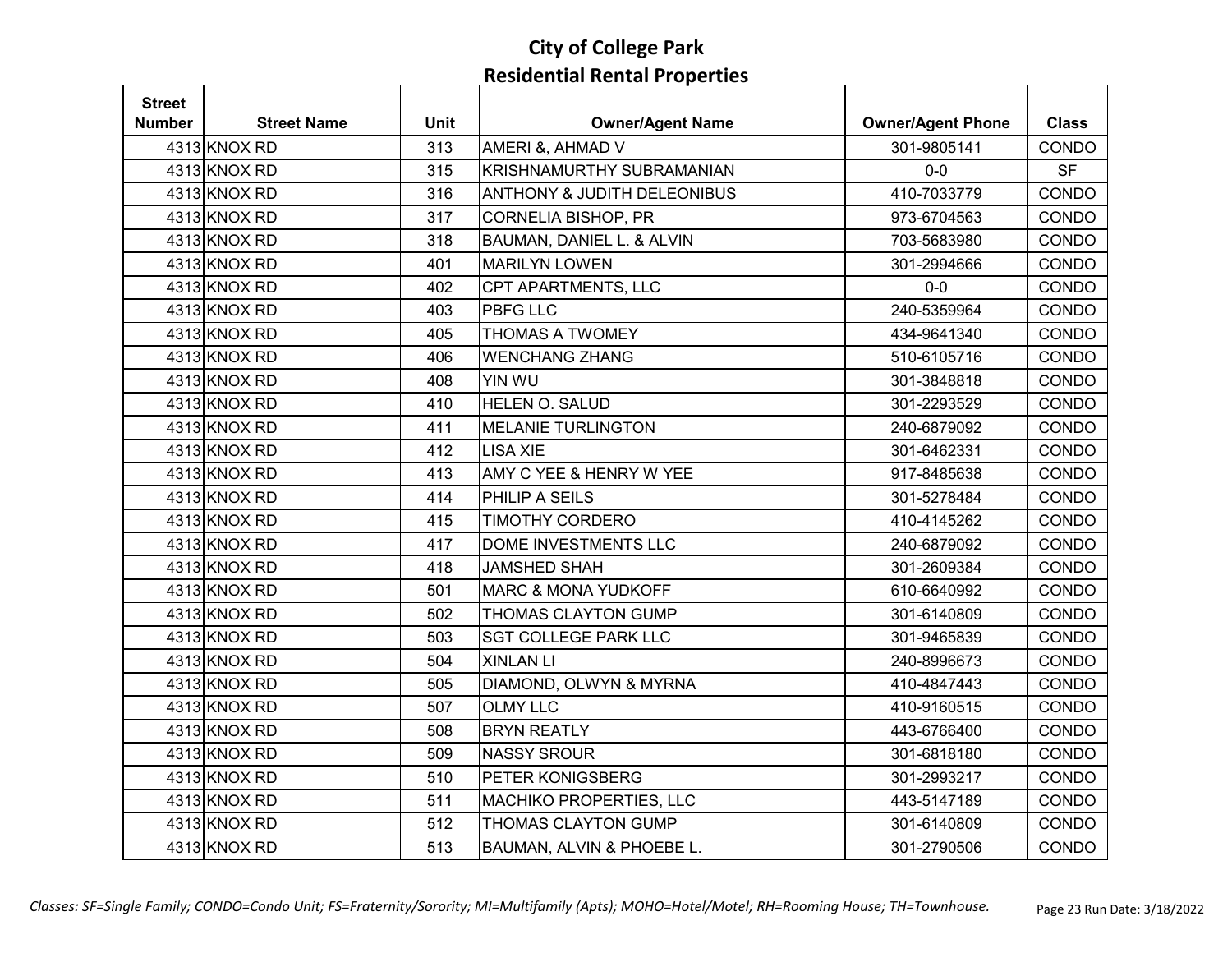| <b>Street</b> |                    |             |                                        |                          |              |
|---------------|--------------------|-------------|----------------------------------------|--------------------------|--------------|
| Number        | <b>Street Name</b> | <b>Unit</b> | <b>Owner/Agent Name</b>                | <b>Owner/Agent Phone</b> | <b>Class</b> |
|               | 4313 KNOX RD       | 313         | AMERI &, AHMAD V                       | 301-9805141              | CONDO        |
|               | 4313 KNOX RD       | 315         | KRISHNAMURTHY SUBRAMANIAN              | $0-0$                    | <b>SF</b>    |
|               | 4313 KNOX RD       | 316         | <b>ANTHONY &amp; JUDITH DELEONIBUS</b> | 410-7033779              | CONDO        |
|               | 4313 KNOX RD       | 317         | <b>CORNELIA BISHOP, PR</b>             | 973-6704563              | CONDO        |
|               | 4313 KNOX RD       | 318         | BAUMAN, DANIEL L. & ALVIN              | 703-5683980              | CONDO        |
|               | 4313 KNOX RD       | 401         | <b>MARILYN LOWEN</b>                   | 301-2994666              | CONDO        |
|               | 4313 KNOX RD       | 402         | CPT APARTMENTS, LLC                    | $0-0$                    | CONDO        |
|               | 4313 KNOX RD       | 403         | <b>PBFG LLC</b>                        | 240-5359964              | CONDO        |
|               | 4313 KNOX RD       | 405         | <b>THOMAS A TWOMEY</b>                 | 434-9641340              | CONDO        |
|               | 4313 KNOX RD       | 406         | <b>WENCHANG ZHANG</b>                  | 510-6105716              | CONDO        |
|               | 4313 KNOX RD       | 408         | YIN WU                                 | 301-3848818              | CONDO        |
|               | 4313 KNOX RD       | 410         | HELEN O. SALUD                         | 301-2293529              | CONDO        |
|               | 4313 KNOX RD       | 411         | <b>MELANIE TURLINGTON</b>              | 240-6879092              | CONDO        |
|               | 4313 KNOX RD       | 412         | <b>LISA XIE</b>                        | 301-6462331              | CONDO        |
|               | 4313 KNOX RD       | 413         | AMY C YEE & HENRY W YEE                | 917-8485638              | CONDO        |
|               | 4313 KNOX RD       | 414         | PHILIP A SEILS                         | 301-5278484              | CONDO        |
|               | 4313 KNOX RD       | 415         | TIMOTHY CORDERO                        | 410-4145262              | CONDO        |
|               | 4313 KNOX RD       | 417         | DOME INVESTMENTS LLC                   | 240-6879092              | CONDO        |
|               | 4313 KNOX RD       | 418         | <b>JAMSHED SHAH</b>                    | 301-2609384              | CONDO        |
|               | 4313 KNOX RD       | 501         | <b>MARC &amp; MONA YUDKOFF</b>         | 610-6640992              | CONDO        |
|               | 4313 KNOX RD       | 502         | <b>THOMAS CLAYTON GUMP</b>             | 301-6140809              | CONDO        |
|               | 4313 KNOX RD       | 503         | <b>SGT COLLEGE PARK LLC</b>            | 301-9465839              | CONDO        |
|               | 4313 KNOX RD       | 504         | <b>XINLAN LI</b>                       | 240-8996673              | CONDO        |
|               | 4313 KNOX RD       | 505         | DIAMOND, OLWYN & MYRNA                 | 410-4847443              | CONDO        |
|               | 4313 KNOX RD       | 507         | <b>OLMY LLC</b>                        | 410-9160515              | CONDO        |
|               | 4313 KNOX RD       | 508         | <b>BRYN REATLY</b>                     | 443-6766400              | CONDO        |
|               | 4313 KNOX RD       | 509         | <b>NASSY SROUR</b>                     | 301-6818180              | CONDO        |
|               | 4313 KNOX RD       | 510         | PETER KONIGSBERG                       | 301-2993217              | CONDO        |
|               | 4313 KNOX RD       | 511         | <b>MACHIKO PROPERTIES, LLC</b>         | 443-5147189              | CONDO        |
|               | 4313 KNOX RD       | 512         | THOMAS CLAYTON GUMP                    | 301-6140809              | CONDO        |
|               | 4313 KNOX RD       | 513         | BAUMAN, ALVIN & PHOEBE L.              | 301-2790506              | CONDO        |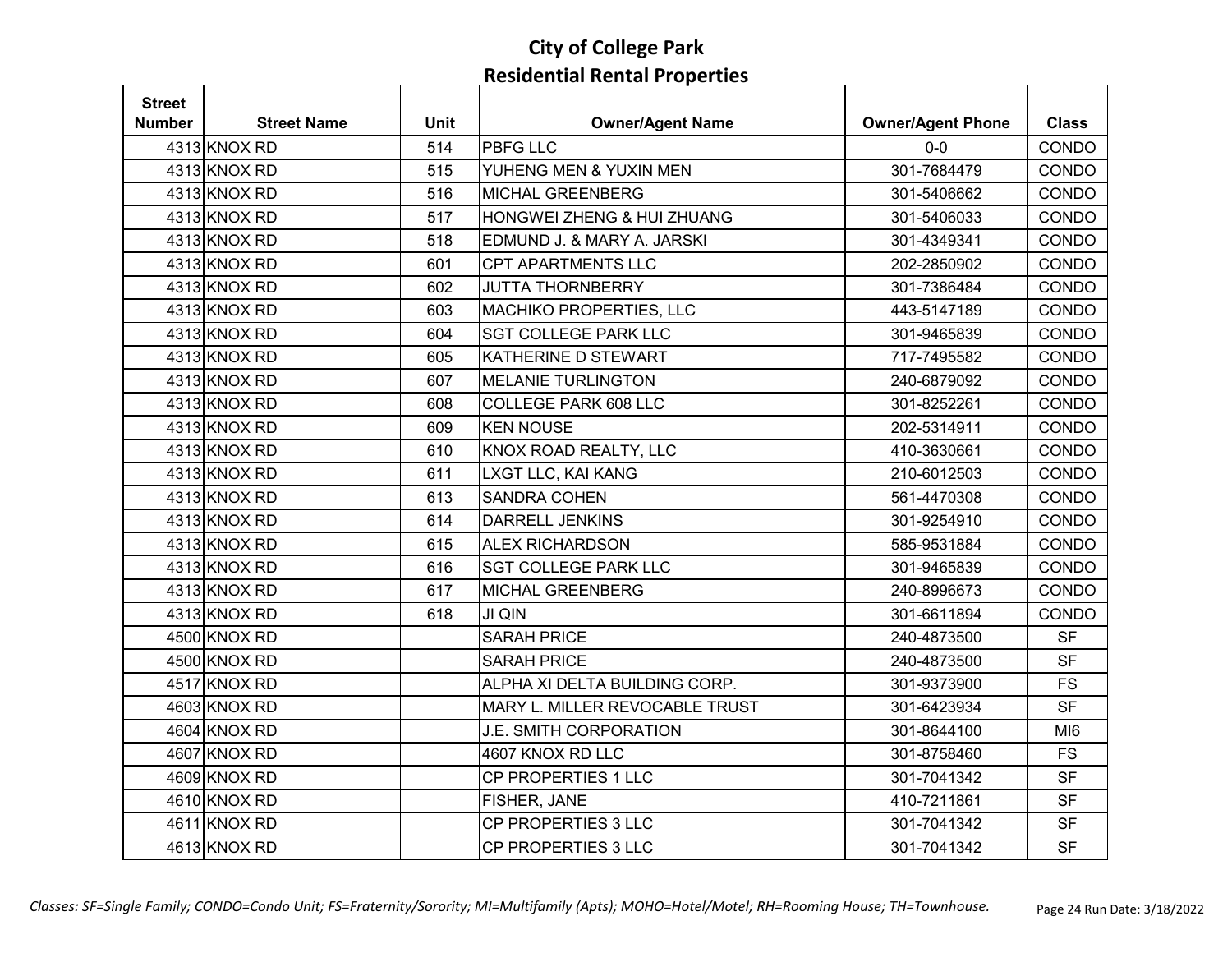| <b>Street</b> |                    |             |                                |                          |                 |
|---------------|--------------------|-------------|--------------------------------|--------------------------|-----------------|
| <b>Number</b> | <b>Street Name</b> | <b>Unit</b> | <b>Owner/Agent Name</b>        | <b>Owner/Agent Phone</b> | <b>Class</b>    |
|               | 4313 KNOX RD       | 514         | <b>PBFG LLC</b>                | $0-0$                    | CONDO           |
|               | 4313 KNOX RD       | 515         | YUHENG MEN & YUXIN MEN         | 301-7684479              | CONDO           |
|               | 4313 KNOX RD       | 516         | <b>MICHAL GREENBERG</b>        | 301-5406662              | CONDO           |
|               | 4313 KNOX RD       | 517         | HONGWEI ZHENG & HUI ZHUANG     | 301-5406033              | CONDO           |
|               | 4313 KNOX RD       | 518         | EDMUND J. & MARY A. JARSKI     | 301-4349341              | CONDO           |
|               | 4313 KNOX RD       | 601         | <b>CPT APARTMENTS LLC</b>      | 202-2850902              | CONDO           |
|               | 4313 KNOX RD       | 602         | <b>JUTTA THORNBERRY</b>        | 301-7386484              | CONDO           |
|               | 4313 KNOX RD       | 603         | <b>MACHIKO PROPERTIES, LLC</b> | 443-5147189              | CONDO           |
|               | 4313 KNOX RD       | 604         | <b>SGT COLLEGE PARK LLC</b>    | 301-9465839              | CONDO           |
|               | 4313 KNOX RD       | 605         | KATHERINE D STEWART            | 717-7495582              | CONDO           |
|               | 4313 KNOX RD       | 607         | <b>MELANIE TURLINGTON</b>      | 240-6879092              | CONDO           |
|               | 4313 KNOX RD       | 608         | <b>COLLEGE PARK 608 LLC</b>    | 301-8252261              | CONDO           |
|               | 4313 KNOX RD       | 609         | <b>KEN NOUSE</b>               | 202-5314911              | CONDO           |
|               | 4313 KNOX RD       | 610         | KNOX ROAD REALTY, LLC          | 410-3630661              | CONDO           |
|               | 4313 KNOX RD       | 611         | LXGT LLC, KAI KANG             | 210-6012503              | CONDO           |
|               | 4313 KNOX RD       | 613         | <b>SANDRA COHEN</b>            | 561-4470308              | CONDO           |
|               | 4313 KNOX RD       | 614         | <b>DARRELL JENKINS</b>         | 301-9254910              | CONDO           |
|               | 4313 KNOX RD       | 615         | <b>ALEX RICHARDSON</b>         | 585-9531884              | CONDO           |
|               | 4313 KNOX RD       | 616         | <b>SGT COLLEGE PARK LLC</b>    | 301-9465839              | CONDO           |
|               | 4313 KNOX RD       | 617         | <b>MICHAL GREENBERG</b>        | 240-8996673              | CONDO           |
|               | 4313 KNOX RD       | 618         | <b>JI QIN</b>                  | 301-6611894              | CONDO           |
|               | 4500 KNOX RD       |             | <b>SARAH PRICE</b>             | 240-4873500              | <b>SF</b>       |
|               | 4500 KNOX RD       |             | <b>SARAH PRICE</b>             | 240-4873500              | <b>SF</b>       |
|               | 4517 KNOX RD       |             | ALPHA XI DELTA BUILDING CORP.  | 301-9373900              | <b>FS</b>       |
|               | 4603 KNOX RD       |             | MARY L. MILLER REVOCABLE TRUST | 301-6423934              | <b>SF</b>       |
|               | 4604 KNOX RD       |             | J.E. SMITH CORPORATION         | 301-8644100              | MI <sub>6</sub> |
|               | 4607 KNOX RD       |             | 4607 KNOX RD LLC               | 301-8758460              | <b>FS</b>       |
|               | 4609 KNOX RD       |             | CP PROPERTIES 1 LLC            | 301-7041342              | <b>SF</b>       |
|               | 4610 KNOX RD       |             | FISHER, JANE                   | 410-7211861              | <b>SF</b>       |
|               | 4611 KNOX RD       |             | CP PROPERTIES 3 LLC            | 301-7041342              | <b>SF</b>       |
|               | 4613 KNOX RD       |             | CP PROPERTIES 3 LLC            | 301-7041342              | <b>SF</b>       |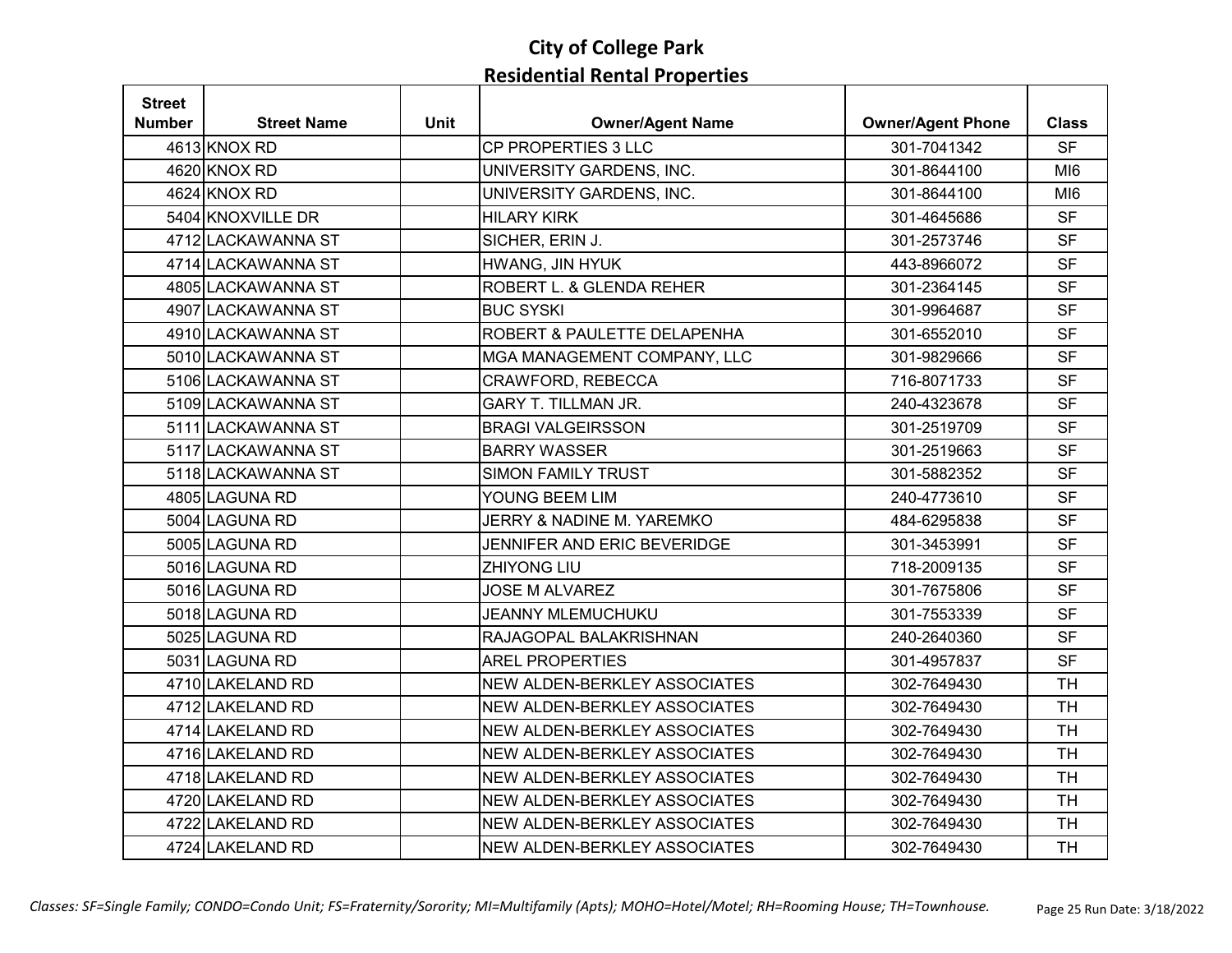| <b>Street</b> |                    |             |                              |                          |                 |
|---------------|--------------------|-------------|------------------------------|--------------------------|-----------------|
| <b>Number</b> | <b>Street Name</b> | <b>Unit</b> | <b>Owner/Agent Name</b>      | <b>Owner/Agent Phone</b> | <b>Class</b>    |
|               | 4613 KNOX RD       |             | CP PROPERTIES 3 LLC          | 301-7041342              | <b>SF</b>       |
|               | 4620 KNOX RD       |             | UNIVERSITY GARDENS, INC.     | 301-8644100              | MI <sub>6</sub> |
|               | 4624 KNOX RD       |             | UNIVERSITY GARDENS, INC.     | 301-8644100              | MI <sub>6</sub> |
|               | 5404 KNOXVILLE DR  |             | <b>HILARY KIRK</b>           | 301-4645686              | <b>SF</b>       |
|               | 4712 LACKAWANNA ST |             | SICHER, ERIN J.              | 301-2573746              | <b>SF</b>       |
|               | 4714 LACKAWANNA ST |             | HWANG, JIN HYUK              | 443-8966072              | <b>SF</b>       |
|               | 4805 LACKAWANNA ST |             | ROBERT L. & GLENDA REHER     | 301-2364145              | <b>SF</b>       |
|               | 4907 LACKAWANNA ST |             | <b>BUC SYSKI</b>             | 301-9964687              | <b>SF</b>       |
|               | 4910 LACKAWANNA ST |             | ROBERT & PAULETTE DELAPENHA  | 301-6552010              | <b>SF</b>       |
|               | 5010 LACKAWANNA ST |             | MGA MANAGEMENT COMPANY, LLC  | 301-9829666              | <b>SF</b>       |
|               | 5106LACKAWANNA ST  |             | CRAWFORD, REBECCA            | 716-8071733              | <b>SF</b>       |
|               | 5109 LACKAWANNA ST |             | <b>GARY T. TILLMAN JR.</b>   | 240-4323678              | <b>SF</b>       |
|               | 5111 LACKAWANNA ST |             | <b>BRAGI VALGEIRSSON</b>     | 301-2519709              | <b>SF</b>       |
|               | 5117 LACKAWANNA ST |             | <b>BARRY WASSER</b>          | 301-2519663              | <b>SF</b>       |
|               | 5118 LACKAWANNA ST |             | <b>SIMON FAMILY TRUST</b>    | 301-5882352              | <b>SF</b>       |
|               | 4805 LAGUNA RD     |             | YOUNG BEEM LIM               | 240-4773610              | <b>SF</b>       |
|               | 5004 LAGUNA RD     |             | JERRY & NADINE M. YAREMKO    | 484-6295838              | <b>SF</b>       |
|               | 5005 LAGUNA RD     |             | JENNIFER AND ERIC BEVERIDGE  | 301-3453991              | <b>SF</b>       |
|               | 5016 LAGUNA RD     |             | <b>ZHIYONG LIU</b>           | 718-2009135              | <b>SF</b>       |
|               | 5016 LAGUNA RD     |             | <b>JOSE M ALVAREZ</b>        | 301-7675806              | <b>SF</b>       |
|               | 5018 LAGUNA RD     |             | <b>JEANNY MLEMUCHUKU</b>     | 301-7553339              | <b>SF</b>       |
|               | 5025 LAGUNA RD     |             | RAJAGOPAL BALAKRISHNAN       | 240-2640360              | <b>SF</b>       |
|               | 5031 LAGUNA RD     |             | <b>AREL PROPERTIES</b>       | 301-4957837              | <b>SF</b>       |
|               | 4710 LAKELAND RD   |             | NEW ALDEN-BERKLEY ASSOCIATES | 302-7649430              | <b>TH</b>       |
|               | 4712 LAKELAND RD   |             | NEW ALDEN-BERKLEY ASSOCIATES | 302-7649430              | <b>TH</b>       |
|               | 4714 LAKELAND RD   |             | NEW ALDEN-BERKLEY ASSOCIATES | 302-7649430              | <b>TH</b>       |
|               | 4716 LAKELAND RD   |             | NEW ALDEN-BERKLEY ASSOCIATES | 302-7649430              | <b>TH</b>       |
|               | 4718 LAKELAND RD   |             | NEW ALDEN-BERKLEY ASSOCIATES | 302-7649430              | <b>TH</b>       |
|               | 4720 LAKELAND RD   |             | NEW ALDEN-BERKLEY ASSOCIATES | 302-7649430              | <b>TH</b>       |
|               | 4722 LAKELAND RD   |             | NEW ALDEN-BERKLEY ASSOCIATES | 302-7649430              | <b>TH</b>       |
|               | 4724 LAKELAND RD   |             | NEW ALDEN-BERKLEY ASSOCIATES | 302-7649430              | <b>TH</b>       |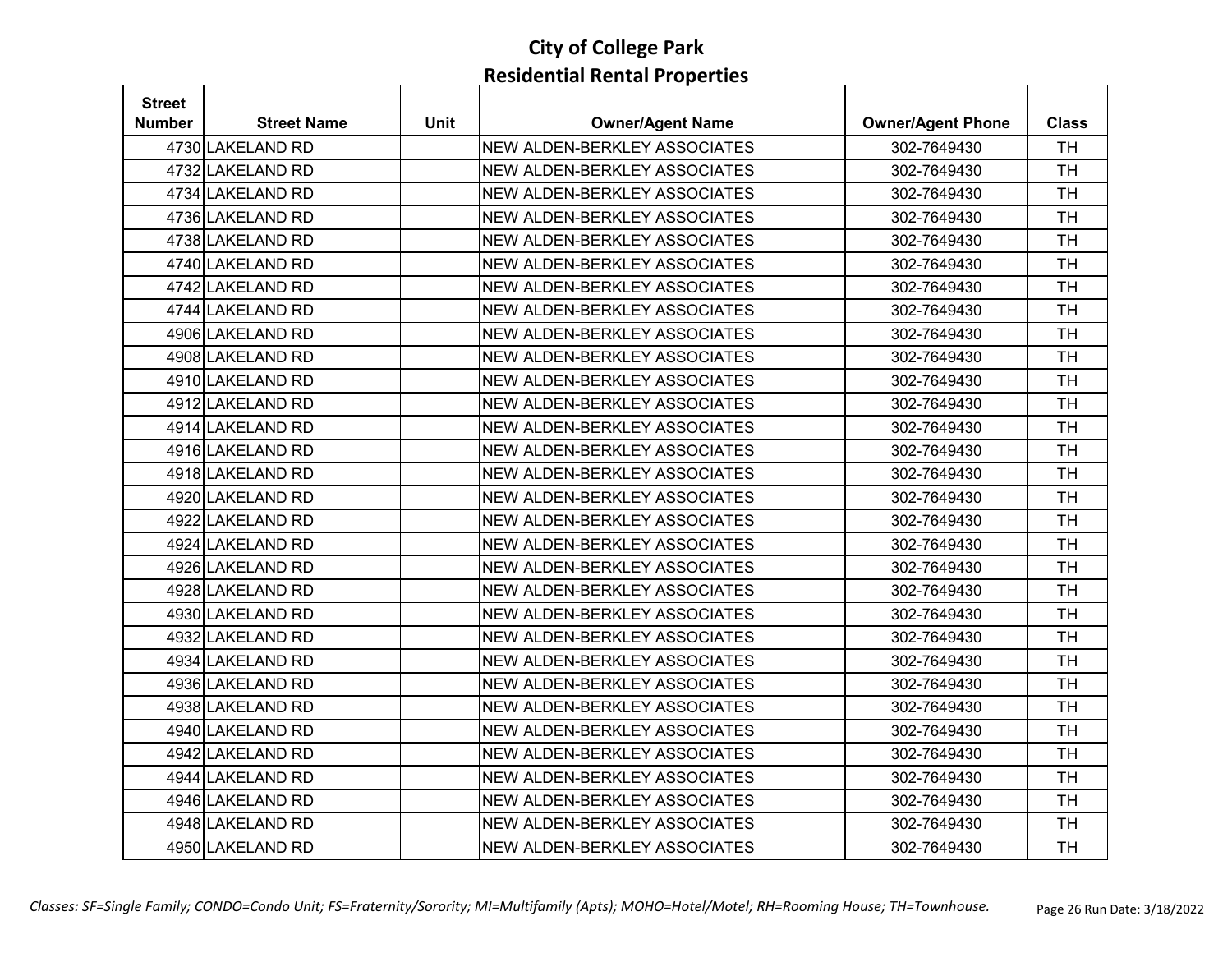| <b>Street</b> |                    |             |                              |                          |              |
|---------------|--------------------|-------------|------------------------------|--------------------------|--------------|
| <b>Number</b> | <b>Street Name</b> | <b>Unit</b> | <b>Owner/Agent Name</b>      | <b>Owner/Agent Phone</b> | <b>Class</b> |
|               | 4730 LAKELAND RD   |             | NEW ALDEN-BERKLEY ASSOCIATES | 302-7649430              | <b>TH</b>    |
|               | 4732 LAKELAND RD   |             | NEW ALDEN-BERKLEY ASSOCIATES | 302-7649430              | <b>TH</b>    |
|               | 4734 LAKELAND RD   |             | NEW ALDEN-BERKLEY ASSOCIATES | 302-7649430              | <b>TH</b>    |
|               | 4736 LAKELAND RD   |             | NEW ALDEN-BERKLEY ASSOCIATES | 302-7649430              | <b>TH</b>    |
|               | 4738 LAKELAND RD   |             | NEW ALDEN-BERKLEY ASSOCIATES | 302-7649430              | <b>TH</b>    |
|               | 4740 LAKELAND RD   |             | NEW ALDEN-BERKLEY ASSOCIATES | 302-7649430              | <b>TH</b>    |
|               | 4742 LAKELAND RD   |             | NEW ALDEN-BERKLEY ASSOCIATES | 302-7649430              | <b>TH</b>    |
|               | 4744 LAKELAND RD   |             | NEW ALDEN-BERKLEY ASSOCIATES | 302-7649430              | <b>TH</b>    |
|               | 4906 LAKELAND RD   |             | NEW ALDEN-BERKLEY ASSOCIATES | 302-7649430              | <b>TH</b>    |
|               | 4908 LAKELAND RD   |             | NEW ALDEN-BERKLEY ASSOCIATES | 302-7649430              | <b>TH</b>    |
|               | 4910 LAKELAND RD   |             | NEW ALDEN-BERKLEY ASSOCIATES | 302-7649430              | <b>TH</b>    |
|               | 4912 LAKELAND RD   |             | NEW ALDEN-BERKLEY ASSOCIATES | 302-7649430              | <b>TH</b>    |
|               | 4914 LAKELAND RD   |             | NEW ALDEN-BERKLEY ASSOCIATES | 302-7649430              | <b>TH</b>    |
|               | 4916 LAKELAND RD   |             | NEW ALDEN-BERKLEY ASSOCIATES | 302-7649430              | <b>TH</b>    |
|               | 4918 LAKELAND RD   |             | NEW ALDEN-BERKLEY ASSOCIATES | 302-7649430              | <b>TH</b>    |
|               | 4920 LAKELAND RD   |             | NEW ALDEN-BERKLEY ASSOCIATES | 302-7649430              | <b>TH</b>    |
|               | 4922 LAKELAND RD   |             | NEW ALDEN-BERKLEY ASSOCIATES | 302-7649430              | <b>TH</b>    |
|               | 4924 LAKELAND RD   |             | NEW ALDEN-BERKLEY ASSOCIATES | 302-7649430              | <b>TH</b>    |
|               | 4926 LAKELAND RD   |             | NEW ALDEN-BERKLEY ASSOCIATES | 302-7649430              | <b>TH</b>    |
|               | 4928 LAKELAND RD   |             | NEW ALDEN-BERKLEY ASSOCIATES | 302-7649430              | <b>TH</b>    |
|               | 4930 LAKELAND RD   |             | NEW ALDEN-BERKLEY ASSOCIATES | 302-7649430              | <b>TH</b>    |
|               | 4932 LAKELAND RD   |             | NEW ALDEN-BERKLEY ASSOCIATES | 302-7649430              | <b>TH</b>    |
|               | 4934 LAKELAND RD   |             | NEW ALDEN-BERKLEY ASSOCIATES | 302-7649430              | <b>TH</b>    |
|               | 4936 LAKELAND RD   |             | NEW ALDEN-BERKLEY ASSOCIATES | 302-7649430              | <b>TH</b>    |
|               | 4938 LAKELAND RD   |             | NEW ALDEN-BERKLEY ASSOCIATES | 302-7649430              | <b>TH</b>    |
|               | 4940 LAKELAND RD   |             | NEW ALDEN-BERKLEY ASSOCIATES | 302-7649430              | <b>TH</b>    |
|               | 4942 LAKELAND RD   |             | NEW ALDEN-BERKLEY ASSOCIATES | 302-7649430              | <b>TH</b>    |
|               | 4944 LAKELAND RD   |             | NEW ALDEN-BERKLEY ASSOCIATES | 302-7649430              | <b>TH</b>    |
|               | 4946 LAKELAND RD   |             | NEW ALDEN-BERKLEY ASSOCIATES | 302-7649430              | <b>TH</b>    |
|               | 4948 LAKELAND RD   |             | NEW ALDEN-BERKLEY ASSOCIATES | 302-7649430              | <b>TH</b>    |
|               | 4950 LAKELAND RD   |             | NEW ALDEN-BERKLEY ASSOCIATES | 302-7649430              | <b>TH</b>    |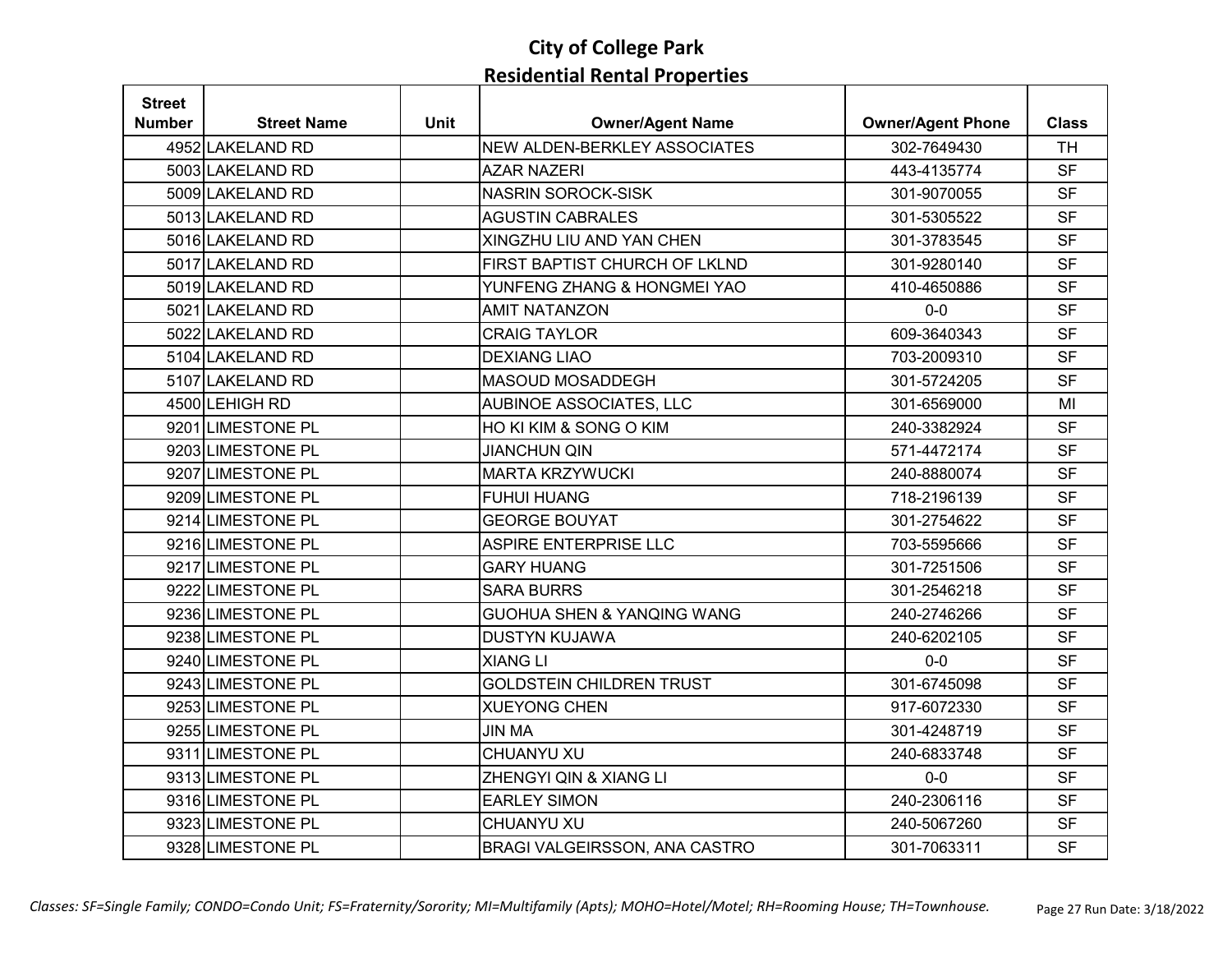| <b>Street</b> |                    |             |                                       |                          |              |
|---------------|--------------------|-------------|---------------------------------------|--------------------------|--------------|
| <b>Number</b> | <b>Street Name</b> | <b>Unit</b> | <b>Owner/Agent Name</b>               | <b>Owner/Agent Phone</b> | <b>Class</b> |
|               | 4952 LAKELAND RD   |             | <b>NEW ALDEN-BERKLEY ASSOCIATES</b>   | 302-7649430              | <b>TH</b>    |
|               | 5003 LAKELAND RD   |             | <b>AZAR NAZERI</b>                    | 443-4135774              | <b>SF</b>    |
|               | 5009 LAKELAND RD   |             | <b>NASRIN SOROCK-SISK</b>             | 301-9070055              | <b>SF</b>    |
|               | 5013 LAKELAND RD   |             | <b>AGUSTIN CABRALES</b>               | 301-5305522              | <b>SF</b>    |
|               | 5016 LAKELAND RD   |             | XINGZHU LIU AND YAN CHEN              | 301-3783545              | <b>SF</b>    |
|               | 5017 LAKELAND RD   |             | FIRST BAPTIST CHURCH OF LKLND         | 301-9280140              | <b>SF</b>    |
|               | 5019 LAKELAND RD   |             | YUNFENG ZHANG & HONGMEI YAO           | 410-4650886              | <b>SF</b>    |
|               | 5021 LAKELAND RD   |             | <b>AMIT NATANZON</b>                  | $0-0$                    | <b>SF</b>    |
|               | 5022 LAKELAND RD   |             | <b>CRAIG TAYLOR</b>                   | 609-3640343              | <b>SF</b>    |
|               | 5104 LAKELAND RD   |             | <b>DEXIANG LIAO</b>                   | 703-2009310              | <b>SF</b>    |
|               | 5107 LAKELAND RD   |             | MASOUD MOSADDEGH                      | 301-5724205              | <b>SF</b>    |
|               | 4500 LEHIGH RD     |             | AUBINOE ASSOCIATES, LLC               | 301-6569000              | MI           |
|               | 9201 LIMESTONE PL  |             | HO KI KIM & SONG O KIM                | 240-3382924              | <b>SF</b>    |
|               | 9203 LIMESTONE PL  |             | <b>JIANCHUN QIN</b>                   | 571-4472174              | <b>SF</b>    |
|               | 9207 LIMESTONE PL  |             | <b>MARTA KRZYWUCKI</b>                | 240-8880074              | <b>SF</b>    |
|               | 9209 LIMESTONE PL  |             | <b>FUHUI HUANG</b>                    | 718-2196139              | <b>SF</b>    |
|               | 9214 LIMESTONE PL  |             | <b>GEORGE BOUYAT</b>                  | 301-2754622              | <b>SF</b>    |
|               | 9216 LIMESTONE PL  |             | ASPIRE ENTERPRISE LLC                 | 703-5595666              | <b>SF</b>    |
|               | 9217 LIMESTONE PL  |             | <b>GARY HUANG</b>                     | 301-7251506              | <b>SF</b>    |
|               | 9222 LIMESTONE PL  |             | <b>SARA BURRS</b>                     | 301-2546218              | <b>SF</b>    |
|               | 9236 LIMESTONE PL  |             | <b>GUOHUA SHEN &amp; YANQING WANG</b> | 240-2746266              | <b>SF</b>    |
|               | 9238 LIMESTONE PL  |             | <b>DUSTYN KUJAWA</b>                  | 240-6202105              | <b>SF</b>    |
|               | 9240 LIMESTONE PL  |             | <b>XIANG LI</b>                       | $0-0$                    | <b>SF</b>    |
|               | 9243 LIMESTONE PL  |             | <b>GOLDSTEIN CHILDREN TRUST</b>       | 301-6745098              | <b>SF</b>    |
|               | 9253 LIMESTONE PL  |             | <b>XUEYONG CHEN</b>                   | 917-6072330              | <b>SF</b>    |
|               | 9255 LIMESTONE PL  |             | <b>JIN MA</b>                         | 301-4248719              | <b>SF</b>    |
|               | 9311 LIMESTONE PL  |             | CHUANYU XU                            | 240-6833748              | <b>SF</b>    |
|               | 9313 LIMESTONE PL  |             | ZHENGYI QIN & XIANG LI                | $0-0$                    | <b>SF</b>    |
|               | 9316 LIMESTONE PL  |             | <b>EARLEY SIMON</b>                   | 240-2306116              | <b>SF</b>    |
|               | 9323 LIMESTONE PL  |             | CHUANYU XU                            | 240-5067260              | <b>SF</b>    |
|               | 9328 LIMESTONE PL  |             | BRAGI VALGEIRSSON, ANA CASTRO         | 301-7063311              | <b>SF</b>    |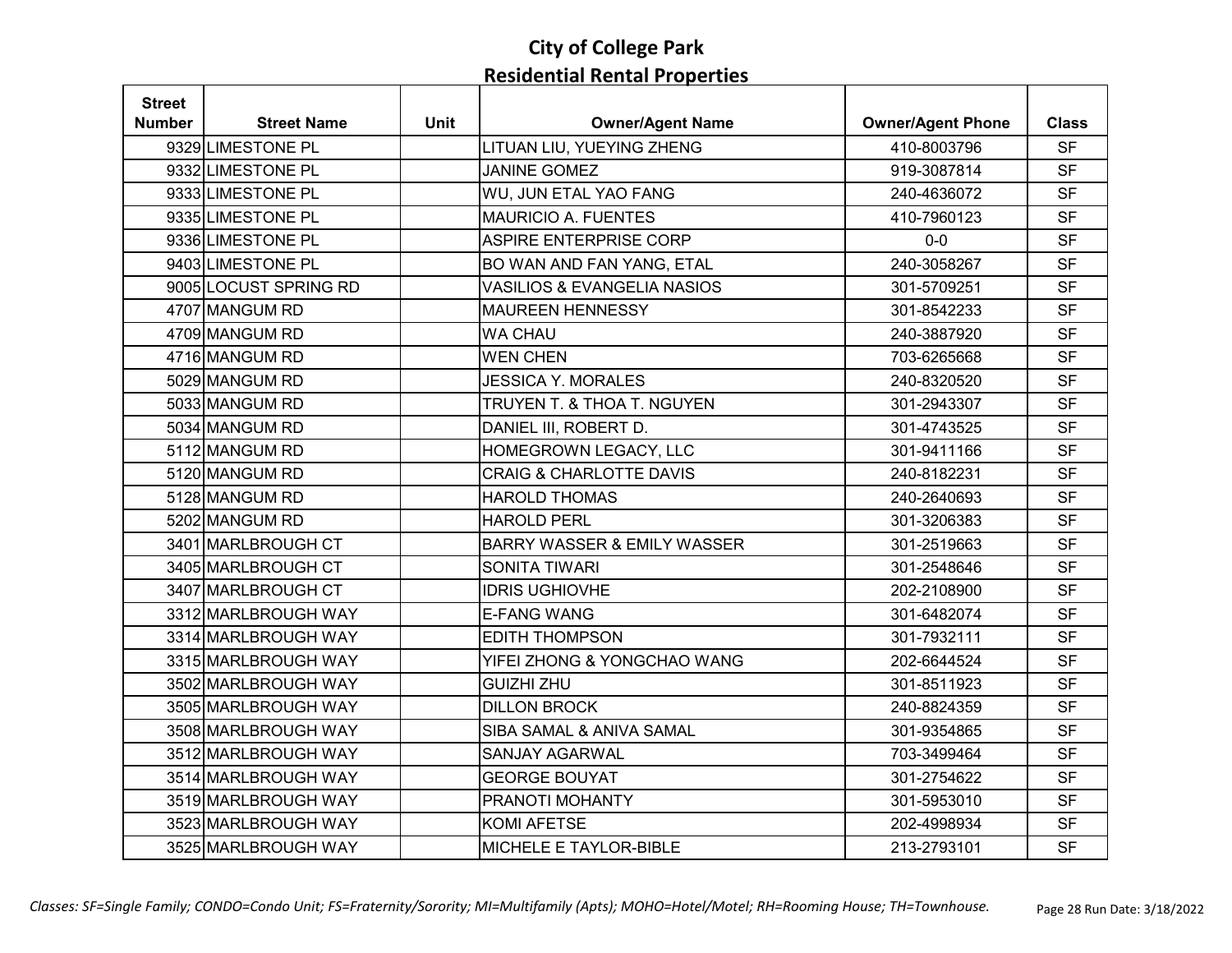| <b>Street</b> |                       |             |                                        |                          |              |
|---------------|-----------------------|-------------|----------------------------------------|--------------------------|--------------|
| <b>Number</b> | <b>Street Name</b>    | <b>Unit</b> | <b>Owner/Agent Name</b>                | <b>Owner/Agent Phone</b> | <b>Class</b> |
|               | 9329 LIMESTONE PL     |             | LITUAN LIU, YUEYING ZHENG              | 410-8003796              | <b>SF</b>    |
|               | 9332 LIMESTONE PL     |             | <b>JANINE GOMEZ</b>                    | 919-3087814              | <b>SF</b>    |
|               | 9333 LIMESTONE PL     |             | WU, JUN ETAL YAO FANG                  | 240-4636072              | <b>SF</b>    |
|               | 9335 LIMESTONE PL     |             | <b>MAURICIO A. FUENTES</b>             | 410-7960123              | <b>SF</b>    |
|               | 9336 LIMESTONE PL     |             | <b>ASPIRE ENTERPRISE CORP</b>          | $0-0$                    | <b>SF</b>    |
|               | 9403 LIMESTONE PL     |             | BO WAN AND FAN YANG, ETAL              | 240-3058267              | <b>SF</b>    |
|               | 9005 LOCUST SPRING RD |             | <b>VASILIOS &amp; EVANGELIA NASIOS</b> | 301-5709251              | <b>SF</b>    |
|               | 4707 MANGUM RD        |             | <b>MAUREEN HENNESSY</b>                | 301-8542233              | <b>SF</b>    |
|               | 4709 MANGUM RD        |             | <b>WA CHAU</b>                         | 240-3887920              | <b>SF</b>    |
|               | 4716 MANGUM RD        |             | <b>WEN CHEN</b>                        | 703-6265668              | <b>SF</b>    |
|               | 5029 MANGUM RD        |             | <b>JESSICA Y. MORALES</b>              | 240-8320520              | <b>SF</b>    |
|               | 5033 MANGUM RD        |             | TRUYEN T. & THOA T. NGUYEN             | 301-2943307              | <b>SF</b>    |
|               | 5034 MANGUM RD        |             | DANIEL III, ROBERT D.                  | 301-4743525              | <b>SF</b>    |
|               | 5112 MANGUM RD        |             | HOMEGROWN LEGACY, LLC                  | 301-9411166              | <b>SF</b>    |
|               | 5120 MANGUM RD        |             | <b>CRAIG &amp; CHARLOTTE DAVIS</b>     | 240-8182231              | <b>SF</b>    |
|               | 5128 MANGUM RD        |             | <b>HAROLD THOMAS</b>                   | 240-2640693              | <b>SF</b>    |
|               | 5202 MANGUM RD        |             | <b>HAROLD PERL</b>                     | 301-3206383              | <b>SF</b>    |
|               | 3401 MARLBROUGH CT    |             | <b>BARRY WASSER &amp; EMILY WASSER</b> | 301-2519663              | <b>SF</b>    |
|               | 3405 MARLBROUGH CT    |             | <b>SONITA TIWARI</b>                   | 301-2548646              | <b>SF</b>    |
|               | 3407 MARLBROUGH CT    |             | <b>IDRIS UGHIOVHE</b>                  | 202-2108900              | <b>SF</b>    |
|               | 3312 MARLBROUGH WAY   |             | <b>E-FANG WANG</b>                     | 301-6482074              | <b>SF</b>    |
|               | 3314 MARLBROUGH WAY   |             | <b>EDITH THOMPSON</b>                  | 301-7932111              | <b>SF</b>    |
|               | 3315 MARLBROUGH WAY   |             | YIFEI ZHONG & YONGCHAO WANG            | 202-6644524              | <b>SF</b>    |
|               | 3502 MARLBROUGH WAY   |             | <b>GUIZHI ZHU</b>                      | 301-8511923              | <b>SF</b>    |
|               | 3505 MARLBROUGH WAY   |             | <b>DILLON BROCK</b>                    | 240-8824359              | <b>SF</b>    |
|               | 3508 MARLBROUGH WAY   |             | SIBA SAMAL & ANIVA SAMAL               | 301-9354865              | <b>SF</b>    |
|               | 3512 MARLBROUGH WAY   |             | SANJAY AGARWAL                         | 703-3499464              | <b>SF</b>    |
|               | 3514 MARLBROUGH WAY   |             | <b>GEORGE BOUYAT</b>                   | 301-2754622              | <b>SF</b>    |
|               | 3519 MARLBROUGH WAY   |             | PRANOTI MOHANTY                        | 301-5953010              | <b>SF</b>    |
|               | 3523 MARLBROUGH WAY   |             | <b>KOMI AFETSE</b>                     | 202-4998934              | <b>SF</b>    |
|               | 3525 MARLBROUGH WAY   |             | MICHELE E TAYLOR-BIBLE                 | 213-2793101              | <b>SF</b>    |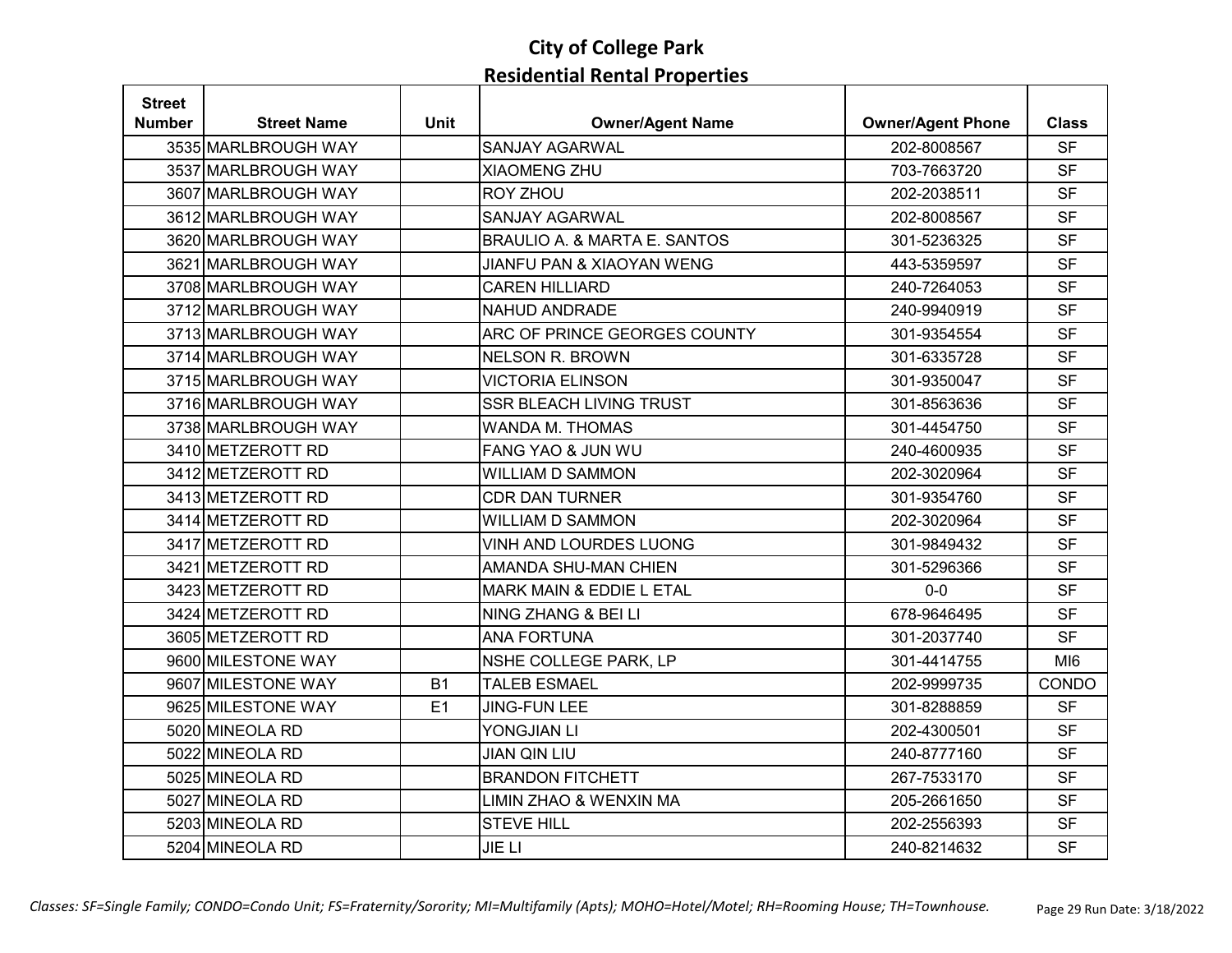| <b>Street</b> |                     |             |                                |                          |                 |
|---------------|---------------------|-------------|--------------------------------|--------------------------|-----------------|
| <b>Number</b> | <b>Street Name</b>  | <b>Unit</b> | <b>Owner/Agent Name</b>        | <b>Owner/Agent Phone</b> | <b>Class</b>    |
|               | 3535 MARLBROUGH WAY |             | <b>SANJAY AGARWAL</b>          | 202-8008567              | <b>SF</b>       |
|               | 3537 MARLBROUGH WAY |             | <b>XIAOMENG ZHU</b>            | 703-7663720              | <b>SF</b>       |
|               | 3607 MARLBROUGH WAY |             | <b>ROY ZHOU</b>                | 202-2038511              | <b>SF</b>       |
|               | 3612 MARLBROUGH WAY |             | <b>SANJAY AGARWAL</b>          | 202-8008567              | <b>SF</b>       |
|               | 3620 MARLBROUGH WAY |             | BRAULIO A. & MARTA E. SANTOS   | 301-5236325              | <b>SF</b>       |
|               | 3621 MARLBROUGH WAY |             | JIANFU PAN & XIAOYAN WENG      | 443-5359597              | <b>SF</b>       |
|               | 3708 MARLBROUGH WAY |             | <b>CAREN HILLIARD</b>          | 240-7264053              | <b>SF</b>       |
|               | 3712 MARLBROUGH WAY |             | NAHUD ANDRADE                  | 240-9940919              | <b>SF</b>       |
|               | 3713 MARLBROUGH WAY |             | ARC OF PRINCE GEORGES COUNTY   | 301-9354554              | <b>SF</b>       |
|               | 3714 MARLBROUGH WAY |             | <b>NELSON R. BROWN</b>         | 301-6335728              | <b>SF</b>       |
|               | 3715 MARLBROUGH WAY |             | <b>VICTORIA ELINSON</b>        | 301-9350047              | <b>SF</b>       |
|               | 3716 MARLBROUGH WAY |             | <b>SSR BLEACH LIVING TRUST</b> | 301-8563636              | <b>SF</b>       |
|               | 3738 MARLBROUGH WAY |             | <b>WANDA M. THOMAS</b>         | 301-4454750              | <b>SF</b>       |
|               | 3410 METZEROTT RD   |             | FANG YAO & JUN WU              | 240-4600935              | <b>SF</b>       |
|               | 3412 METZEROTT RD   |             | <b>WILLIAM D SAMMON</b>        | 202-3020964              | <b>SF</b>       |
|               | 3413 METZEROTT RD   |             | <b>CDR DAN TURNER</b>          | 301-9354760              | <b>SF</b>       |
|               | 3414 METZEROTT RD   |             | <b>WILLIAM D SAMMON</b>        | 202-3020964              | <b>SF</b>       |
|               | 3417 METZEROTT RD   |             | VINH AND LOURDES LUONG         | 301-9849432              | <b>SF</b>       |
|               | 3421 METZEROTT RD   |             | AMANDA SHU-MAN CHIEN           | 301-5296366              | <b>SF</b>       |
|               | 3423 METZEROTT RD   |             | MARK MAIN & EDDIE L ETAL       | $0-0$                    | <b>SF</b>       |
|               | 3424 METZEROTT RD   |             | NING ZHANG & BEI LI            | 678-9646495              | <b>SF</b>       |
|               | 3605 METZEROTT RD   |             | <b>ANA FORTUNA</b>             | 301-2037740              | <b>SF</b>       |
|               | 9600 MILESTONE WAY  |             | NSHE COLLEGE PARK, LP          | 301-4414755              | MI <sub>6</sub> |
|               | 9607 MILESTONE WAY  | <b>B1</b>   | <b>TALEB ESMAEL</b>            | 202-9999735              | CONDO           |
|               | 9625 MILESTONE WAY  | E1          | <b>JING-FUN LEE</b>            | 301-8288859              | <b>SF</b>       |
|               | 5020 MINEOLA RD     |             | YONGJIAN LI                    | 202-4300501              | <b>SF</b>       |
|               | 5022 MINEOLA RD     |             | <b>JIAN QIN LIU</b>            | 240-8777160              | <b>SF</b>       |
|               | 5025 MINEOLA RD     |             | <b>BRANDON FITCHETT</b>        | 267-7533170              | <b>SF</b>       |
|               | 5027 MINEOLA RD     |             | LIMIN ZHAO & WENXIN MA         | 205-2661650              | <b>SF</b>       |
|               | 5203 MINEOLA RD     |             | <b>STEVE HILL</b>              | 202-2556393              | <b>SF</b>       |
|               | 5204 MINEOLA RD     |             | <b>JIE LI</b>                  | 240-8214632              | <b>SF</b>       |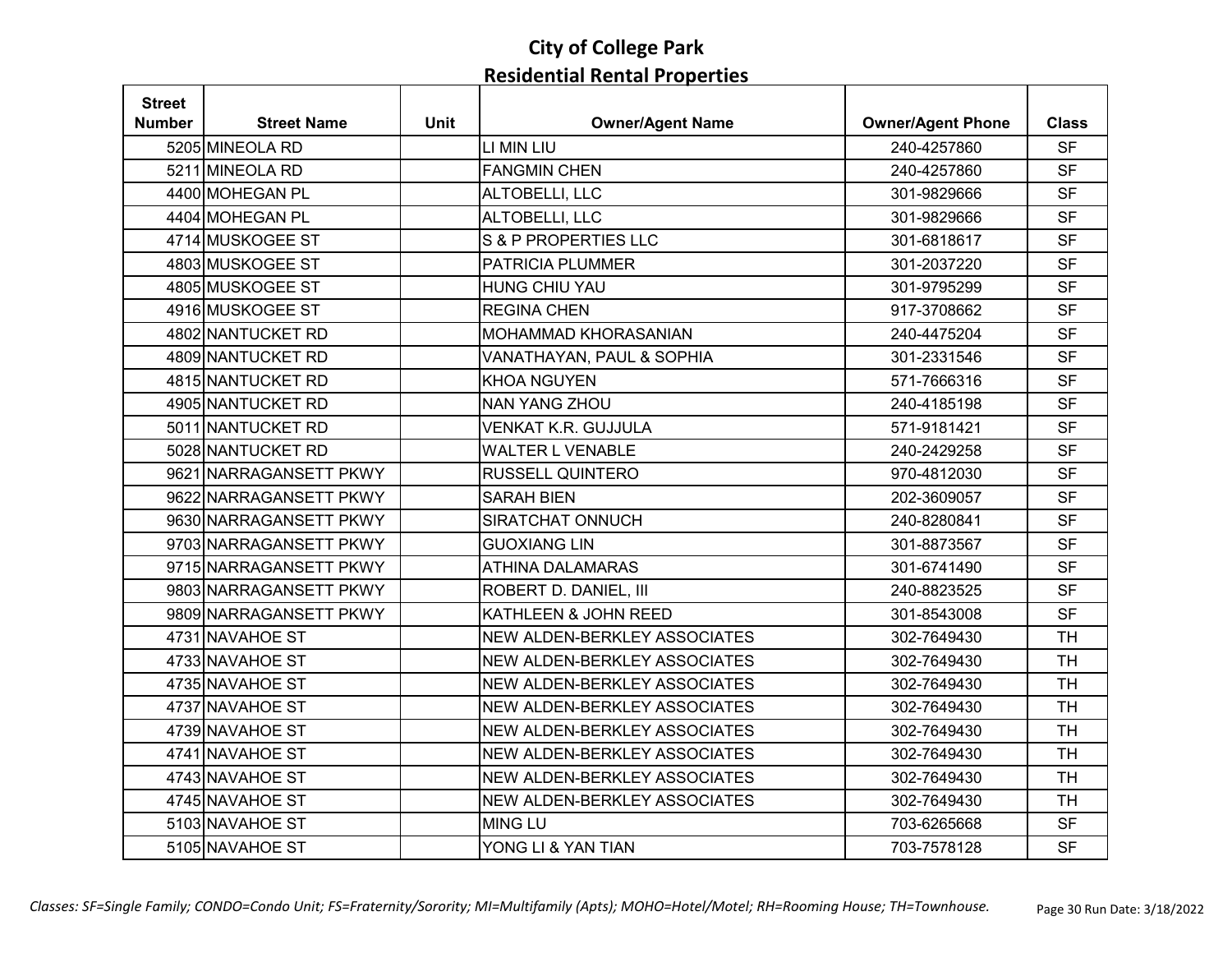| <b>Street</b> |                        |             |                                 |                          |              |
|---------------|------------------------|-------------|---------------------------------|--------------------------|--------------|
| Number        | <b>Street Name</b>     | <b>Unit</b> | <b>Owner/Agent Name</b>         | <b>Owner/Agent Phone</b> | <b>Class</b> |
|               | 5205 MINEOLA RD        |             | LI MIN LIU                      | 240-4257860              | <b>SF</b>    |
|               | 5211 MINEOLA RD        |             | <b>FANGMIN CHEN</b>             | 240-4257860              | <b>SF</b>    |
|               | 4400 MOHEGAN PL        |             | ALTOBELLI, LLC                  | 301-9829666              | <b>SF</b>    |
|               | 4404 MOHEGAN PL        |             | ALTOBELLI, LLC                  | 301-9829666              | <b>SF</b>    |
|               | 4714 MUSKOGEE ST       |             | <b>S &amp; P PROPERTIES LLC</b> | 301-6818617              | <b>SF</b>    |
|               | 4803 MUSKOGEE ST       |             | PATRICIA PLUMMER                | 301-2037220              | <b>SF</b>    |
|               | 4805 MUSKOGEE ST       |             | <b>HUNG CHIU YAU</b>            | 301-9795299              | <b>SF</b>    |
|               | 4916 MUSKOGEE ST       |             | <b>REGINA CHEN</b>              | 917-3708662              | <b>SF</b>    |
|               | 4802 NANTUCKET RD      |             | MOHAMMAD KHORASANIAN            | 240-4475204              | <b>SF</b>    |
|               | 4809 NANTUCKET RD      |             | VANATHAYAN, PAUL & SOPHIA       | 301-2331546              | <b>SF</b>    |
|               | 4815 NANTUCKET RD      |             | <b>KHOA NGUYEN</b>              | 571-7666316              | <b>SF</b>    |
|               | 4905 NANTUCKET RD      |             | <b>NAN YANG ZHOU</b>            | 240-4185198              | <b>SF</b>    |
|               | 5011 NANTUCKET RD      |             | <b>VENKAT K.R. GUJJULA</b>      | 571-9181421              | <b>SF</b>    |
|               | 5028 NANTUCKET RD      |             | <b>WALTER L VENABLE</b>         | 240-2429258              | <b>SF</b>    |
|               | 9621 NARRAGANSETT PKWY |             | <b>RUSSELL QUINTERO</b>         | 970-4812030              | <b>SF</b>    |
|               | 9622 NARRAGANSETT PKWY |             | <b>SARAH BIEN</b>               | 202-3609057              | <b>SF</b>    |
|               | 9630 NARRAGANSETT PKWY |             | <b>SIRATCHAT ONNUCH</b>         | 240-8280841              | <b>SF</b>    |
|               | 9703 NARRAGANSETT PKWY |             | <b>GUOXIANG LIN</b>             | 301-8873567              | <b>SF</b>    |
|               | 9715 NARRAGANSETT PKWY |             | <b>ATHINA DALAMARAS</b>         | 301-6741490              | <b>SF</b>    |
|               | 9803 NARRAGANSETT PKWY |             | ROBERT D. DANIEL, III           | 240-8823525              | <b>SF</b>    |
|               | 9809 NARRAGANSETT PKWY |             | KATHLEEN & JOHN REED            | 301-8543008              | <b>SF</b>    |
|               | 4731 NAVAHOE ST        |             | NEW ALDEN-BERKLEY ASSOCIATES    | 302-7649430              | <b>TH</b>    |
|               | 4733 NAVAHOE ST        |             | NEW ALDEN-BERKLEY ASSOCIATES    | 302-7649430              | <b>TH</b>    |
|               | 4735 NAVAHOE ST        |             | NEW ALDEN-BERKLEY ASSOCIATES    | 302-7649430              | <b>TH</b>    |
|               | 4737 NAVAHOE ST        |             | NEW ALDEN-BERKLEY ASSOCIATES    | 302-7649430              | <b>TH</b>    |
|               | 4739 NAVAHOE ST        |             | NEW ALDEN-BERKLEY ASSOCIATES    | 302-7649430              | <b>TH</b>    |
|               | 4741 NAVAHOE ST        |             | NEW ALDEN-BERKLEY ASSOCIATES    | 302-7649430              | <b>TH</b>    |
|               | 4743 NAVAHOE ST        |             | NEW ALDEN-BERKLEY ASSOCIATES    | 302-7649430              | <b>TH</b>    |
|               | 4745 NAVAHOE ST        |             | NEW ALDEN-BERKLEY ASSOCIATES    | 302-7649430              | <b>TH</b>    |
|               | 5103 NAVAHOE ST        |             | <b>MING LU</b>                  | 703-6265668              | <b>SF</b>    |
|               | 5105 NAVAHOE ST        |             | YONG LI & YAN TIAN              | 703-7578128              | <b>SF</b>    |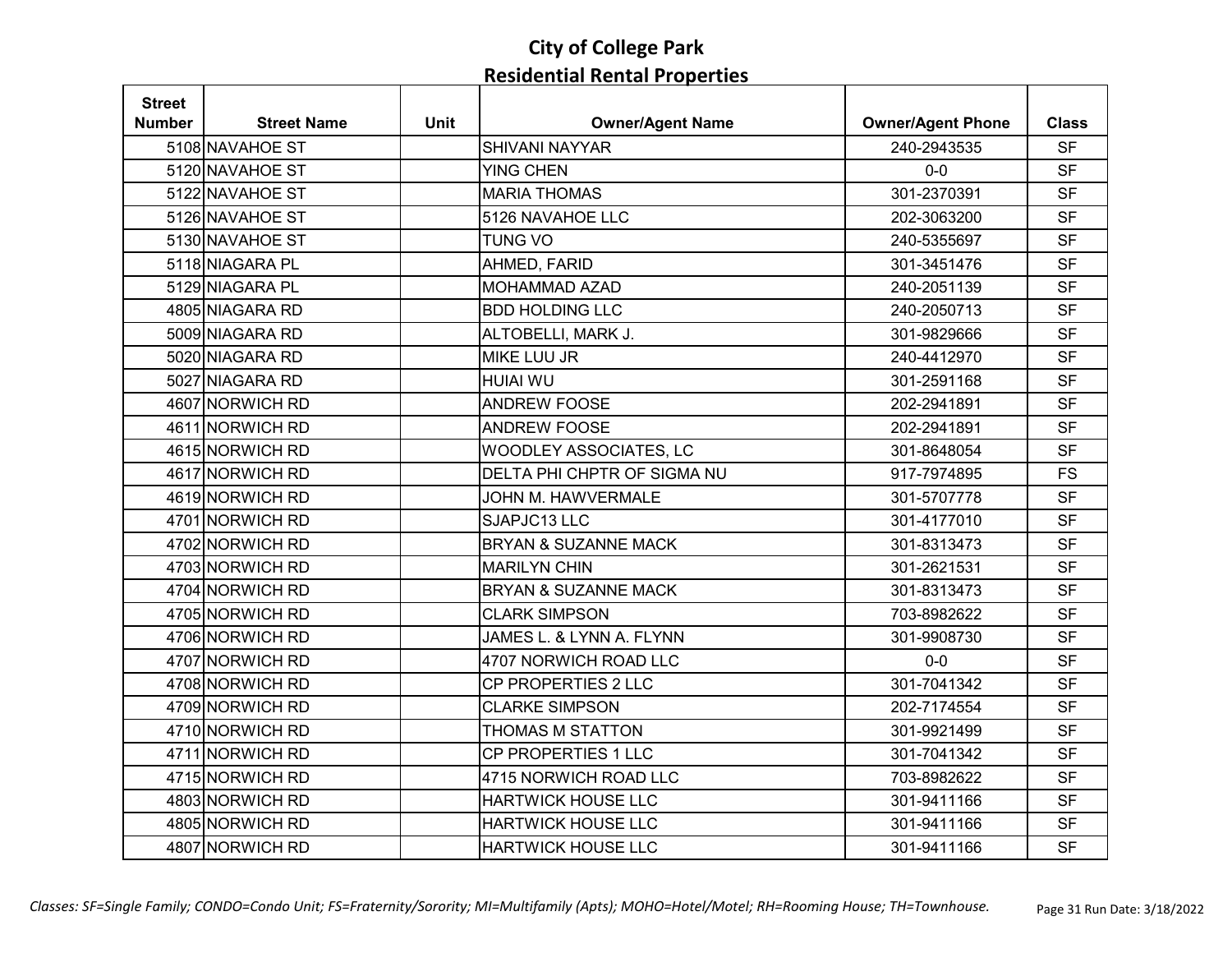| <b>Street</b> |                    |             |                                 |                          |              |
|---------------|--------------------|-------------|---------------------------------|--------------------------|--------------|
| <b>Number</b> | <b>Street Name</b> | <b>Unit</b> | <b>Owner/Agent Name</b>         | <b>Owner/Agent Phone</b> | <b>Class</b> |
|               | 5108 NAVAHOE ST    |             | <b>SHIVANI NAYYAR</b>           | 240-2943535              | <b>SF</b>    |
|               | 5120 NAVAHOE ST    |             | <b>YING CHEN</b>                | $0-0$                    | <b>SF</b>    |
|               | 5122 NAVAHOE ST    |             | <b>MARIA THOMAS</b>             | 301-2370391              | <b>SF</b>    |
|               | 5126 NAVAHOE ST    |             | 5126 NAVAHOE LLC                | 202-3063200              | <b>SF</b>    |
|               | 5130 NAVAHOE ST    |             | <b>TUNG VO</b>                  | 240-5355697              | <b>SF</b>    |
|               | 5118 NIAGARA PL    |             | AHMED, FARID                    | 301-3451476              | <b>SF</b>    |
|               | 5129 NIAGARA PL    |             | <b>MOHAMMAD AZAD</b>            | 240-2051139              | <b>SF</b>    |
|               | 4805 NIAGARA RD    |             | <b>BDD HOLDING LLC</b>          | 240-2050713              | <b>SF</b>    |
|               | 5009 NIAGARA RD    |             | ALTOBELLI, MARK J.              | 301-9829666              | <b>SF</b>    |
|               | 5020 NIAGARA RD    |             | MIKE LUU JR                     | 240-4412970              | <b>SF</b>    |
|               | 5027 NIAGARA RD    |             | <b>HUIAI WU</b>                 | 301-2591168              | <b>SF</b>    |
|               | 4607 NORWICH RD    |             | <b>ANDREW FOOSE</b>             | 202-2941891              | <b>SF</b>    |
|               | 4611 NORWICH RD    |             | <b>ANDREW FOOSE</b>             | 202-2941891              | <b>SF</b>    |
|               | 4615 NORWICH RD    |             | WOODLEY ASSOCIATES, LC          | 301-8648054              | <b>SF</b>    |
|               | 4617 NORWICH RD    |             | DELTA PHI CHPTR OF SIGMA NU     | 917-7974895              | <b>FS</b>    |
|               | 4619 NORWICH RD    |             | <b>JOHN M. HAWVERMALE</b>       | 301-5707778              | <b>SF</b>    |
|               | 4701 NORWICH RD    |             | SJAPJC13 LLC                    | 301-4177010              | <b>SF</b>    |
|               | 4702 NORWICH RD    |             | <b>BRYAN &amp; SUZANNE MACK</b> | 301-8313473              | <b>SF</b>    |
|               | 4703 NORWICH RD    |             | <b>MARILYN CHIN</b>             | 301-2621531              | <b>SF</b>    |
|               | 4704 NORWICH RD    |             | <b>BRYAN &amp; SUZANNE MACK</b> | 301-8313473              | <b>SF</b>    |
|               | 4705 NORWICH RD    |             | <b>CLARK SIMPSON</b>            | 703-8982622              | <b>SF</b>    |
|               | 4706 NORWICH RD    |             | JAMES L. & LYNN A. FLYNN        | 301-9908730              | <b>SF</b>    |
|               | 4707 NORWICH RD    |             | 4707 NORWICH ROAD LLC           | $0-0$                    | <b>SF</b>    |
|               | 4708 NORWICH RD    |             | CP PROPERTIES 2 LLC             | 301-7041342              | <b>SF</b>    |
|               | 4709 NORWICH RD    |             | <b>CLARKE SIMPSON</b>           | 202-7174554              | <b>SF</b>    |
|               | 4710 NORWICH RD    |             | THOMAS M STATTON                | 301-9921499              | <b>SF</b>    |
|               | 4711 NORWICH RD    |             | CP PROPERTIES 1 LLC             | 301-7041342              | <b>SF</b>    |
|               | 4715 NORWICH RD    |             | 4715 NORWICH ROAD LLC           | 703-8982622              | <b>SF</b>    |
|               | 4803 NORWICH RD    |             | <b>HARTWICK HOUSE LLC</b>       | 301-9411166              | <b>SF</b>    |
|               | 4805 NORWICH RD    |             | <b>HARTWICK HOUSE LLC</b>       | 301-9411166              | <b>SF</b>    |
|               | 4807 NORWICH RD    |             | <b>HARTWICK HOUSE LLC</b>       | 301-9411166              | <b>SF</b>    |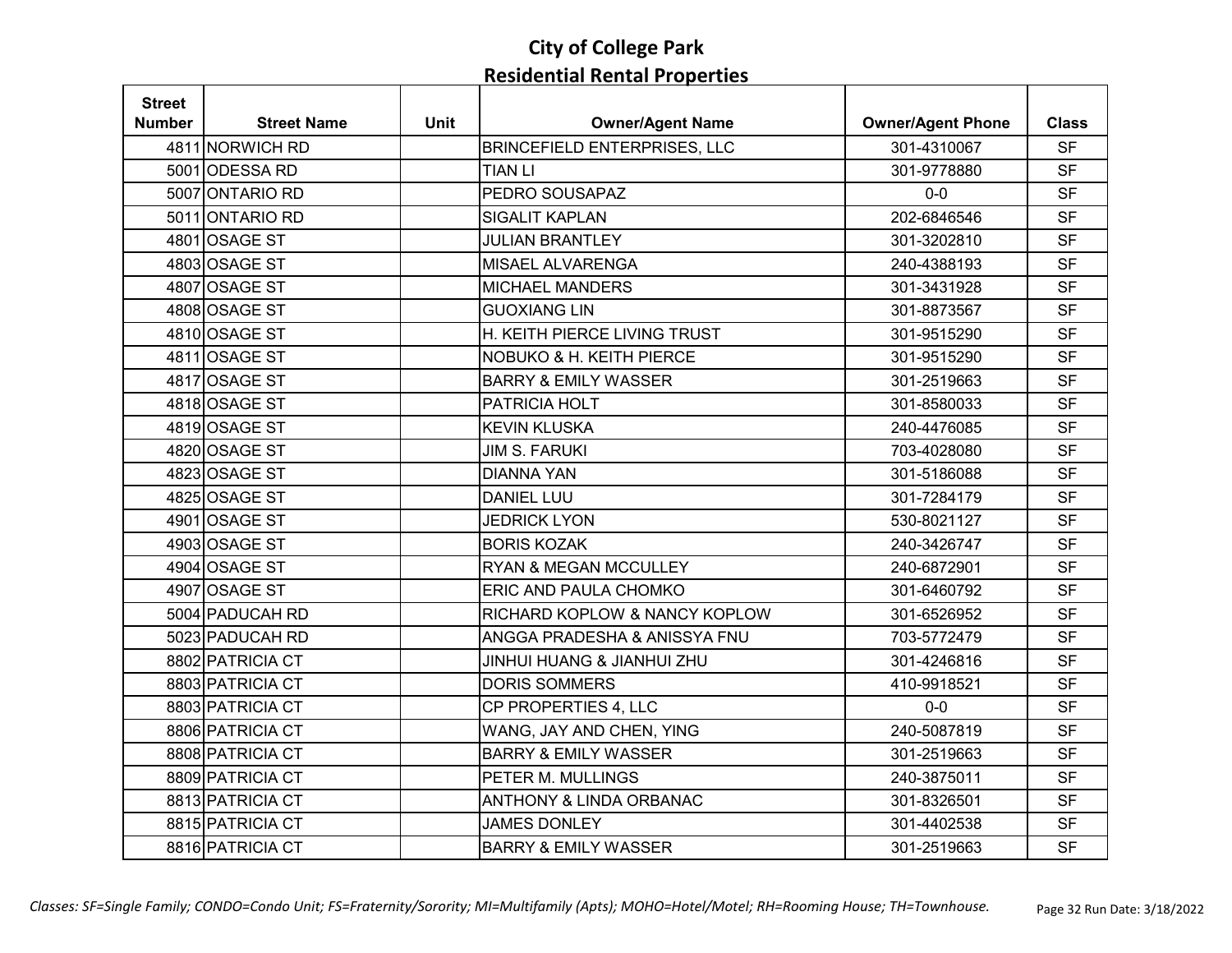| <b>Street</b> |                    |             |                                     |                          |              |
|---------------|--------------------|-------------|-------------------------------------|--------------------------|--------------|
| <b>Number</b> | <b>Street Name</b> | <b>Unit</b> | <b>Owner/Agent Name</b>             | <b>Owner/Agent Phone</b> | <b>Class</b> |
|               | 4811 NORWICH RD    |             | <b>BRINCEFIELD ENTERPRISES, LLC</b> | 301-4310067              | <b>SF</b>    |
|               | 5001 ODESSA RD     |             | TIAN LI                             | 301-9778880              | <b>SF</b>    |
|               | 5007 ONTARIO RD    |             | PEDRO SOUSAPAZ                      | $0-0$                    | <b>SF</b>    |
|               | 5011 ONTARIO RD    |             | <b>SIGALIT KAPLAN</b>               | 202-6846546              | <b>SF</b>    |
|               | 4801 OSAGE ST      |             | <b>JULIAN BRANTLEY</b>              | 301-3202810              | <b>SF</b>    |
|               | 4803 OSAGE ST      |             | MISAEL ALVARENGA                    | 240-4388193              | <b>SF</b>    |
|               | 4807 OSAGE ST      |             | <b>MICHAEL MANDERS</b>              | 301-3431928              | <b>SF</b>    |
|               | 4808 OSAGE ST      |             | <b>GUOXIANG LIN</b>                 | 301-8873567              | <b>SF</b>    |
|               | 4810 OSAGE ST      |             | H. KEITH PIERCE LIVING TRUST        | 301-9515290              | <b>SF</b>    |
|               | 4811 OSAGE ST      |             | NOBUKO & H. KEITH PIERCE            | 301-9515290              | <b>SF</b>    |
|               | 4817 OSAGE ST      |             | <b>BARRY &amp; EMILY WASSER</b>     | 301-2519663              | <b>SF</b>    |
|               | 4818 OSAGE ST      |             | PATRICIA HOLT                       | 301-8580033              | <b>SF</b>    |
|               | 4819 OSAGE ST      |             | <b>KEVIN KLUSKA</b>                 | 240-4476085              | <b>SF</b>    |
|               | 4820 OSAGE ST      |             | <b>JIM S. FARUKI</b>                | 703-4028080              | <b>SF</b>    |
|               | 4823 OSAGE ST      |             | <b>DIANNA YAN</b>                   | 301-5186088              | <b>SF</b>    |
|               | 4825 OSAGE ST      |             | <b>DANIEL LUU</b>                   | 301-7284179              | <b>SF</b>    |
|               | 4901 OSAGE ST      |             | <b>JEDRICK LYON</b>                 | 530-8021127              | <b>SF</b>    |
|               | 4903 OSAGE ST      |             | <b>BORIS KOZAK</b>                  | 240-3426747              | <b>SF</b>    |
|               | 4904 OSAGE ST      |             | <b>RYAN &amp; MEGAN MCCULLEY</b>    | 240-6872901              | <b>SF</b>    |
|               | 4907 OSAGE ST      |             | ERIC AND PAULA CHOMKO               | 301-6460792              | <b>SF</b>    |
|               | 5004 PADUCAH RD    |             | RICHARD KOPLOW & NANCY KOPLOW       | 301-6526952              | <b>SF</b>    |
|               | 5023 PADUCAH RD    |             | ANGGA PRADESHA & ANISSYA FNU        | 703-5772479              | <b>SF</b>    |
|               | 8802 PATRICIA CT   |             | JINHUI HUANG & JIANHUI ZHU          | 301-4246816              | <b>SF</b>    |
|               | 8803 PATRICIA CT   |             | <b>DORIS SOMMERS</b>                | 410-9918521              | <b>SF</b>    |
|               | 8803 PATRICIA CT   |             | CP PROPERTIES 4, LLC                | $0-0$                    | <b>SF</b>    |
|               | 8806 PATRICIA CT   |             | WANG, JAY AND CHEN, YING            | 240-5087819              | <b>SF</b>    |
|               | 8808 PATRICIA CT   |             | <b>BARRY &amp; EMILY WASSER</b>     | 301-2519663              | <b>SF</b>    |
|               | 8809 PATRICIA CT   |             | PETER M. MULLINGS                   | 240-3875011              | <b>SF</b>    |
|               | 8813 PATRICIA CT   |             | <b>ANTHONY &amp; LINDA ORBANAC</b>  | 301-8326501              | <b>SF</b>    |
|               | 8815 PATRICIA CT   |             | <b>JAMES DONLEY</b>                 | 301-4402538              | <b>SF</b>    |
|               | 8816 PATRICIA CT   |             | <b>BARRY &amp; EMILY WASSER</b>     | 301-2519663              | <b>SF</b>    |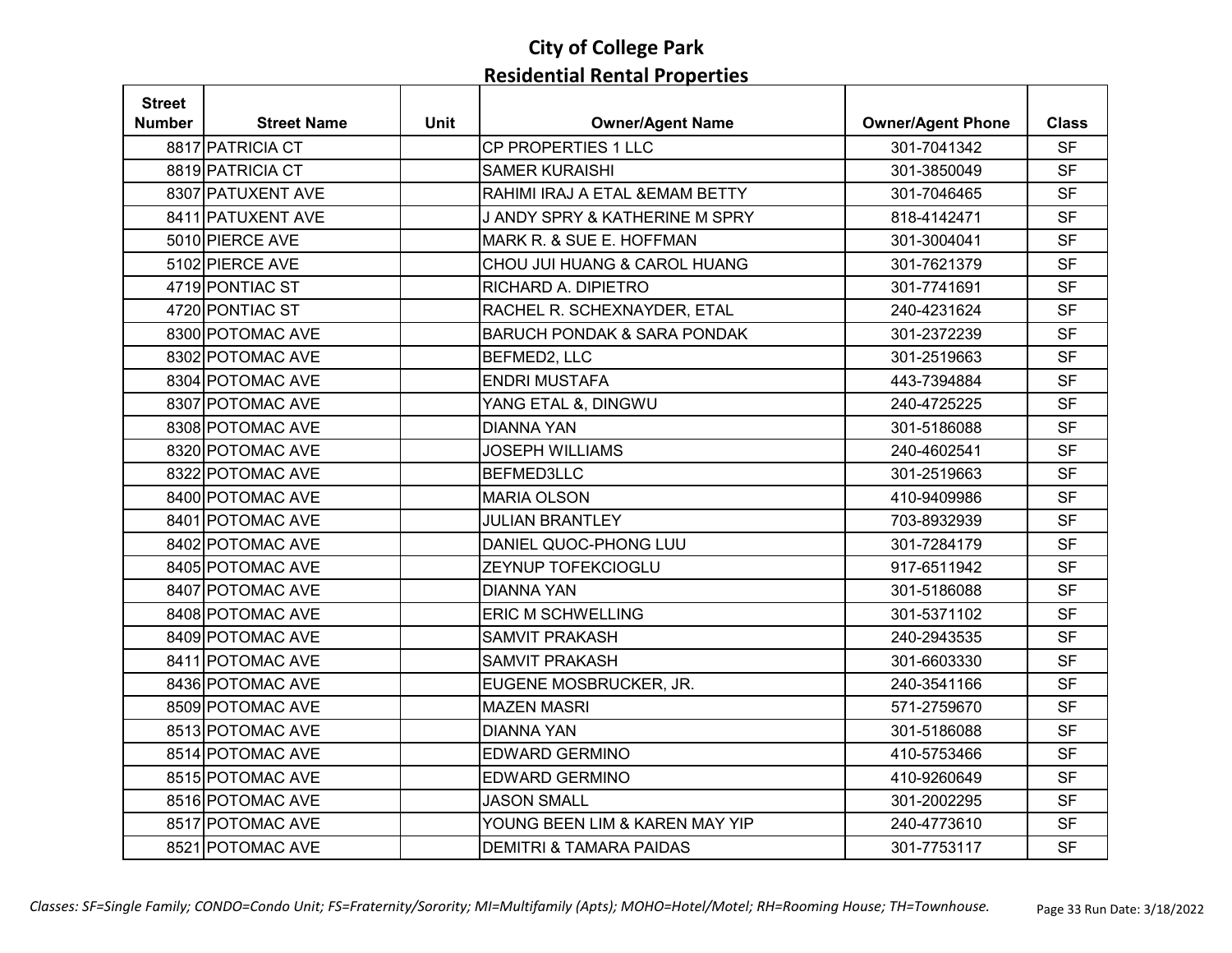| <b>Street</b> |                    |             |                                        |                          |              |
|---------------|--------------------|-------------|----------------------------------------|--------------------------|--------------|
| <b>Number</b> | <b>Street Name</b> | <b>Unit</b> | <b>Owner/Agent Name</b>                | <b>Owner/Agent Phone</b> | <b>Class</b> |
|               | 8817 PATRICIA CT   |             | CP PROPERTIES 1 LLC                    | 301-7041342              | <b>SF</b>    |
|               | 8819 PATRICIA CT   |             | <b>SAMER KURAISHI</b>                  | 301-3850049              | <b>SF</b>    |
|               | 8307 PATUXENT AVE  |             | RAHIMI IRAJ A ETAL & EMAM BETTY        | 301-7046465              | <b>SF</b>    |
|               | 8411 PATUXENT AVE  |             | J ANDY SPRY & KATHERINE M SPRY         | 818-4142471              | <b>SF</b>    |
|               | 5010 PIERCE AVE    |             | MARK R. & SUE E. HOFFMAN               | 301-3004041              | <b>SF</b>    |
|               | 5102 PIERCE AVE    |             | CHOU JUI HUANG & CAROL HUANG           | 301-7621379              | <b>SF</b>    |
|               | 4719 PONTIAC ST    |             | RICHARD A. DIPIETRO                    | 301-7741691              | <b>SF</b>    |
|               | 4720 PONTIAC ST    |             | RACHEL R. SCHEXNAYDER, ETAL            | 240-4231624              | <b>SF</b>    |
|               | 8300 POTOMAC AVE   |             | <b>BARUCH PONDAK &amp; SARA PONDAK</b> | 301-2372239              | <b>SF</b>    |
|               | 8302 POTOMAC AVE   |             | BEFMED2, LLC                           | 301-2519663              | <b>SF</b>    |
|               | 8304 POTOMAC AVE   |             | <b>ENDRI MUSTAFA</b>                   | 443-7394884              | <b>SF</b>    |
|               | 8307 POTOMAC AVE   |             | YANG ETAL &, DINGWU                    | 240-4725225              | <b>SF</b>    |
|               | 8308 POTOMAC AVE   |             | <b>DIANNA YAN</b>                      | 301-5186088              | <b>SF</b>    |
|               | 8320 POTOMAC AVE   |             | <b>JOSEPH WILLIAMS</b>                 | 240-4602541              | <b>SF</b>    |
|               | 8322 POTOMAC AVE   |             | <b>BEFMED3LLC</b>                      | 301-2519663              | <b>SF</b>    |
|               | 8400 POTOMAC AVE   |             | <b>MARIA OLSON</b>                     | 410-9409986              | <b>SF</b>    |
|               | 8401 POTOMAC AVE   |             | <b>JULIAN BRANTLEY</b>                 | 703-8932939              | <b>SF</b>    |
|               | 8402 POTOMAC AVE   |             | DANIEL QUOC-PHONG LUU                  | 301-7284179              | <b>SF</b>    |
|               | 8405 POTOMAC AVE   |             | ZEYNUP TOFEKCIOGLU                     | 917-6511942              | <b>SF</b>    |
|               | 8407 POTOMAC AVE   |             | <b>DIANNA YAN</b>                      | 301-5186088              | <b>SF</b>    |
|               | 8408 POTOMAC AVE   |             | <b>ERIC M SCHWELLING</b>               | 301-5371102              | <b>SF</b>    |
|               | 8409 POTOMAC AVE   |             | <b>SAMVIT PRAKASH</b>                  | 240-2943535              | <b>SF</b>    |
|               | 8411 POTOMAC AVE   |             | <b>SAMVIT PRAKASH</b>                  | 301-6603330              | <b>SF</b>    |
|               | 8436 POTOMAC AVE   |             | EUGENE MOSBRUCKER, JR.                 | 240-3541166              | <b>SF</b>    |
|               | 8509 POTOMAC AVE   |             | <b>MAZEN MASRI</b>                     | 571-2759670              | <b>SF</b>    |
|               | 8513 POTOMAC AVE   |             | <b>DIANNA YAN</b>                      | 301-5186088              | <b>SF</b>    |
|               | 8514 POTOMAC AVE   |             | <b>EDWARD GERMINO</b>                  | 410-5753466              | <b>SF</b>    |
|               | 8515 POTOMAC AVE   |             | <b>EDWARD GERMINO</b>                  | 410-9260649              | <b>SF</b>    |
|               | 8516 POTOMAC AVE   |             | <b>JASON SMALL</b>                     | 301-2002295              | <b>SF</b>    |
|               | 8517 POTOMAC AVE   |             | YOUNG BEEN LIM & KAREN MAY YIP         | 240-4773610              | <b>SF</b>    |
|               | 8521 POTOMAC AVE   |             | <b>DEMITRI &amp; TAMARA PAIDAS</b>     | 301-7753117              | <b>SF</b>    |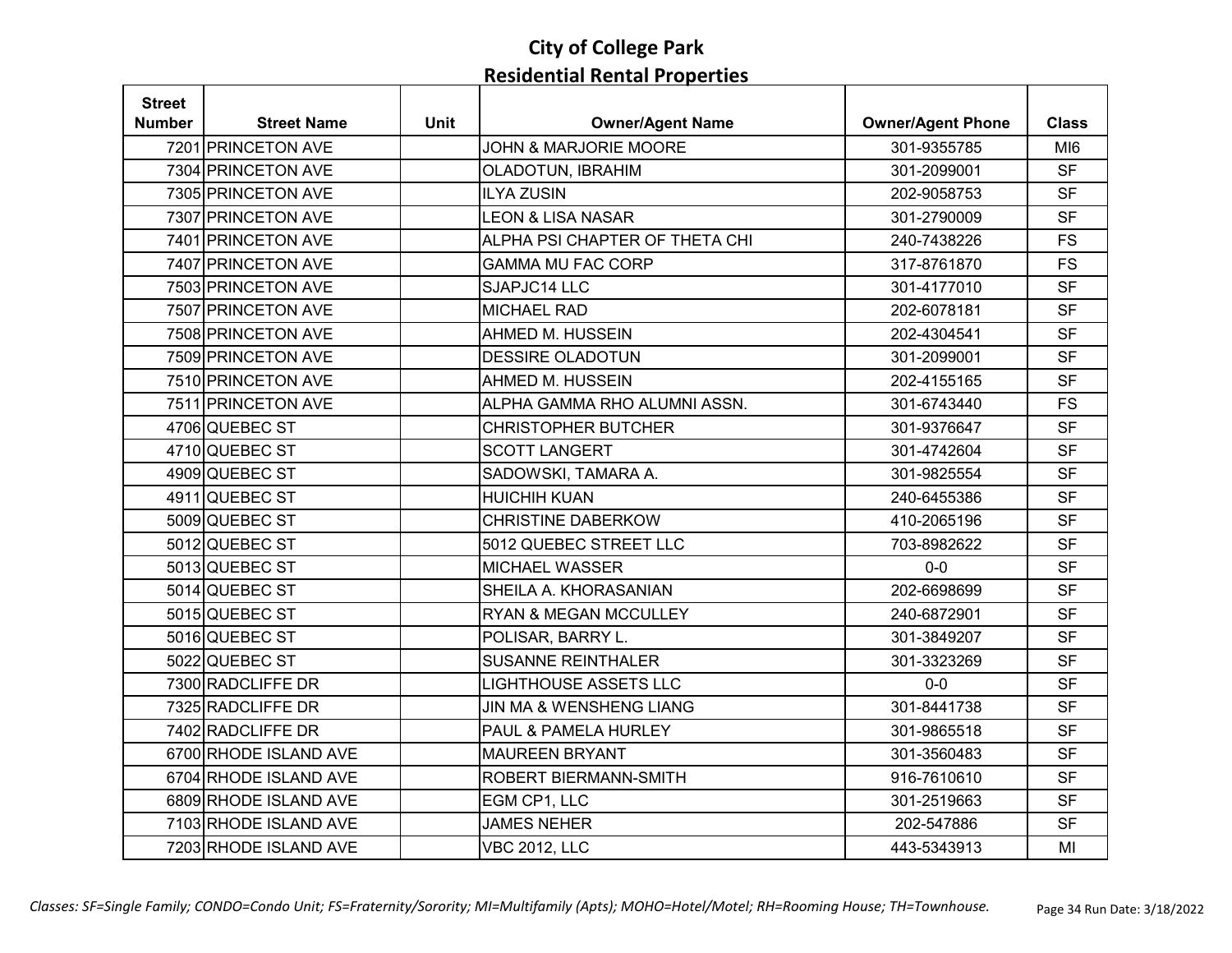| <b>Street</b> |                       |             |                                  |                          |                 |
|---------------|-----------------------|-------------|----------------------------------|--------------------------|-----------------|
| <b>Number</b> | <b>Street Name</b>    | <b>Unit</b> | <b>Owner/Agent Name</b>          | <b>Owner/Agent Phone</b> | <b>Class</b>    |
|               | 7201 PRINCETON AVE    |             | <b>JOHN &amp; MARJORIE MOORE</b> | 301-9355785              | MI <sub>6</sub> |
|               | 7304 PRINCETON AVE    |             | OLADOTUN, IBRAHIM                | 301-2099001              | <b>SF</b>       |
|               | 7305 PRINCETON AVE    |             | <b>ILYA ZUSIN</b>                | 202-9058753              | <b>SF</b>       |
|               | 7307 PRINCETON AVE    |             | <b>LEON &amp; LISA NASAR</b>     | 301-2790009              | <b>SF</b>       |
|               | 7401 PRINCETON AVE    |             | ALPHA PSI CHAPTER OF THETA CHI   | 240-7438226              | <b>FS</b>       |
|               | 7407 PRINCETON AVE    |             | <b>GAMMA MU FAC CORP</b>         | 317-8761870              | <b>FS</b>       |
|               | 7503 PRINCETON AVE    |             | SJAPJC14 LLC                     | 301-4177010              | <b>SF</b>       |
|               | 7507 PRINCETON AVE    |             | <b>MICHAEL RAD</b>               | 202-6078181              | <b>SF</b>       |
|               | 7508 PRINCETON AVE    |             | AHMED M. HUSSEIN                 | 202-4304541              | <b>SF</b>       |
|               | 7509 PRINCETON AVE    |             | <b>DESSIRE OLADOTUN</b>          | 301-2099001              | <b>SF</b>       |
|               | 7510 PRINCETON AVE    |             | AHMED M. HUSSEIN                 | 202-4155165              | <b>SF</b>       |
|               | 7511 PRINCETON AVE    |             | ALPHA GAMMA RHO ALUMNI ASSN.     | 301-6743440              | <b>FS</b>       |
|               | 4706 QUEBEC ST        |             | <b>CHRISTOPHER BUTCHER</b>       | 301-9376647              | <b>SF</b>       |
|               | 4710 QUEBEC ST        |             | <b>SCOTT LANGERT</b>             | 301-4742604              | <b>SF</b>       |
|               | 4909 QUEBEC ST        |             | SADOWSKI, TAMARA A.              | 301-9825554              | <b>SF</b>       |
|               | 4911 QUEBEC ST        |             | <b>HUICHIH KUAN</b>              | 240-6455386              | <b>SF</b>       |
|               | 5009 QUEBEC ST        |             | <b>CHRISTINE DABERKOW</b>        | 410-2065196              | <b>SF</b>       |
|               | 5012 QUEBEC ST        |             | 5012 QUEBEC STREET LLC           | 703-8982622              | <b>SF</b>       |
|               | 5013 QUEBEC ST        |             | <b>MICHAEL WASSER</b>            | $0-0$                    | <b>SF</b>       |
|               | 5014 QUEBEC ST        |             | SHEILA A. KHORASANIAN            | 202-6698699              | <b>SF</b>       |
|               | 5015 QUEBEC ST        |             | RYAN & MEGAN MCCULLEY            | 240-6872901              | <b>SF</b>       |
|               | 5016 QUEBEC ST        |             | POLISAR, BARRY L.                | 301-3849207              | <b>SF</b>       |
|               | 5022 QUEBEC ST        |             | <b>SUSANNE REINTHALER</b>        | 301-3323269              | <b>SF</b>       |
|               | 7300 RADCLIFFE DR     |             | <b>LIGHTHOUSE ASSETS LLC</b>     | $0-0$                    | <b>SF</b>       |
|               | 7325 RADCLIFFE DR     |             | JIN MA & WENSHENG LIANG          | 301-8441738              | <b>SF</b>       |
|               | 7402 RADCLIFFE DR     |             | PAUL & PAMELA HURLEY             | 301-9865518              | <b>SF</b>       |
|               | 6700 RHODE ISLAND AVE |             | <b>MAUREEN BRYANT</b>            | 301-3560483              | <b>SF</b>       |
|               | 6704 RHODE ISLAND AVE |             | ROBERT BIERMANN-SMITH            | 916-7610610              | <b>SF</b>       |
|               | 6809 RHODE ISLAND AVE |             | EGM CP1, LLC                     | 301-2519663              | <b>SF</b>       |
|               | 7103 RHODE ISLAND AVE |             | <b>JAMES NEHER</b>               | 202-547886               | <b>SF</b>       |
|               | 7203 RHODE ISLAND AVE |             | <b>VBC 2012, LLC</b>             | 443-5343913              | MI              |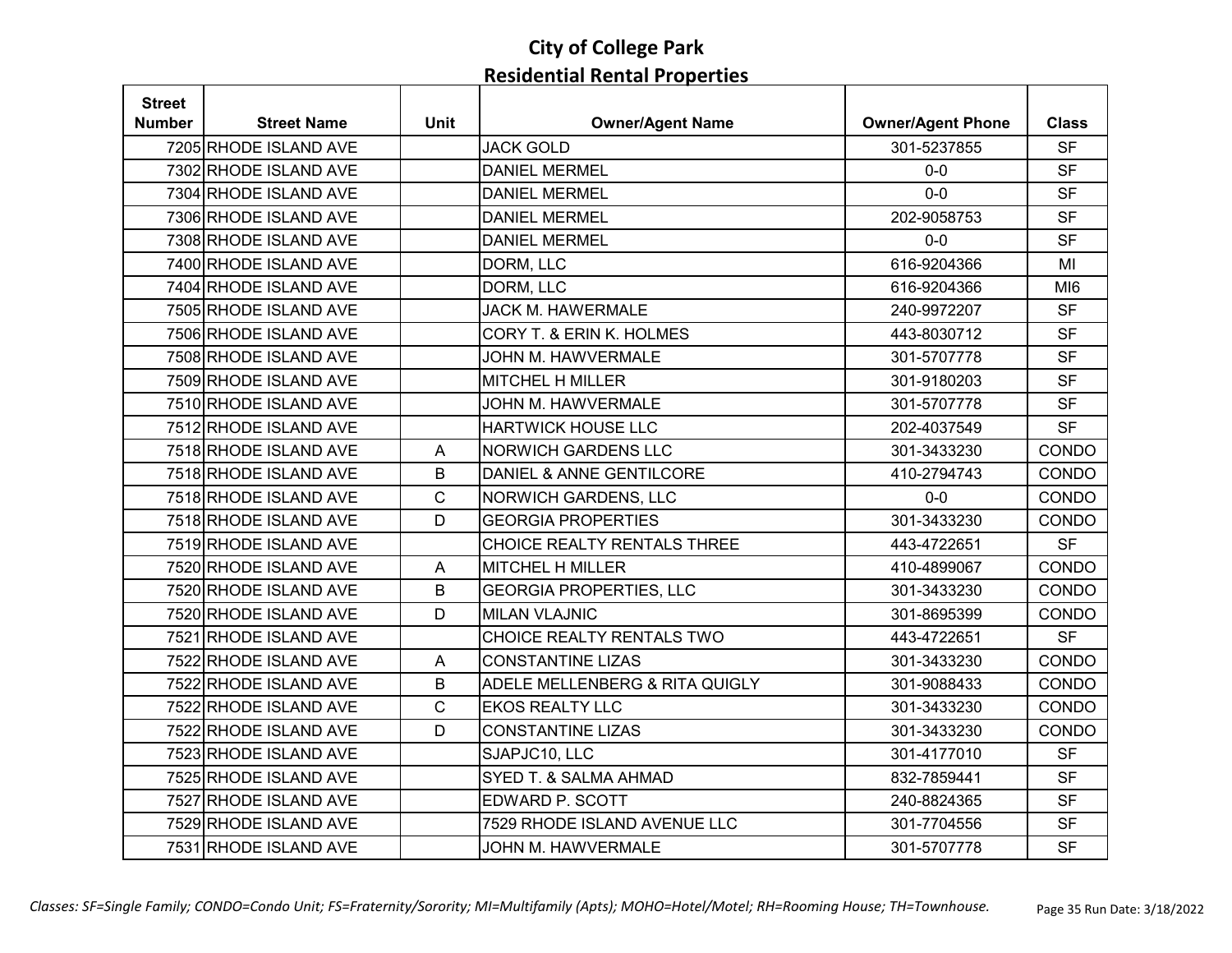| <b>Street</b> |                       |             |                                |                          |                 |
|---------------|-----------------------|-------------|--------------------------------|--------------------------|-----------------|
| <b>Number</b> | <b>Street Name</b>    | <b>Unit</b> | <b>Owner/Agent Name</b>        | <b>Owner/Agent Phone</b> | <b>Class</b>    |
|               | 7205 RHODE ISLAND AVE |             | <b>JACK GOLD</b>               | 301-5237855              | <b>SF</b>       |
|               | 7302 RHODE ISLAND AVE |             | <b>DANIEL MERMEL</b>           | $0-0$                    | <b>SF</b>       |
|               | 7304 RHODE ISLAND AVE |             | <b>DANIEL MERMEL</b>           | $0 - 0$                  | <b>SF</b>       |
|               | 7306 RHODE ISLAND AVE |             | <b>DANIEL MERMEL</b>           | 202-9058753              | <b>SF</b>       |
|               | 7308 RHODE ISLAND AVE |             | <b>DANIEL MERMEL</b>           | $0-0$                    | <b>SF</b>       |
|               | 7400 RHODE ISLAND AVE |             | DORM, LLC                      | 616-9204366              | MI              |
|               | 7404 RHODE ISLAND AVE |             | DORM, LLC                      | 616-9204366              | MI <sub>6</sub> |
|               | 7505 RHODE ISLAND AVE |             | <b>JACK M. HAWERMALE</b>       | 240-9972207              | <b>SF</b>       |
|               | 7506 RHODE ISLAND AVE |             | CORY T. & ERIN K. HOLMES       | 443-8030712              | <b>SF</b>       |
|               | 7508 RHODE ISLAND AVE |             | JOHN M. HAWVERMALE             | 301-5707778              | <b>SF</b>       |
|               | 7509 RHODE ISLAND AVE |             | <b>MITCHEL H MILLER</b>        | 301-9180203              | <b>SF</b>       |
|               | 7510 RHODE ISLAND AVE |             | JOHN M. HAWVERMALE             | 301-5707778              | <b>SF</b>       |
|               | 7512 RHODE ISLAND AVE |             | <b>HARTWICK HOUSE LLC</b>      | 202-4037549              | <b>SF</b>       |
|               | 7518 RHODE ISLAND AVE | A           | <b>NORWICH GARDENS LLC</b>     | 301-3433230              | CONDO           |
|               | 7518 RHODE ISLAND AVE | $\sf B$     | DANIEL & ANNE GENTILCORE       | 410-2794743              | CONDO           |
|               | 7518 RHODE ISLAND AVE | $\mathbf C$ | NORWICH GARDENS, LLC           | $0-0$                    | CONDO           |
|               | 7518 RHODE ISLAND AVE | D           | <b>GEORGIA PROPERTIES</b>      | 301-3433230              | CONDO           |
|               | 7519 RHODE ISLAND AVE |             | CHOICE REALTY RENTALS THREE    | 443-4722651              | <b>SF</b>       |
|               | 7520 RHODE ISLAND AVE | A           | MITCHEL H MILLER               | 410-4899067              | CONDO           |
|               | 7520 RHODE ISLAND AVE | $\sf B$     | <b>GEORGIA PROPERTIES, LLC</b> | 301-3433230              | CONDO           |
|               | 7520 RHODE ISLAND AVE | D           | <b>MILAN VLAJNIC</b>           | 301-8695399              | CONDO           |
|               | 7521 RHODE ISLAND AVE |             | CHOICE REALTY RENTALS TWO      | 443-4722651              | <b>SF</b>       |
|               | 7522 RHODE ISLAND AVE | A           | <b>CONSTANTINE LIZAS</b>       | 301-3433230              | CONDO           |
|               | 7522 RHODE ISLAND AVE | B           | ADELE MELLENBERG & RITA QUIGLY | 301-9088433              | CONDO           |
|               | 7522 RHODE ISLAND AVE | C           | <b>EKOS REALTY LLC</b>         | 301-3433230              | CONDO           |
|               | 7522 RHODE ISLAND AVE | D           | <b>CONSTANTINE LIZAS</b>       | 301-3433230              | CONDO           |
|               | 7523 RHODE ISLAND AVE |             | SJAPJC10, LLC                  | 301-4177010              | <b>SF</b>       |
|               | 7525 RHODE ISLAND AVE |             | SYED T. & SALMA AHMAD          | 832-7859441              | <b>SF</b>       |
|               | 7527 RHODE ISLAND AVE |             | EDWARD P. SCOTT                | 240-8824365              | <b>SF</b>       |
|               | 7529 RHODE ISLAND AVE |             | 7529 RHODE ISLAND AVENUE LLC   | 301-7704556              | <b>SF</b>       |
|               | 7531 RHODE ISLAND AVE |             | JOHN M. HAWVERMALE             | 301-5707778              | <b>SF</b>       |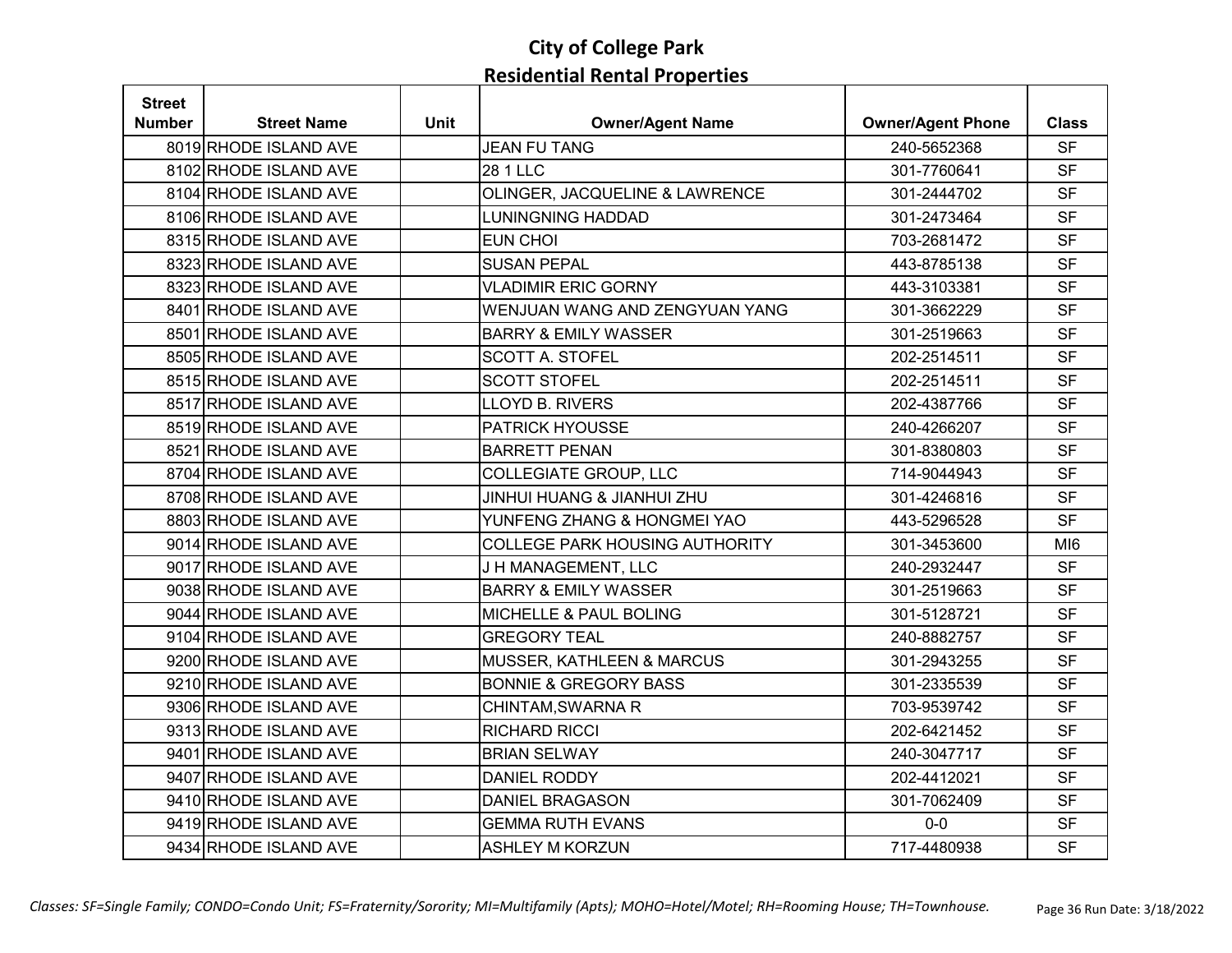| <b>Street</b> |                       |             |                                       |                          |                 |
|---------------|-----------------------|-------------|---------------------------------------|--------------------------|-----------------|
| <b>Number</b> | <b>Street Name</b>    | <b>Unit</b> | <b>Owner/Agent Name</b>               | <b>Owner/Agent Phone</b> | <b>Class</b>    |
|               | 8019 RHODE ISLAND AVE |             | <b>JEAN FU TANG</b>                   | 240-5652368              | <b>SF</b>       |
|               | 8102 RHODE ISLAND AVE |             | 28 1 LLC                              | 301-7760641              | <b>SF</b>       |
|               | 8104 RHODE ISLAND AVE |             | OLINGER, JACQUELINE & LAWRENCE        | 301-2444702              | <b>SF</b>       |
|               | 8106 RHODE ISLAND AVE |             | <b>LUNINGNING HADDAD</b>              | 301-2473464              | <b>SF</b>       |
|               | 8315 RHODE ISLAND AVE |             | <b>EUN CHOI</b>                       | 703-2681472              | <b>SF</b>       |
|               | 8323 RHODE ISLAND AVE |             | <b>SUSAN PEPAL</b>                    | 443-8785138              | <b>SF</b>       |
|               | 8323 RHODE ISLAND AVE |             | <b>VLADIMIR ERIC GORNY</b>            | 443-3103381              | <b>SF</b>       |
|               | 8401 RHODE ISLAND AVE |             | WENJUAN WANG AND ZENGYUAN YANG        | 301-3662229              | <b>SF</b>       |
|               | 8501 RHODE ISLAND AVE |             | <b>BARRY &amp; EMILY WASSER</b>       | 301-2519663              | <b>SF</b>       |
|               | 8505 RHODE ISLAND AVE |             | <b>SCOTT A. STOFEL</b>                | 202-2514511              | <b>SF</b>       |
|               | 8515 RHODE ISLAND AVE |             | <b>SCOTT STOFEL</b>                   | 202-2514511              | <b>SF</b>       |
|               | 8517 RHODE ISLAND AVE |             | LLOYD B. RIVERS                       | 202-4387766              | <b>SF</b>       |
|               | 8519 RHODE ISLAND AVE |             | <b>PATRICK HYOUSSE</b>                | 240-4266207              | <b>SF</b>       |
|               | 8521 RHODE ISLAND AVE |             | <b>BARRETT PENAN</b>                  | 301-8380803              | <b>SF</b>       |
|               | 8704 RHODE ISLAND AVE |             | <b>COLLEGIATE GROUP, LLC</b>          | 714-9044943              | <b>SF</b>       |
|               | 8708 RHODE ISLAND AVE |             | <b>JINHUI HUANG &amp; JIANHUI ZHU</b> | 301-4246816              | <b>SF</b>       |
|               | 8803 RHODE ISLAND AVE |             | YUNFENG ZHANG & HONGMEI YAO           | 443-5296528              | <b>SF</b>       |
|               | 9014 RHODE ISLAND AVE |             | <b>COLLEGE PARK HOUSING AUTHORITY</b> | 301-3453600              | MI <sub>6</sub> |
|               | 9017 RHODE ISLAND AVE |             | J H MANAGEMENT, LLC                   | 240-2932447              | <b>SF</b>       |
|               | 9038 RHODE ISLAND AVE |             | <b>BARRY &amp; EMILY WASSER</b>       | 301-2519663              | <b>SF</b>       |
|               | 9044 RHODE ISLAND AVE |             | <b>MICHELLE &amp; PAUL BOLING</b>     | 301-5128721              | <b>SF</b>       |
|               | 9104 RHODE ISLAND AVE |             | <b>GREGORY TEAL</b>                   | 240-8882757              | <b>SF</b>       |
|               | 9200 RHODE ISLAND AVE |             | MUSSER, KATHLEEN & MARCUS             | 301-2943255              | <b>SF</b>       |
|               | 9210 RHODE ISLAND AVE |             | <b>BONNIE &amp; GREGORY BASS</b>      | 301-2335539              | <b>SF</b>       |
|               | 9306 RHODE ISLAND AVE |             | CHINTAM, SWARNA R                     | 703-9539742              | <b>SF</b>       |
|               | 9313 RHODE ISLAND AVE |             | <b>RICHARD RICCI</b>                  | 202-6421452              | <b>SF</b>       |
|               | 9401 RHODE ISLAND AVE |             | <b>BRIAN SELWAY</b>                   | 240-3047717              | <b>SF</b>       |
|               | 9407 RHODE ISLAND AVE |             | <b>DANIEL RODDY</b>                   | 202-4412021              | <b>SF</b>       |
|               | 9410 RHODE ISLAND AVE |             | <b>DANIEL BRAGASON</b>                | 301-7062409              | <b>SF</b>       |
|               | 9419 RHODE ISLAND AVE |             | <b>GEMMA RUTH EVANS</b>               | $0-0$                    | <b>SF</b>       |
|               | 9434 RHODE ISLAND AVE |             | <b>ASHLEY M KORZUN</b>                | 717-4480938              | <b>SF</b>       |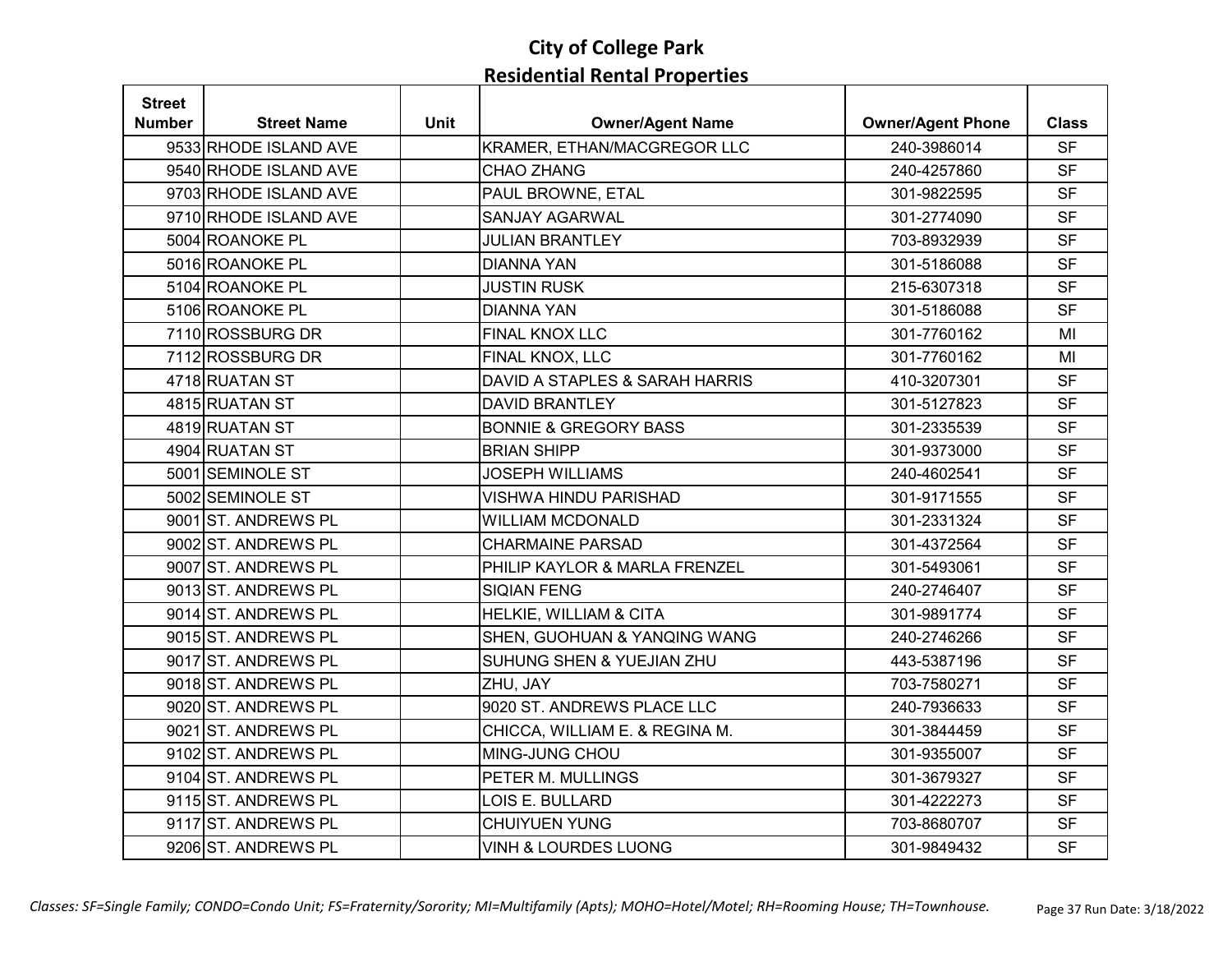| <b>Street</b> |                       |             |                                  |                          |              |
|---------------|-----------------------|-------------|----------------------------------|--------------------------|--------------|
| <b>Number</b> | <b>Street Name</b>    | <b>Unit</b> | <b>Owner/Agent Name</b>          | <b>Owner/Agent Phone</b> | <b>Class</b> |
|               | 9533 RHODE ISLAND AVE |             | KRAMER, ETHAN/MACGREGOR LLC      | 240-3986014              | <b>SF</b>    |
|               | 9540 RHODE ISLAND AVE |             | <b>CHAO ZHANG</b>                | 240-4257860              | <b>SF</b>    |
|               | 9703 RHODE ISLAND AVE |             | PAUL BROWNE, ETAL                | 301-9822595              | <b>SF</b>    |
|               | 9710 RHODE ISLAND AVE |             | <b>SANJAY AGARWAL</b>            | 301-2774090              | <b>SF</b>    |
|               | 5004 ROANOKE PL       |             | <b>JULIAN BRANTLEY</b>           | 703-8932939              | <b>SF</b>    |
|               | 5016 ROANOKE PL       |             | <b>DIANNA YAN</b>                | 301-5186088              | <b>SF</b>    |
|               | 5104 ROANOKE PL       |             | <b>JUSTIN RUSK</b>               | 215-6307318              | <b>SF</b>    |
|               | 5106 ROANOKE PL       |             | <b>DIANNA YAN</b>                | 301-5186088              | <b>SF</b>    |
|               | 7110 ROSSBURG DR      |             | FINAL KNOX LLC                   | 301-7760162              | MI           |
|               | 7112 ROSSBURG DR      |             | FINAL KNOX, LLC                  | 301-7760162              | MI           |
|               | 4718 RUATAN ST        |             | DAVID A STAPLES & SARAH HARRIS   | 410-3207301              | <b>SF</b>    |
|               | 4815 RUATAN ST        |             | <b>DAVID BRANTLEY</b>            | 301-5127823              | <b>SF</b>    |
|               | 4819 RUATAN ST        |             | <b>BONNIE &amp; GREGORY BASS</b> | 301-2335539              | <b>SF</b>    |
|               | 4904 RUATAN ST        |             | <b>BRIAN SHIPP</b>               | 301-9373000              | <b>SF</b>    |
|               | 5001 SEMINOLE ST      |             | <b>JOSEPH WILLIAMS</b>           | 240-4602541              | <b>SF</b>    |
|               | 5002 SEMINOLE ST      |             | <b>VISHWA HINDU PARISHAD</b>     | 301-9171555              | <b>SF</b>    |
|               | 9001 ST. ANDREWS PL   |             | <b>WILLIAM MCDONALD</b>          | 301-2331324              | <b>SF</b>    |
|               | 9002 ST. ANDREWS PL   |             | <b>CHARMAINE PARSAD</b>          | 301-4372564              | <b>SF</b>    |
|               | 9007 ST. ANDREWS PL   |             | PHILIP KAYLOR & MARLA FRENZEL    | 301-5493061              | <b>SF</b>    |
|               | 9013 ST. ANDREWS PL   |             | <b>SIQIAN FENG</b>               | 240-2746407              | <b>SF</b>    |
|               | 9014 ST. ANDREWS PL   |             | HELKIE, WILLIAM & CITA           | 301-9891774              | <b>SF</b>    |
|               | 9015 ST. ANDREWS PL   |             | SHEN, GUOHUAN & YANQING WANG     | 240-2746266              | <b>SF</b>    |
|               | 9017 ST. ANDREWS PL   |             | SUHUNG SHEN & YUEJIAN ZHU        | 443-5387196              | <b>SF</b>    |
|               | 9018 ST. ANDREWS PL   |             | ZHU, JAY                         | 703-7580271              | <b>SF</b>    |
|               | 9020 ST. ANDREWS PL   |             | 9020 ST. ANDREWS PLACE LLC       | 240-7936633              | <b>SF</b>    |
|               | 9021 ST. ANDREWS PL   |             | CHICCA, WILLIAM E. & REGINA M.   | 301-3844459              | <b>SF</b>    |
|               | 9102 ST. ANDREWS PL   |             | MING-JUNG CHOU                   | 301-9355007              | <b>SF</b>    |
|               | 9104 ST. ANDREWS PL   |             | PETER M. MULLINGS                | 301-3679327              | <b>SF</b>    |
|               | 9115 ST. ANDREWS PL   |             | LOIS E. BULLARD                  | 301-4222273              | <b>SF</b>    |
|               | 9117 ST. ANDREWS PL   |             | <b>CHUIYUEN YUNG</b>             | 703-8680707              | <b>SF</b>    |
|               | 9206 ST. ANDREWS PL   |             | <b>VINH &amp; LOURDES LUONG</b>  | 301-9849432              | <b>SF</b>    |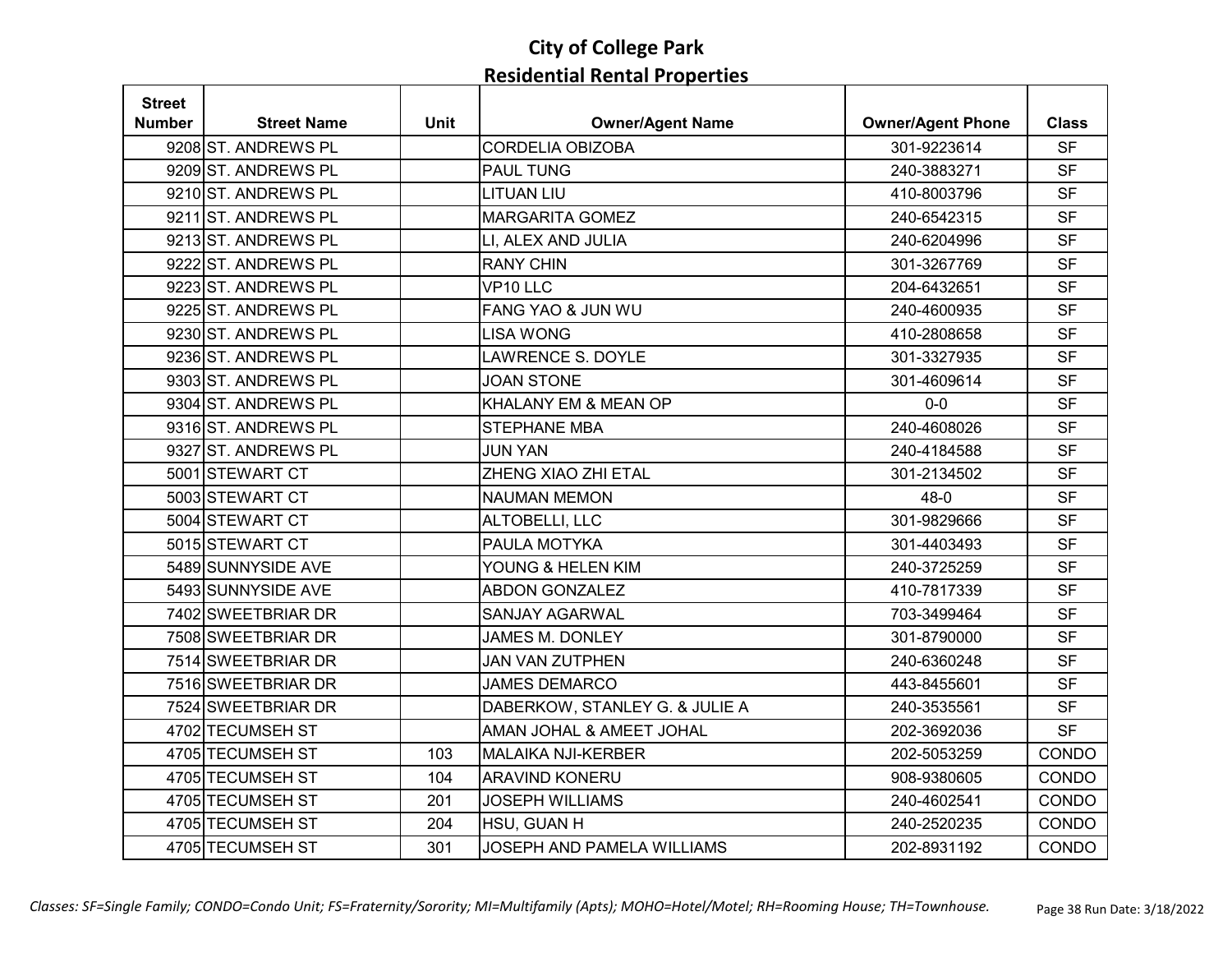| <b>Street</b> |                     |             |                                |                          |              |
|---------------|---------------------|-------------|--------------------------------|--------------------------|--------------|
| <b>Number</b> | <b>Street Name</b>  | <b>Unit</b> | <b>Owner/Agent Name</b>        | <b>Owner/Agent Phone</b> | <b>Class</b> |
|               | 9208 ST. ANDREWS PL |             | <b>CORDELIA OBIZOBA</b>        | 301-9223614              | <b>SF</b>    |
|               | 9209 ST. ANDREWS PL |             | <b>PAUL TUNG</b>               | 240-3883271              | <b>SF</b>    |
|               | 9210 ST. ANDREWS PL |             | <b>LITUAN LIU</b>              | 410-8003796              | <b>SF</b>    |
|               | 9211 ST. ANDREWS PL |             | <b>MARGARITA GOMEZ</b>         | 240-6542315              | <b>SF</b>    |
|               | 9213 ST. ANDREWS PL |             | LI, ALEX AND JULIA             | 240-6204996              | <b>SF</b>    |
|               | 9222 ST. ANDREWS PL |             | <b>RANY CHIN</b>               | 301-3267769              | <b>SF</b>    |
|               | 9223 ST. ANDREWS PL |             | VP10 LLC                       | 204-6432651              | <b>SF</b>    |
|               | 9225 ST. ANDREWS PL |             | FANG YAO & JUN WU              | 240-4600935              | <b>SF</b>    |
|               | 9230 ST. ANDREWS PL |             | <b>LISA WONG</b>               | 410-2808658              | <b>SF</b>    |
|               | 9236 ST. ANDREWS PL |             | LAWRENCE S. DOYLE              | 301-3327935              | <b>SF</b>    |
|               | 9303 ST. ANDREWS PL |             | <b>JOAN STONE</b>              | 301-4609614              | <b>SF</b>    |
|               | 9304 ST. ANDREWS PL |             | KHALANY EM & MEAN OP           | $0-0$                    | <b>SF</b>    |
|               | 9316 ST. ANDREWS PL |             | <b>STEPHANE MBA</b>            | 240-4608026              | <b>SF</b>    |
|               | 9327 ST. ANDREWS PL |             | JUN YAN                        | 240-4184588              | <b>SF</b>    |
|               | 5001 STEWART CT     |             | ZHENG XIAO ZHI ETAL            | 301-2134502              | <b>SF</b>    |
|               | 5003 STEWART CT     |             | <b>NAUMAN MEMON</b>            | $48 - 0$                 | <b>SF</b>    |
|               | 5004 STEWART CT     |             | ALTOBELLI, LLC                 | 301-9829666              | <b>SF</b>    |
|               | 5015 STEWART CT     |             | PAULA MOTYKA                   | 301-4403493              | <b>SF</b>    |
|               | 5489 SUNNYSIDE AVE  |             | YOUNG & HELEN KIM              | 240-3725259              | <b>SF</b>    |
|               | 5493 SUNNYSIDE AVE  |             | <b>ABDON GONZALEZ</b>          | 410-7817339              | <b>SF</b>    |
|               | 7402 SWEETBRIAR DR  |             | <b>SANJAY AGARWAL</b>          | 703-3499464              | <b>SF</b>    |
|               | 7508 SWEETBRIAR DR  |             | JAMES M. DONLEY                | 301-8790000              | <b>SF</b>    |
|               | 7514 SWEETBRIAR DR  |             | <b>JAN VAN ZUTPHEN</b>         | 240-6360248              | <b>SF</b>    |
|               | 7516 SWEETBRIAR DR  |             | <b>JAMES DEMARCO</b>           | 443-8455601              | <b>SF</b>    |
|               | 7524 SWEETBRIAR DR  |             | DABERKOW, STANLEY G. & JULIE A | 240-3535561              | <b>SF</b>    |
|               | 4702 TECUMSEH ST    |             | AMAN JOHAL & AMEET JOHAL       | 202-3692036              | <b>SF</b>    |
|               | 4705 TECUMSEH ST    | 103         | <b>MALAIKA NJI-KERBER</b>      | 202-5053259              | CONDO        |
|               | 4705 TECUMSEH ST    | 104         | <b>ARAVIND KONERU</b>          | 908-9380605              | CONDO        |
|               | 4705 TECUMSEH ST    | 201         | <b>JOSEPH WILLIAMS</b>         | 240-4602541              | CONDO        |
|               | 4705 TECUMSEH ST    | 204         | HSU, GUAN H                    | 240-2520235              | <b>CONDO</b> |
|               | 4705 TECUMSEH ST    | 301         | JOSEPH AND PAMELA WILLIAMS     | 202-8931192              | CONDO        |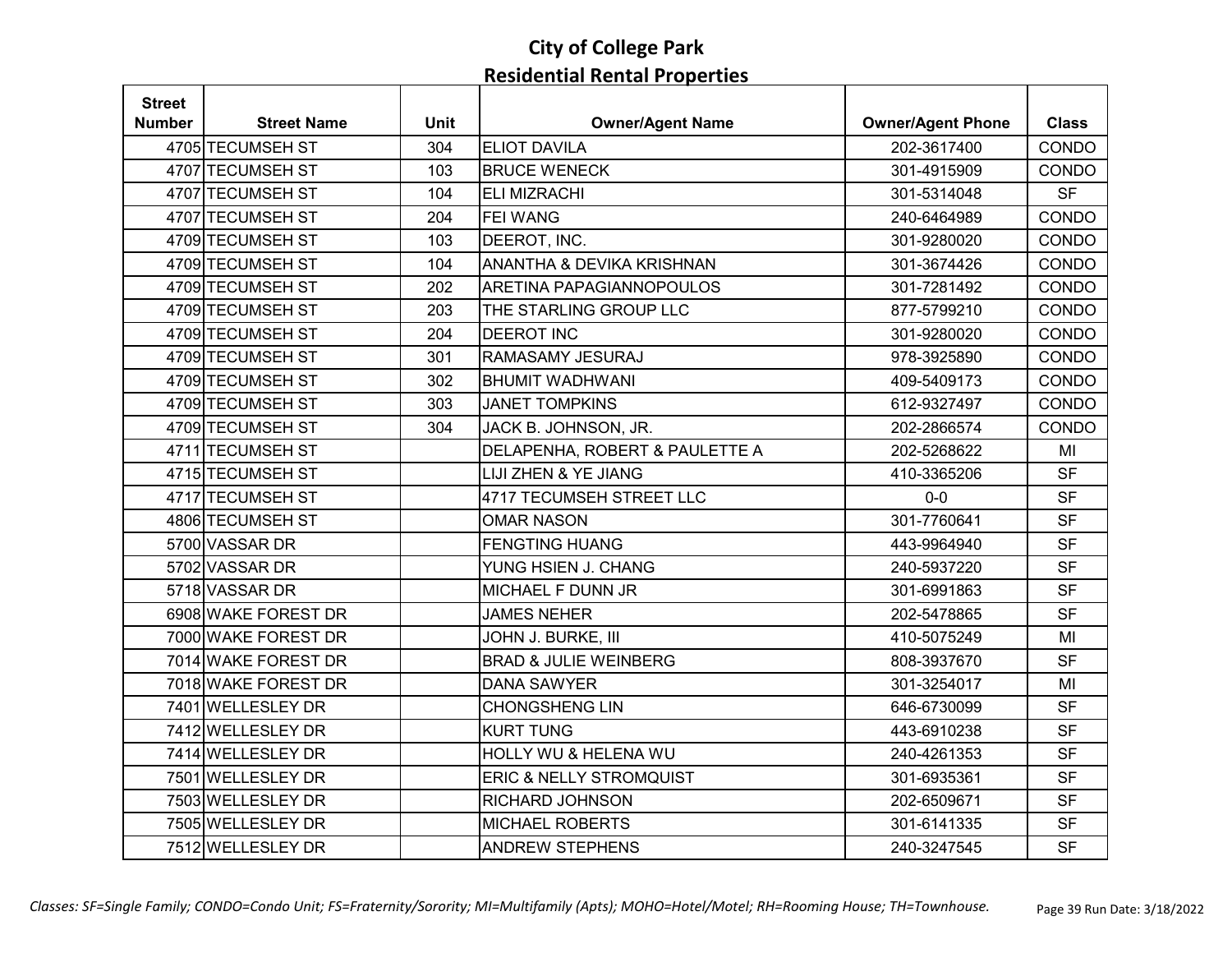| <b>Street</b> |                     |             |                                    |                          |              |
|---------------|---------------------|-------------|------------------------------------|--------------------------|--------------|
| Number        | <b>Street Name</b>  | <b>Unit</b> | <b>Owner/Agent Name</b>            | <b>Owner/Agent Phone</b> | <b>Class</b> |
|               | 4705 TECUMSEH ST    | 304         | <b>ELIOT DAVILA</b>                | 202-3617400              | CONDO        |
|               | 4707 TECUMSEH ST    | 103         | <b>BRUCE WENECK</b>                | 301-4915909              | CONDO        |
|               | 4707 TECUMSEH ST    | 104         | <b>ELI MIZRACHI</b>                | 301-5314048              | <b>SF</b>    |
|               | 4707 TECUMSEH ST    | 204         | <b>FEI WANG</b>                    | 240-6464989              | CONDO        |
|               | 4709 TECUMSEH ST    | 103         | DEEROT, INC.                       | 301-9280020              | CONDO        |
|               | 4709 TECUMSEH ST    | 104         | ANANTHA & DEVIKA KRISHNAN          | 301-3674426              | CONDO        |
|               | 4709 TECUMSEH ST    | 202         | ARETINA PAPAGIANNOPOULOS           | 301-7281492              | CONDO        |
|               | 4709 TECUMSEH ST    | 203         | THE STARLING GROUP LLC             | 877-5799210              | CONDO        |
|               | 4709 TECUMSEH ST    | 204         | <b>DEEROT INC</b>                  | 301-9280020              | CONDO        |
|               | 4709 TECUMSEH ST    | 301         | RAMASAMY JESURAJ                   | 978-3925890              | CONDO        |
|               | 4709 TECUMSEH ST    | 302         | <b>BHUMIT WADHWANI</b>             | 409-5409173              | CONDO        |
|               | 4709 TECUMSEH ST    | 303         | <b>JANET TOMPKINS</b>              | 612-9327497              | CONDO        |
|               | 4709 TECUMSEH ST    | 304         | JACK B. JOHNSON, JR.               | 202-2866574              | CONDO        |
|               | 4711 TECUMSEH ST    |             | DELAPENHA, ROBERT & PAULETTE A     | 202-5268622              | MI           |
|               | 4715 TECUMSEH ST    |             | LIJI ZHEN & YE JIANG               | 410-3365206              | <b>SF</b>    |
|               | 4717 TECUMSEH ST    |             | 4717 TECUMSEH STREET LLC           | $0-0$                    | <b>SF</b>    |
|               | 4806 TECUMSEH ST    |             | <b>OMAR NASON</b>                  | 301-7760641              | <b>SF</b>    |
|               | 5700 VASSAR DR      |             | <b>FENGTING HUANG</b>              | 443-9964940              | <b>SF</b>    |
|               | 5702 VASSAR DR      |             | YUNG HSIEN J. CHANG                | 240-5937220              | <b>SF</b>    |
|               | 5718 VASSAR DR      |             | MICHAEL F DUNN JR                  | 301-6991863              | <b>SF</b>    |
|               | 6908 WAKE FOREST DR |             | <b>JAMES NEHER</b>                 | 202-5478865              | <b>SF</b>    |
|               | 7000 WAKE FOREST DR |             | JOHN J. BURKE, III                 | 410-5075249              | MI           |
|               | 7014 WAKE FOREST DR |             | <b>BRAD &amp; JULIE WEINBERG</b>   | 808-3937670              | <b>SF</b>    |
|               | 7018 WAKE FOREST DR |             | <b>DANA SAWYER</b>                 | 301-3254017              | MI           |
|               | 7401 WELLESLEY DR   |             | <b>CHONGSHENG LIN</b>              | 646-6730099              | <b>SF</b>    |
|               | 7412 WELLESLEY DR   |             | <b>KURT TUNG</b>                   | 443-6910238              | <b>SF</b>    |
|               | 7414 WELLESLEY DR   |             | HOLLY WU & HELENA WU               | 240-4261353              | <b>SF</b>    |
|               | 7501 WELLESLEY DR   |             | <b>ERIC &amp; NELLY STROMQUIST</b> | 301-6935361              | <b>SF</b>    |
|               | 7503 WELLESLEY DR   |             | RICHARD JOHNSON                    | 202-6509671              | <b>SF</b>    |
|               | 7505 WELLESLEY DR   |             | <b>MICHAEL ROBERTS</b>             | 301-6141335              | <b>SF</b>    |
|               | 7512 WELLESLEY DR   |             | <b>ANDREW STEPHENS</b>             | 240-3247545              | <b>SF</b>    |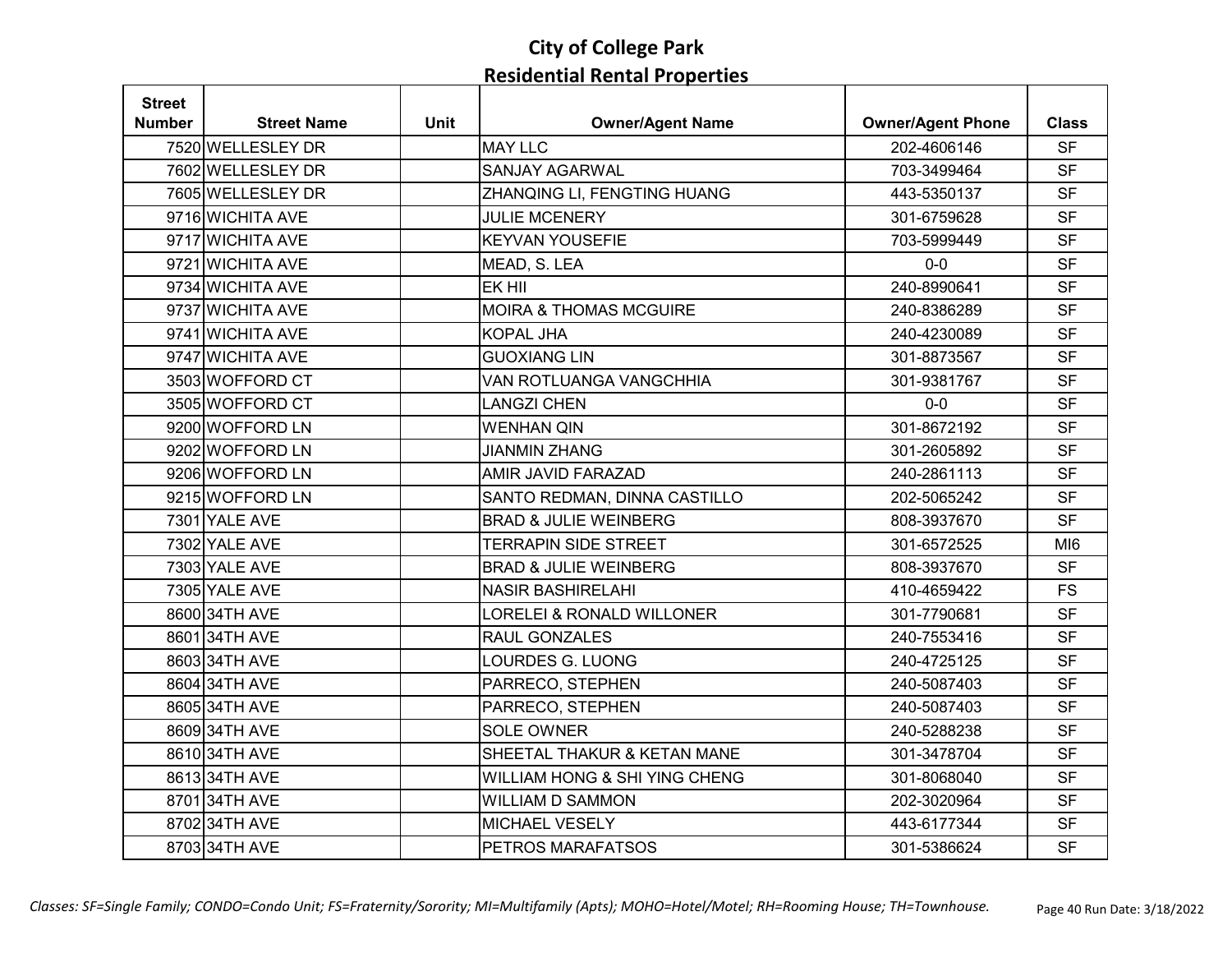| <b>Street</b> |                    |             |                                   |                          |                 |
|---------------|--------------------|-------------|-----------------------------------|--------------------------|-----------------|
| Number        | <b>Street Name</b> | <b>Unit</b> | <b>Owner/Agent Name</b>           | <b>Owner/Agent Phone</b> | <b>Class</b>    |
|               | 7520 WELLESLEY DR  |             | <b>MAY LLC</b>                    | 202-4606146              | <b>SF</b>       |
|               | 7602 WELLESLEY DR  |             | <b>SANJAY AGARWAL</b>             | 703-3499464              | <b>SF</b>       |
|               | 7605 WELLESLEY DR  |             | ZHANQING LI, FENGTING HUANG       | 443-5350137              | <b>SF</b>       |
|               | 9716 WICHITA AVE   |             | <b>JULIE MCENERY</b>              | 301-6759628              | <b>SF</b>       |
|               | 9717 WICHITA AVE   |             | <b>KEYVAN YOUSEFIE</b>            | 703-5999449              | <b>SF</b>       |
|               | 9721 WICHITA AVE   |             | MEAD, S. LEA                      | $0-0$                    | <b>SF</b>       |
|               | 9734 WICHITA AVE   |             | EK HII                            | 240-8990641              | <b>SF</b>       |
|               | 9737 WICHITA AVE   |             | <b>MOIRA &amp; THOMAS MCGUIRE</b> | 240-8386289              | <b>SF</b>       |
|               | 9741 WICHITA AVE   |             | <b>KOPAL JHA</b>                  | 240-4230089              | <b>SF</b>       |
|               | 9747 WICHITA AVE   |             | <b>GUOXIANG LIN</b>               | 301-8873567              | <b>SF</b>       |
|               | 3503 WOFFORD CT    |             | VAN ROTLUANGA VANGCHHIA           | 301-9381767              | <b>SF</b>       |
|               | 3505 WOFFORD CT    |             | <b>LANGZI CHEN</b>                | $0 - 0$                  | <b>SF</b>       |
|               | 9200 WOFFORD LN    |             | <b>WENHAN QIN</b>                 | 301-8672192              | <b>SF</b>       |
|               | 9202 WOFFORD LN    |             | <b>JIANMIN ZHANG</b>              | 301-2605892              | <b>SF</b>       |
|               | 9206 WOFFORD LN    |             | AMIR JAVID FARAZAD                | 240-2861113              | <b>SF</b>       |
|               | 9215 WOFFORD LN    |             | SANTO REDMAN, DINNA CASTILLO      | 202-5065242              | <b>SF</b>       |
|               | 7301 YALE AVE      |             | <b>BRAD &amp; JULIE WEINBERG</b>  | 808-3937670              | <b>SF</b>       |
|               | 7302 YALE AVE      |             | <b>TERRAPIN SIDE STREET</b>       | 301-6572525              | MI <sub>6</sub> |
|               | 7303 YALE AVE      |             | <b>BRAD &amp; JULIE WEINBERG</b>  | 808-3937670              | <b>SF</b>       |
|               | 7305 YALE AVE      |             | <b>NASIR BASHIRELAHI</b>          | 410-4659422              | <b>FS</b>       |
|               | 8600 34TH AVE      |             | LORELEI & RONALD WILLONER         | 301-7790681              | <b>SF</b>       |
|               | 8601 34TH AVE      |             | RAUL GONZALES                     | 240-7553416              | <b>SF</b>       |
|               | 8603 34TH AVE      |             | LOURDES G. LUONG                  | 240-4725125              | <b>SF</b>       |
|               | 8604 34TH AVE      |             | PARRECO, STEPHEN                  | 240-5087403              | <b>SF</b>       |
|               | 8605 34TH AVE      |             | PARRECO, STEPHEN                  | 240-5087403              | <b>SF</b>       |
|               | 8609 34TH AVE      |             | <b>SOLE OWNER</b>                 | 240-5288238              | <b>SF</b>       |
|               | 8610 34TH AVE      |             | SHEETAL THAKUR & KETAN MANE       | 301-3478704              | <b>SF</b>       |
|               | 861334TH AVE       |             | WILLIAM HONG & SHI YING CHENG     | 301-8068040              | <b>SF</b>       |
|               | 8701 34TH AVE      |             | <b>WILLIAM D SAMMON</b>           | 202-3020964              | <b>SF</b>       |
|               | 8702 34TH AVE      |             | <b>MICHAEL VESELY</b>             | 443-6177344              | <b>SF</b>       |
|               | 8703 34TH AVE      |             | PETROS MARAFATSOS                 | 301-5386624              | <b>SF</b>       |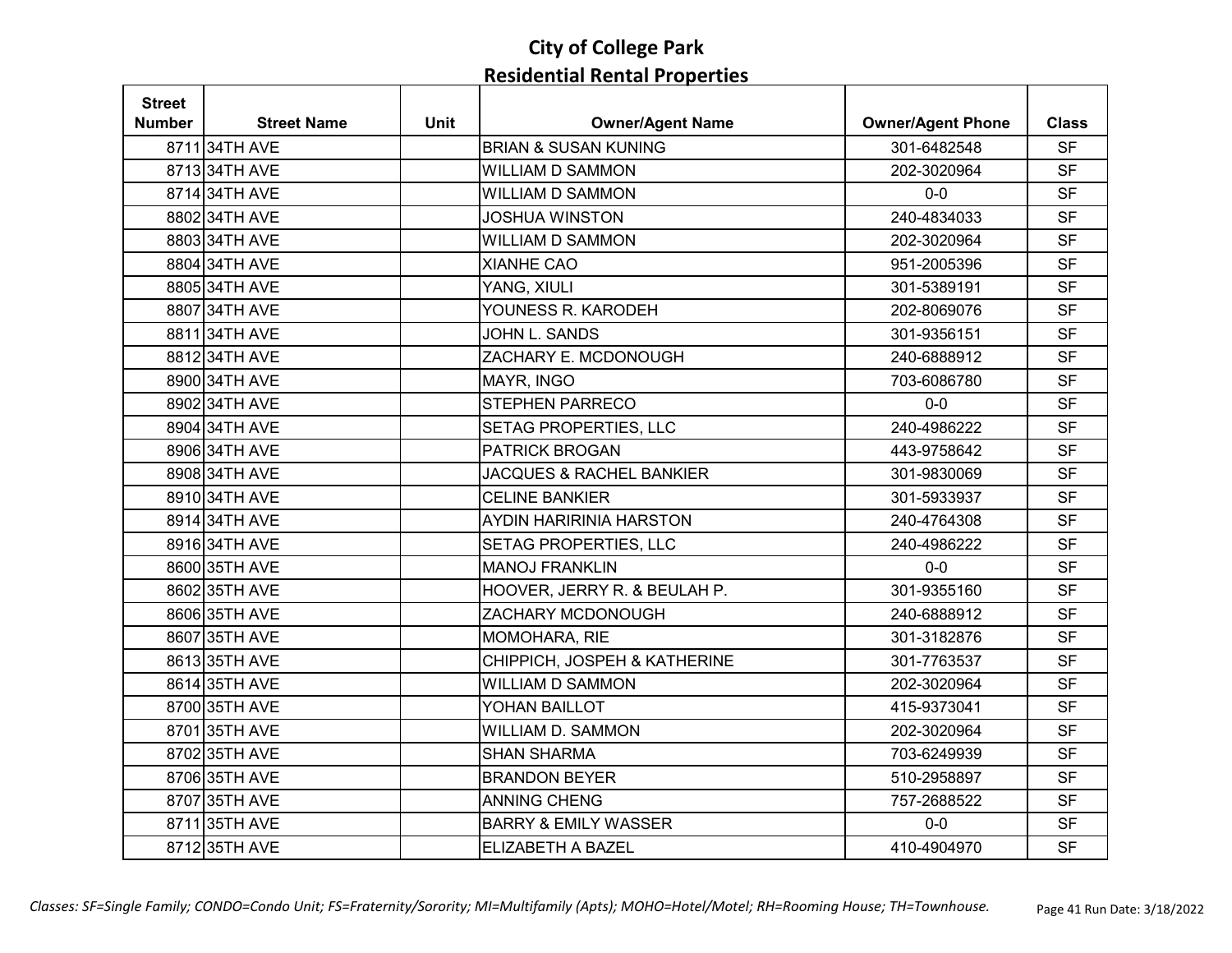| <b>Street</b> |                    |             |                                     |                          |              |
|---------------|--------------------|-------------|-------------------------------------|--------------------------|--------------|
| <b>Number</b> | <b>Street Name</b> | <b>Unit</b> | <b>Owner/Agent Name</b>             | <b>Owner/Agent Phone</b> | <b>Class</b> |
|               | 871134TH AVE       |             | <b>BRIAN &amp; SUSAN KUNING</b>     | 301-6482548              | <b>SF</b>    |
|               | 871334TH AVE       |             | <b>WILLIAM D SAMMON</b>             | 202-3020964              | <b>SF</b>    |
|               | 871434TH AVE       |             | <b>WILLIAM D SAMMON</b>             | $0-0$                    | <b>SF</b>    |
|               | 8802 34TH AVE      |             | <b>JOSHUA WINSTON</b>               | 240-4834033              | <b>SF</b>    |
|               | 8803 34TH AVE      |             | <b>WILLIAM D SAMMON</b>             | 202-3020964              | <b>SF</b>    |
|               | 8804 34TH AVE      |             | <b>XIANHE CAO</b>                   | 951-2005396              | <b>SF</b>    |
|               | 8805 34TH AVE      |             | YANG, XIULI                         | 301-5389191              | <b>SF</b>    |
|               | 8807 34TH AVE      |             | YOUNESS R. KARODEH                  | 202-8069076              | <b>SF</b>    |
|               | 8811 34TH AVE      |             | JOHN L. SANDS                       | 301-9356151              | <b>SF</b>    |
|               | 881234TH AVE       |             | ZACHARY E. MCDONOUGH                | 240-6888912              | <b>SF</b>    |
|               | 8900 34TH AVE      |             | MAYR, INGO                          | 703-6086780              | <b>SF</b>    |
|               | 8902 34TH AVE      |             | STEPHEN PARRECO                     | $0 - 0$                  | <b>SF</b>    |
|               | 8904 34TH AVE      |             | SETAG PROPERTIES, LLC               | 240-4986222              | <b>SF</b>    |
|               | 8906 34TH AVE      |             | <b>PATRICK BROGAN</b>               | 443-9758642              | <b>SF</b>    |
|               | 8908 34TH AVE      |             | <b>JACQUES &amp; RACHEL BANKIER</b> | 301-9830069              | <b>SF</b>    |
|               | 8910 34TH AVE      |             | <b>CELINE BANKIER</b>               | 301-5933937              | <b>SF</b>    |
|               | 8914 34TH AVE      |             | AYDIN HARIRINIA HARSTON             | 240-4764308              | <b>SF</b>    |
|               | 8916 34TH AVE      |             | SETAG PROPERTIES, LLC               | 240-4986222              | <b>SF</b>    |
|               | 8600 35TH AVE      |             | <b>MANOJ FRANKLIN</b>               | $0-0$                    | <b>SF</b>    |
|               | 8602 35TH AVE      |             | HOOVER, JERRY R. & BEULAH P.        | 301-9355160              | <b>SF</b>    |
|               | 8606 35TH AVE      |             | ZACHARY MCDONOUGH                   | 240-6888912              | <b>SF</b>    |
|               | 8607 35TH AVE      |             | MOMOHARA, RIE                       | 301-3182876              | <b>SF</b>    |
|               | 861335TH AVE       |             | CHIPPICH, JOSPEH & KATHERINE        | 301-7763537              | <b>SF</b>    |
|               | 8614 35TH AVE      |             | <b>WILLIAM D SAMMON</b>             | 202-3020964              | <b>SF</b>    |
|               | 8700 35TH AVE      |             | YOHAN BAILLOT                       | 415-9373041              | <b>SF</b>    |
|               | 8701 35TH AVE      |             | <b>WILLIAM D. SAMMON</b>            | 202-3020964              | <b>SF</b>    |
|               | 8702 35TH AVE      |             | <b>SHAN SHARMA</b>                  | 703-6249939              | <b>SF</b>    |
|               | 8706 35TH AVE      |             | <b>BRANDON BEYER</b>                | 510-2958897              | <b>SF</b>    |
|               | 8707 35TH AVE      |             | <b>ANNING CHENG</b>                 | 757-2688522              | <b>SF</b>    |
|               | 8711 35TH AVE      |             | <b>BARRY &amp; EMILY WASSER</b>     | $0-0$                    | <b>SF</b>    |
|               | 8712 35TH AVE      |             | ELIZABETH A BAZEL                   | 410-4904970              | <b>SF</b>    |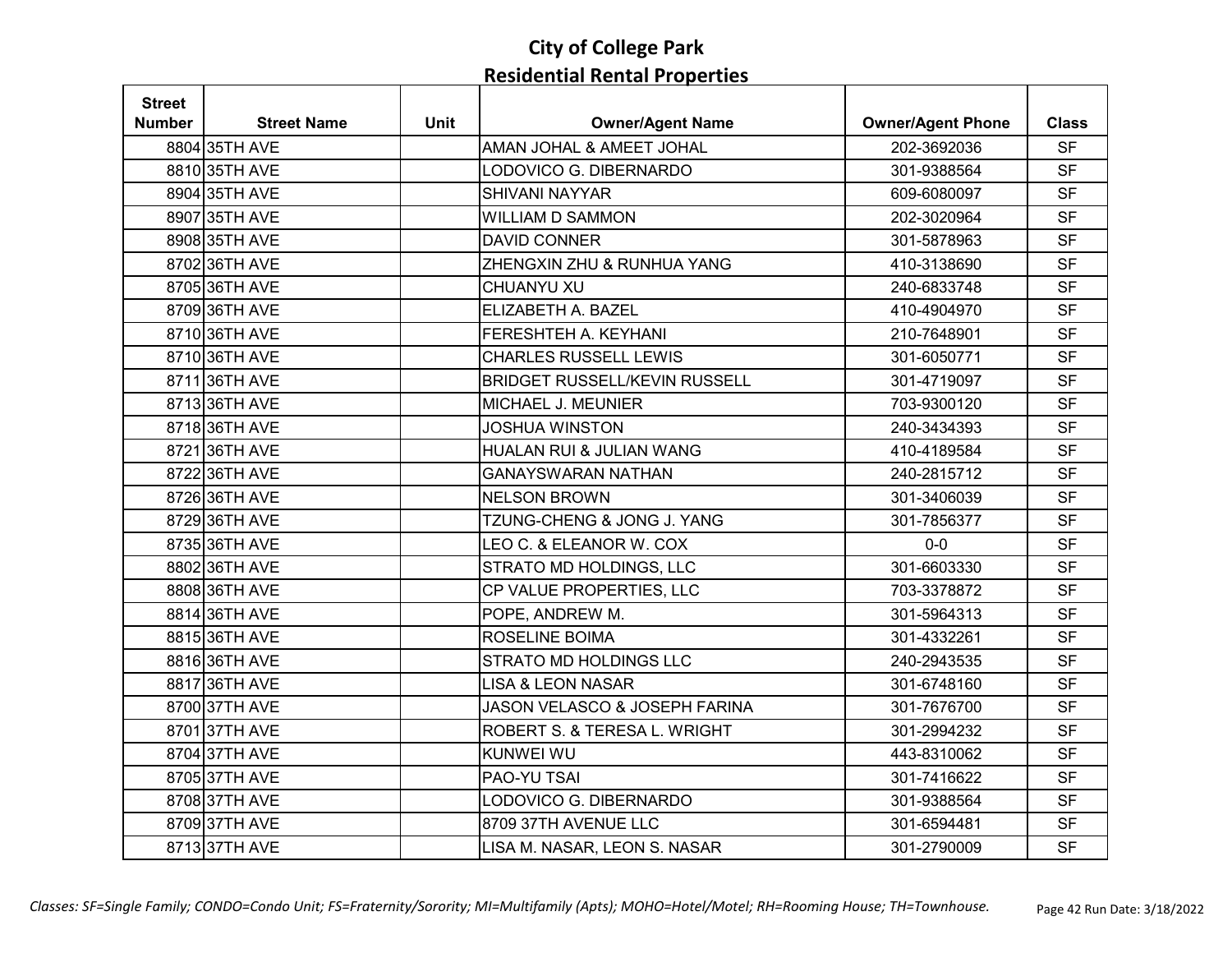| <b>Street</b> |                    |             |                                      |                          |              |
|---------------|--------------------|-------------|--------------------------------------|--------------------------|--------------|
| <b>Number</b> | <b>Street Name</b> | <b>Unit</b> | <b>Owner/Agent Name</b>              | <b>Owner/Agent Phone</b> | <b>Class</b> |
|               | 8804 35TH AVE      |             | AMAN JOHAL & AMEET JOHAL             | 202-3692036              | <b>SF</b>    |
|               | 8810 35TH AVE      |             | LODOVICO G. DIBERNARDO               | 301-9388564              | <b>SF</b>    |
|               | 8904 35TH AVE      |             | <b>SHIVANI NAYYAR</b>                | 609-6080097              | <b>SF</b>    |
|               | 8907 35TH AVE      |             | <b>WILLIAM D SAMMON</b>              | 202-3020964              | <b>SF</b>    |
|               | 8908 35TH AVE      |             | <b>DAVID CONNER</b>                  | 301-5878963              | <b>SF</b>    |
|               | 8702 36TH AVE      |             | ZHENGXIN ZHU & RUNHUA YANG           | 410-3138690              | <b>SF</b>    |
|               | 8705 36TH AVE      |             | CHUANYU XU                           | 240-6833748              | <b>SF</b>    |
|               | 8709 36TH AVE      |             | ELIZABETH A. BAZEL                   | 410-4904970              | <b>SF</b>    |
|               | 8710 36TH AVE      |             | FERESHTEH A. KEYHANI                 | 210-7648901              | <b>SF</b>    |
|               | 8710 36TH AVE      |             | <b>CHARLES RUSSELL LEWIS</b>         | 301-6050771              | <b>SF</b>    |
|               | 8711 36TH AVE      |             | <b>BRIDGET RUSSELL/KEVIN RUSSELL</b> | 301-4719097              | <b>SF</b>    |
|               | 871336TH AVE       |             | MICHAEL J. MEUNIER                   | 703-9300120              | <b>SF</b>    |
|               | 8718 36TH AVE      |             | <b>JOSHUA WINSTON</b>                | 240-3434393              | <b>SF</b>    |
|               | 8721 36TH AVE      |             | <b>HUALAN RUI &amp; JULIAN WANG</b>  | 410-4189584              | <b>SF</b>    |
|               | 8722 36TH AVE      |             | <b>GANAYSWARAN NATHAN</b>            | 240-2815712              | <b>SF</b>    |
|               | 8726 36TH AVE      |             | <b>NELSON BROWN</b>                  | 301-3406039              | <b>SF</b>    |
|               | 8729 36TH AVE      |             | TZUNG-CHENG & JONG J. YANG           | 301-7856377              | <b>SF</b>    |
|               | 8735 36TH AVE      |             | LEO C. & ELEANOR W. COX              | $0-0$                    | <b>SF</b>    |
|               | 8802 36TH AVE      |             | STRATO MD HOLDINGS, LLC              | 301-6603330              | <b>SF</b>    |
|               | 8808 36TH AVE      |             | CP VALUE PROPERTIES, LLC             | 703-3378872              | <b>SF</b>    |
|               | 8814 36TH AVE      |             | POPE, ANDREW M.                      | 301-5964313              | <b>SF</b>    |
|               | 8815 36TH AVE      |             | ROSELINE BOIMA                       | 301-4332261              | <b>SF</b>    |
|               | 8816 36TH AVE      |             | STRATO MD HOLDINGS LLC               | 240-2943535              | <b>SF</b>    |
|               | 8817 36TH AVE      |             | <b>LISA &amp; LEON NASAR</b>         | 301-6748160              | <b>SF</b>    |
|               | 8700 37TH AVE      |             | JASON VELASCO & JOSEPH FARINA        | 301-7676700              | <b>SF</b>    |
|               | 8701 37TH AVE      |             | ROBERT S. & TERESA L. WRIGHT         | 301-2994232              | <b>SF</b>    |
|               | 8704 37TH AVE      |             | KUNWEI WU                            | 443-8310062              | <b>SF</b>    |
|               | 8705 37TH AVE      |             | PAO-YU TSAI                          | 301-7416622              | <b>SF</b>    |
|               | 8708 37TH AVE      |             | LODOVICO G. DIBERNARDO               | 301-9388564              | <b>SF</b>    |
|               | 8709 37TH AVE      |             | 8709 37TH AVENUE LLC                 | 301-6594481              | <b>SF</b>    |
|               | 871337TH AVE       |             | LISA M. NASAR, LEON S. NASAR         | 301-2790009              | <b>SF</b>    |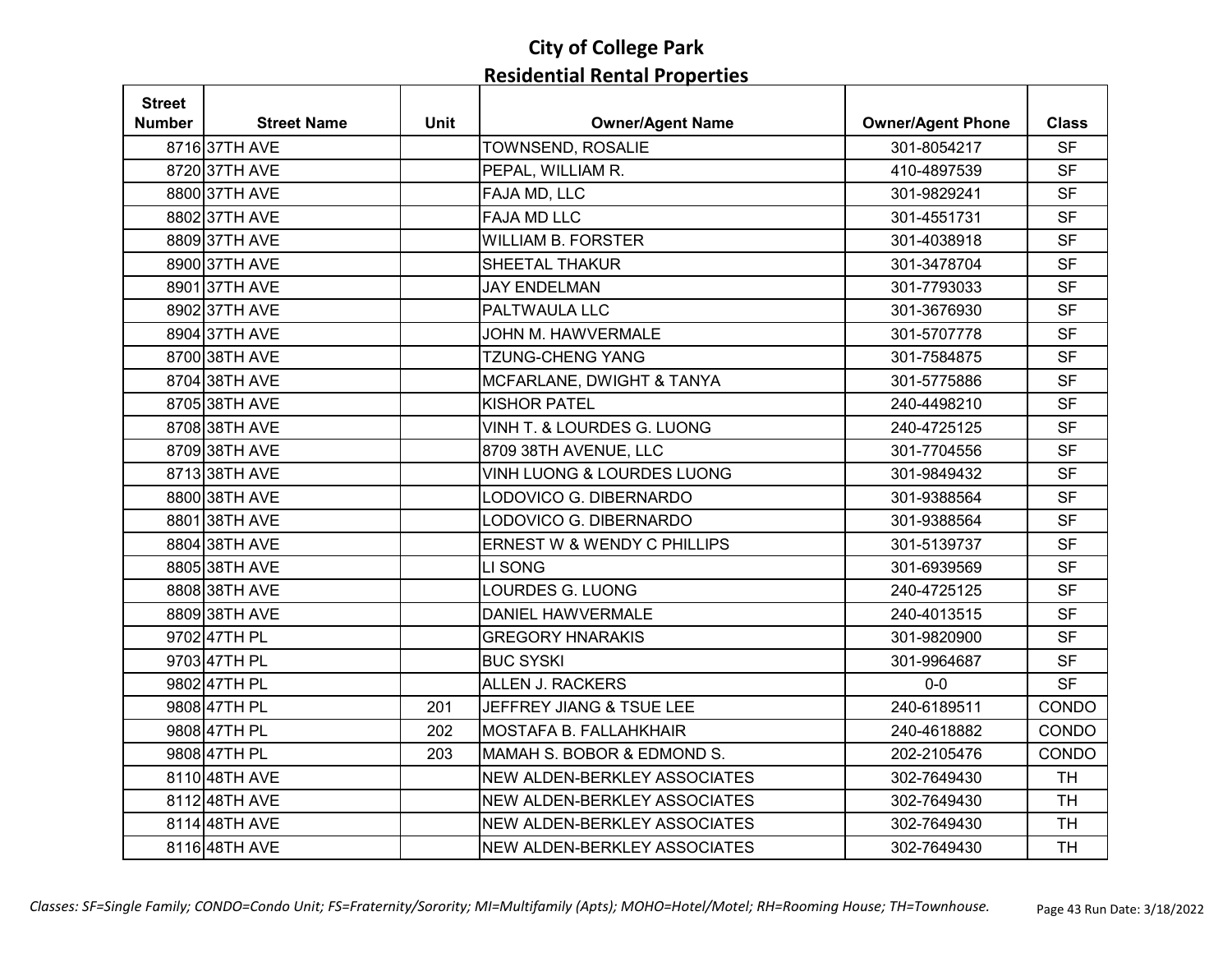| <b>Street</b> |                    |             |                              |                          |              |
|---------------|--------------------|-------------|------------------------------|--------------------------|--------------|
| <b>Number</b> | <b>Street Name</b> | <b>Unit</b> | <b>Owner/Agent Name</b>      | <b>Owner/Agent Phone</b> | <b>Class</b> |
|               | 8716 37TH AVE      |             | TOWNSEND, ROSALIE            | 301-8054217              | <b>SF</b>    |
|               | 8720 37TH AVE      |             | PEPAL, WILLIAM R.            | 410-4897539              | <b>SF</b>    |
|               | 8800 37TH AVE      |             | FAJA MD, LLC                 | 301-9829241              | <b>SF</b>    |
|               | 8802 37TH AVE      |             | <b>FAJA MD LLC</b>           | 301-4551731              | <b>SF</b>    |
|               | 8809 37TH AVE      |             | <b>WILLIAM B. FORSTER</b>    | 301-4038918              | <b>SF</b>    |
|               | 8900 37TH AVE      |             | SHEETAL THAKUR               | 301-3478704              | <b>SF</b>    |
|               | 8901 37TH AVE      |             | <b>JAY ENDELMAN</b>          | 301-7793033              | <b>SF</b>    |
|               | 8902 37TH AVE      |             | PALTWAULA LLC                | 301-3676930              | <b>SF</b>    |
|               | 8904 37TH AVE      |             | JOHN M. HAWVERMALE           | 301-5707778              | <b>SF</b>    |
|               | 8700 38TH AVE      |             | <b>TZUNG-CHENG YANG</b>      | 301-7584875              | <b>SF</b>    |
|               | 8704 38TH AVE      |             | MCFARLANE, DWIGHT & TANYA    | 301-5775886              | <b>SF</b>    |
|               | 8705 38TH AVE      |             | <b>KISHOR PATEL</b>          | 240-4498210              | <b>SF</b>    |
|               | 8708 38TH AVE      |             | VINH T. & LOURDES G. LUONG   | 240-4725125              | <b>SF</b>    |
|               | 8709 38TH AVE      |             | 8709 38TH AVENUE, LLC        | 301-7704556              | <b>SF</b>    |
|               | 871338TH AVE       |             | VINH LUONG & LOURDES LUONG   | 301-9849432              | <b>SF</b>    |
|               | 8800 38TH AVE      |             | LODOVICO G. DIBERNARDO       | 301-9388564              | <b>SF</b>    |
|               | 8801 38TH AVE      |             | LODOVICO G. DIBERNARDO       | 301-9388564              | <b>SF</b>    |
|               | 8804 38TH AVE      |             | ERNEST W & WENDY C PHILLIPS  | 301-5139737              | <b>SF</b>    |
|               | 8805 38TH AVE      |             | LI SONG                      | 301-6939569              | <b>SF</b>    |
|               | 8808 38TH AVE      |             | <b>LOURDES G. LUONG</b>      | 240-4725125              | <b>SF</b>    |
|               | 8809 38TH AVE      |             | <b>DANIEL HAWVERMALE</b>     | 240-4013515              | <b>SF</b>    |
|               | 9702 47TH PL       |             | <b>GREGORY HNARAKIS</b>      | 301-9820900              | <b>SF</b>    |
|               | 9703 47TH PL       |             | <b>BUC SYSKI</b>             | 301-9964687              | <b>SF</b>    |
|               | 9802 47TH PL       |             | <b>ALLEN J. RACKERS</b>      | $0-0$                    | <b>SF</b>    |
|               | 9808 47TH PL       | 201         | JEFFREY JIANG & TSUE LEE     | 240-6189511              | CONDO        |
|               | 9808 47TH PL       | 202         | MOSTAFA B. FALLAHKHAIR       | 240-4618882              | CONDO        |
|               | 9808 47TH PL       | 203         | MAMAH S. BOBOR & EDMOND S.   | 202-2105476              | CONDO        |
|               | 8110 48TH AVE      |             | NEW ALDEN-BERKLEY ASSOCIATES | 302-7649430              | <b>TH</b>    |
|               | 8112 48TH AVE      |             | NEW ALDEN-BERKLEY ASSOCIATES | 302-7649430              | <b>TH</b>    |
|               | 8114 48TH AVE      |             | NEW ALDEN-BERKLEY ASSOCIATES | 302-7649430              | <b>TH</b>    |
|               | 8116 48TH AVE      |             | NEW ALDEN-BERKLEY ASSOCIATES | 302-7649430              | <b>TH</b>    |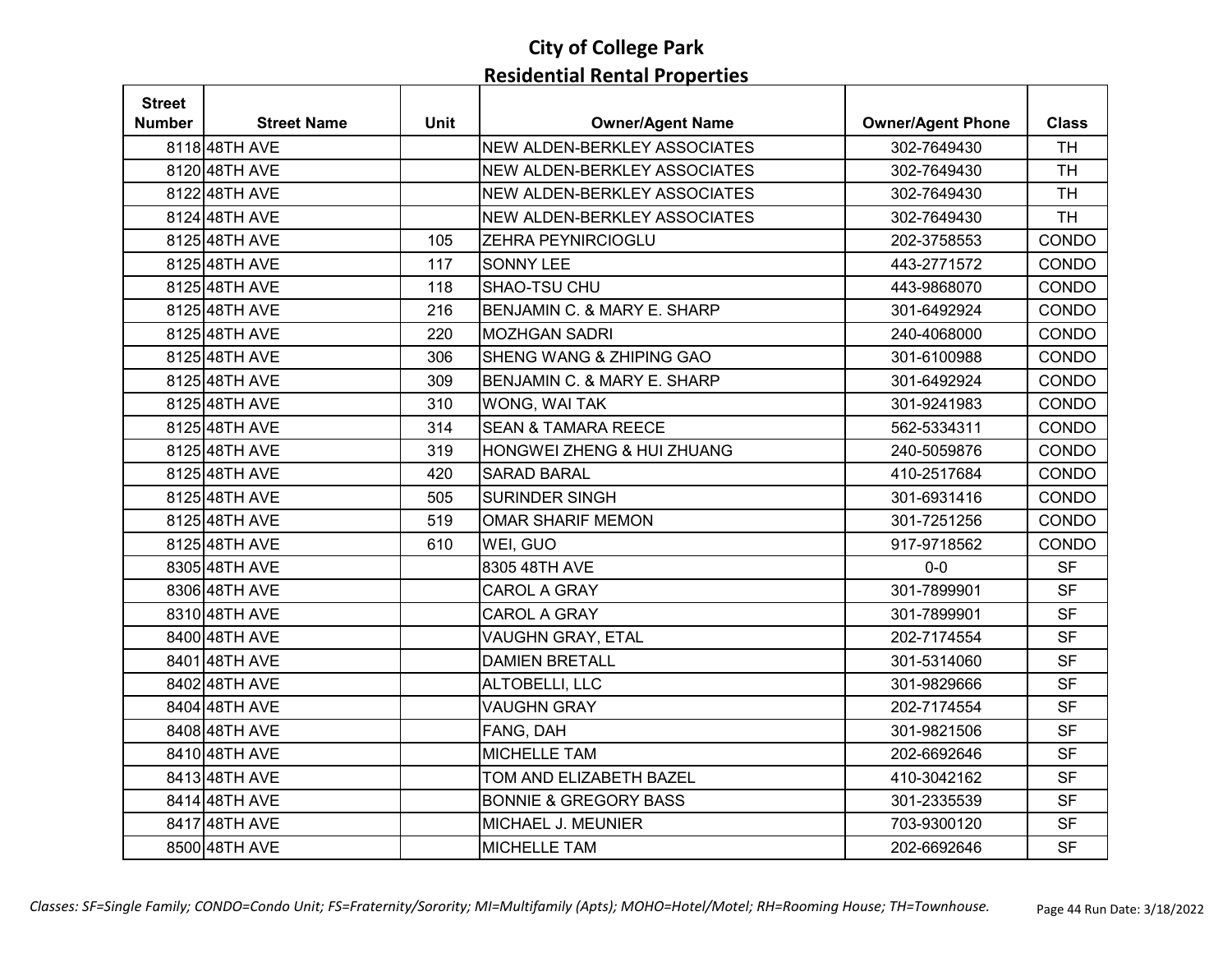| <b>Street</b> |                    |             |                                  |                          |              |
|---------------|--------------------|-------------|----------------------------------|--------------------------|--------------|
| Number        | <b>Street Name</b> | <b>Unit</b> | <b>Owner/Agent Name</b>          | <b>Owner/Agent Phone</b> | <b>Class</b> |
|               | 8118 48TH AVE      |             | NEW ALDEN-BERKLEY ASSOCIATES     | 302-7649430              | <b>TH</b>    |
|               | 8120 48TH AVE      |             | NEW ALDEN-BERKLEY ASSOCIATES     | 302-7649430              | <b>TH</b>    |
|               | 8122 48TH AVE      |             | NEW ALDEN-BERKLEY ASSOCIATES     | 302-7649430              | <b>TH</b>    |
|               | 8124 48TH AVE      |             | NEW ALDEN-BERKLEY ASSOCIATES     | 302-7649430              | <b>TH</b>    |
|               | 8125 48TH AVE      | 105         | ZEHRA PEYNIRCIOGLU               | 202-3758553              | CONDO        |
|               | 8125 48TH AVE      | 117         | <b>SONNY LEE</b>                 | 443-2771572              | CONDO        |
|               | 8125 48TH AVE      | 118         | SHAO-TSU CHU                     | 443-9868070              | CONDO        |
|               | 8125 48TH AVE      | 216         | BENJAMIN C. & MARY E. SHARP      | 301-6492924              | CONDO        |
|               | 8125 48TH AVE      | 220         | <b>MOZHGAN SADRI</b>             | 240-4068000              | CONDO        |
|               | 8125 48TH AVE      | 306         | SHENG WANG & ZHIPING GAO         | 301-6100988              | CONDO        |
|               | 8125 48TH AVE      | 309         | BENJAMIN C. & MARY E. SHARP      | 301-6492924              | CONDO        |
|               | 8125 48TH AVE      | 310         | WONG, WAI TAK                    | 301-9241983              | CONDO        |
|               | 8125 48TH AVE      | 314         | <b>SEAN &amp; TAMARA REECE</b>   | 562-5334311              | CONDO        |
|               | 8125 48TH AVE      | 319         | HONGWEI ZHENG & HUI ZHUANG       | 240-5059876              | CONDO        |
|               | 8125 48TH AVE      | 420         | <b>SARAD BARAL</b>               | 410-2517684              | CONDO        |
|               | 8125 48TH AVE      | 505         | <b>SURINDER SINGH</b>            | 301-6931416              | CONDO        |
|               | 8125 48TH AVE      | 519         | <b>OMAR SHARIF MEMON</b>         | 301-7251256              | CONDO        |
|               | 8125 48TH AVE      | 610         | WEI, GUO                         | 917-9718562              | CONDO        |
|               | 8305 48TH AVE      |             | 8305 48TH AVE                    | $0-0$                    | <b>SF</b>    |
|               | 8306 48TH AVE      |             | <b>CAROL A GRAY</b>              | 301-7899901              | <b>SF</b>    |
|               | 8310 48TH AVE      |             | <b>CAROL A GRAY</b>              | 301-7899901              | <b>SF</b>    |
|               | 8400 48TH AVE      |             | VAUGHN GRAY, ETAL                | 202-7174554              | <b>SF</b>    |
|               | 8401 48TH AVE      |             | <b>DAMIEN BRETALL</b>            | 301-5314060              | <b>SF</b>    |
|               | 8402 48TH AVE      |             | ALTOBELLI, LLC                   | 301-9829666              | <b>SF</b>    |
|               | 8404 48TH AVE      |             | <b>VAUGHN GRAY</b>               | 202-7174554              | <b>SF</b>    |
|               | 8408 48TH AVE      |             | FANG, DAH                        | 301-9821506              | <b>SF</b>    |
|               | 8410 48TH AVE      |             | <b>MICHELLE TAM</b>              | 202-6692646              | <b>SF</b>    |
|               | 8413 48TH AVE      |             | TOM AND ELIZABETH BAZEL          | 410-3042162              | <b>SF</b>    |
|               | 8414 48TH AVE      |             | <b>BONNIE &amp; GREGORY BASS</b> | 301-2335539              | <b>SF</b>    |
|               | 8417 48TH AVE      |             | MICHAEL J. MEUNIER               | 703-9300120              | <b>SF</b>    |
|               | 8500 48TH AVE      |             | <b>MICHELLE TAM</b>              | 202-6692646              | <b>SF</b>    |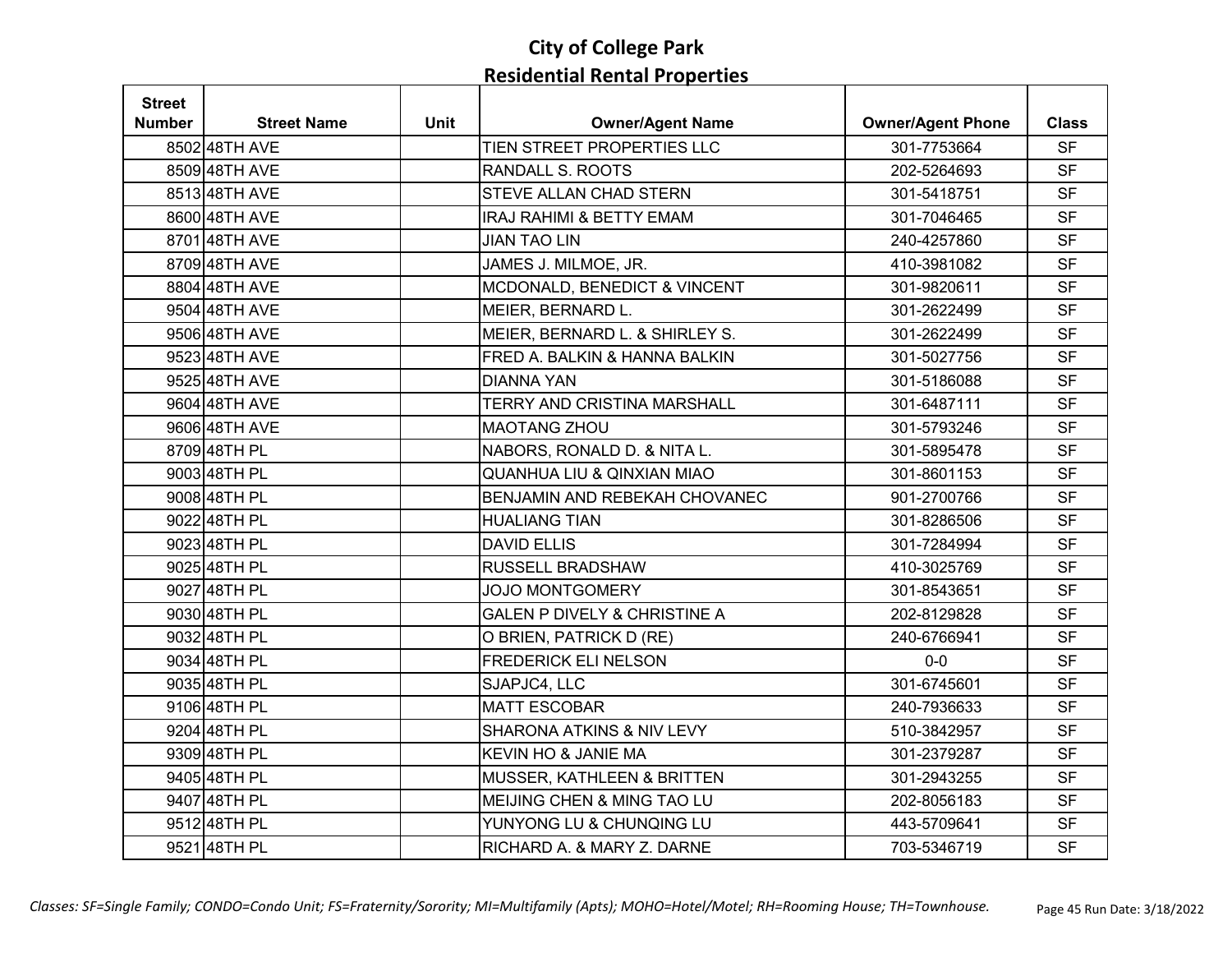| <b>Street</b> |                    |             |                                         |                          |              |
|---------------|--------------------|-------------|-----------------------------------------|--------------------------|--------------|
| <b>Number</b> | <b>Street Name</b> | <b>Unit</b> | <b>Owner/Agent Name</b>                 | <b>Owner/Agent Phone</b> | <b>Class</b> |
|               | 8502 48TH AVE      |             | TIEN STREET PROPERTIES LLC              | 301-7753664              | <b>SF</b>    |
|               | 8509 48TH AVE      |             | RANDALL S. ROOTS                        | 202-5264693              | <b>SF</b>    |
|               | 851348TH AVE       |             | STEVE ALLAN CHAD STERN                  | 301-5418751              | <b>SF</b>    |
|               | 8600 48TH AVE      |             | IRAJ RAHIMI & BETTY EMAM                | 301-7046465              | <b>SF</b>    |
|               | 8701 48TH AVE      |             | <b>JIAN TAO LIN</b>                     | 240-4257860              | <b>SF</b>    |
|               | 8709 48TH AVE      |             | JAMES J. MILMOE, JR.                    | 410-3981082              | <b>SF</b>    |
|               | 8804 48TH AVE      |             | MCDONALD, BENEDICT & VINCENT            | 301-9820611              | <b>SF</b>    |
|               | 9504 48TH AVE      |             | MEIER, BERNARD L.                       | 301-2622499              | <b>SF</b>    |
|               | 9506 48TH AVE      |             | MEIER, BERNARD L. & SHIRLEY S.          | 301-2622499              | <b>SF</b>    |
|               | 9523 48TH AVE      |             | FRED A. BALKIN & HANNA BALKIN           | 301-5027756              | <b>SF</b>    |
|               | 9525 48TH AVE      |             | <b>DIANNA YAN</b>                       | 301-5186088              | <b>SF</b>    |
|               | 9604 48TH AVE      |             | <b>TERRY AND CRISTINA MARSHALL</b>      | 301-6487111              | <b>SF</b>    |
|               | 9606 48TH AVE      |             | <b>MAOTANG ZHOU</b>                     | 301-5793246              | <b>SF</b>    |
|               | 8709 48TH PL       |             | NABORS, RONALD D. & NITA L.             | 301-5895478              | <b>SF</b>    |
|               | 900348TH PL        |             | <b>QUANHUA LIU &amp; QINXIAN MIAO</b>   | 301-8601153              | <b>SF</b>    |
|               | 9008 48TH PL       |             | BENJAMIN AND REBEKAH CHOVANEC           | 901-2700766              | <b>SF</b>    |
|               | 9022 48TH PL       |             | <b>HUALIANG TIAN</b>                    | 301-8286506              | <b>SF</b>    |
|               | 902348TH PL        |             | <b>DAVID ELLIS</b>                      | 301-7284994              | <b>SF</b>    |
|               | 9025 48TH PL       |             | <b>RUSSELL BRADSHAW</b>                 | 410-3025769              | <b>SF</b>    |
|               | 902748TH PL        |             | <b>JOJO MONTGOMERY</b>                  | 301-8543651              | <b>SF</b>    |
|               | 9030 48TH PL       |             | <b>GALEN P DIVELY &amp; CHRISTINE A</b> | 202-8129828              | <b>SF</b>    |
|               | 9032 48TH PL       |             | O BRIEN, PATRICK D (RE)                 | 240-6766941              | <b>SF</b>    |
|               | 9034 48TH PL       |             | <b>FREDERICK ELI NELSON</b>             | $0-0$                    | <b>SF</b>    |
|               | 9035 48TH PL       |             | SJAPJC4, LLC                            | 301-6745601              | <b>SF</b>    |
|               | 9106 48TH PL       |             | <b>MATT ESCOBAR</b>                     | 240-7936633              | <b>SF</b>    |
|               | 9204 48TH PL       |             | SHARONA ATKINS & NIV LEVY               | 510-3842957              | <b>SF</b>    |
|               | 9309 48TH PL       |             | KEVIN HO & JANIE MA                     | 301-2379287              | <b>SF</b>    |
|               | 9405 48TH PL       |             | MUSSER, KATHLEEN & BRITTEN              | 301-2943255              | <b>SF</b>    |
|               | 9407 48TH PL       |             | MEIJING CHEN & MING TAO LU              | 202-8056183              | <b>SF</b>    |
|               | 951248TH PL        |             | YUNYONG LU & CHUNQING LU                | 443-5709641              | <b>SF</b>    |
|               | 9521 48TH PL       |             | RICHARD A. & MARY Z. DARNE              | 703-5346719              | <b>SF</b>    |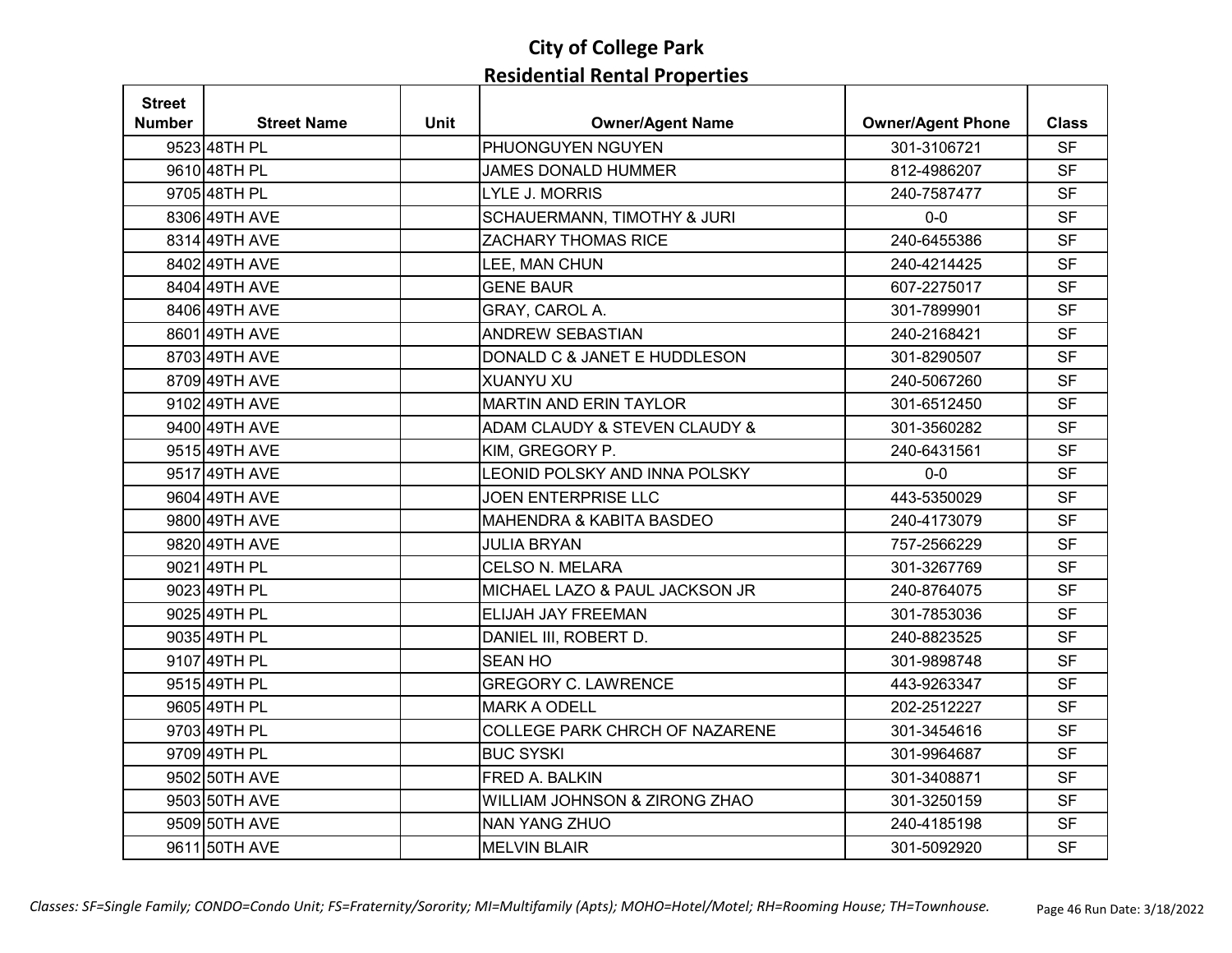| <b>Street</b> |                    |             |                                     |                          |              |
|---------------|--------------------|-------------|-------------------------------------|--------------------------|--------------|
| <b>Number</b> | <b>Street Name</b> | <b>Unit</b> | <b>Owner/Agent Name</b>             | <b>Owner/Agent Phone</b> | <b>Class</b> |
|               | 9523 48TH PL       |             | PHUONGUYEN NGUYEN                   | 301-3106721              | <b>SF</b>    |
|               | 9610 48TH PL       |             | <b>JAMES DONALD HUMMER</b>          | 812-4986207              | <b>SF</b>    |
|               | 9705 48TH PL       |             | <b>LYLE J. MORRIS</b>               | 240-7587477              | <b>SF</b>    |
|               | 8306 49TH AVE      |             | SCHAUERMANN, TIMOTHY & JURI         | $0-0$                    | <b>SF</b>    |
|               | 8314 49TH AVE      |             | <b>ZACHARY THOMAS RICE</b>          | 240-6455386              | <b>SF</b>    |
|               | 8402 49TH AVE      |             | LEE, MAN CHUN                       | 240-4214425              | <b>SF</b>    |
|               | 8404 49TH AVE      |             | <b>GENE BAUR</b>                    | 607-2275017              | <b>SF</b>    |
|               | 8406 49TH AVE      |             | GRAY, CAROL A.                      | 301-7899901              | <b>SF</b>    |
|               | 8601 49TH AVE      |             | <b>ANDREW SEBASTIAN</b>             | 240-2168421              | <b>SF</b>    |
|               | 8703 49TH AVE      |             | DONALD C & JANET E HUDDLESON        | 301-8290507              | <b>SF</b>    |
|               | 8709 49TH AVE      |             | <b>XUANYU XU</b>                    | 240-5067260              | <b>SF</b>    |
|               | 9102 49TH AVE      |             | <b>MARTIN AND ERIN TAYLOR</b>       | 301-6512450              | <b>SF</b>    |
|               | 9400 49TH AVE      |             | ADAM CLAUDY & STEVEN CLAUDY &       | 301-3560282              | <b>SF</b>    |
|               | 9515 49TH AVE      |             | KIM, GREGORY P.                     | 240-6431561              | <b>SF</b>    |
|               | 9517 49TH AVE      |             | LEONID POLSKY AND INNA POLSKY       | $0-0$                    | <b>SF</b>    |
|               | 9604 49TH AVE      |             | <b>JOEN ENTERPRISE LLC</b>          | 443-5350029              | <b>SF</b>    |
|               | 9800 49TH AVE      |             | <b>MAHENDRA &amp; KABITA BASDEO</b> | 240-4173079              | <b>SF</b>    |
|               | 9820 49TH AVE      |             | <b>JULIA BRYAN</b>                  | 757-2566229              | <b>SF</b>    |
|               | 9021 49TH PL       |             | <b>CELSO N. MELARA</b>              | 301-3267769              | <b>SF</b>    |
|               | 9023 49TH PL       |             | MICHAEL LAZO & PAUL JACKSON JR      | 240-8764075              | <b>SF</b>    |
|               | 9025 49TH PL       |             | ELIJAH JAY FREEMAN                  | 301-7853036              | <b>SF</b>    |
|               | 9035 49TH PL       |             | DANIEL III, ROBERT D.               | 240-8823525              | <b>SF</b>    |
|               | 9107 49TH PL       |             | <b>SEAN HO</b>                      | 301-9898748              | <b>SF</b>    |
|               | 9515 49TH PL       |             | <b>GREGORY C. LAWRENCE</b>          | 443-9263347              | <b>SF</b>    |
|               | 9605 49TH PL       |             | <b>MARK A ODELL</b>                 | 202-2512227              | <b>SF</b>    |
|               | 9703 49TH PL       |             | COLLEGE PARK CHRCH OF NAZARENE      | 301-3454616              | <b>SF</b>    |
|               | 9709 49TH PL       |             | <b>BUC SYSKI</b>                    | 301-9964687              | <b>SF</b>    |
|               | 9502 50TH AVE      |             | FRED A. BALKIN                      | 301-3408871              | <b>SF</b>    |
|               | 9503 50TH AVE      |             | WILLIAM JOHNSON & ZIRONG ZHAO       | 301-3250159              | <b>SF</b>    |
|               | 9509 50TH AVE      |             | <b>NAN YANG ZHUO</b>                | 240-4185198              | <b>SF</b>    |
|               | 9611 50TH AVE      |             | <b>MELVIN BLAIR</b>                 | 301-5092920              | <b>SF</b>    |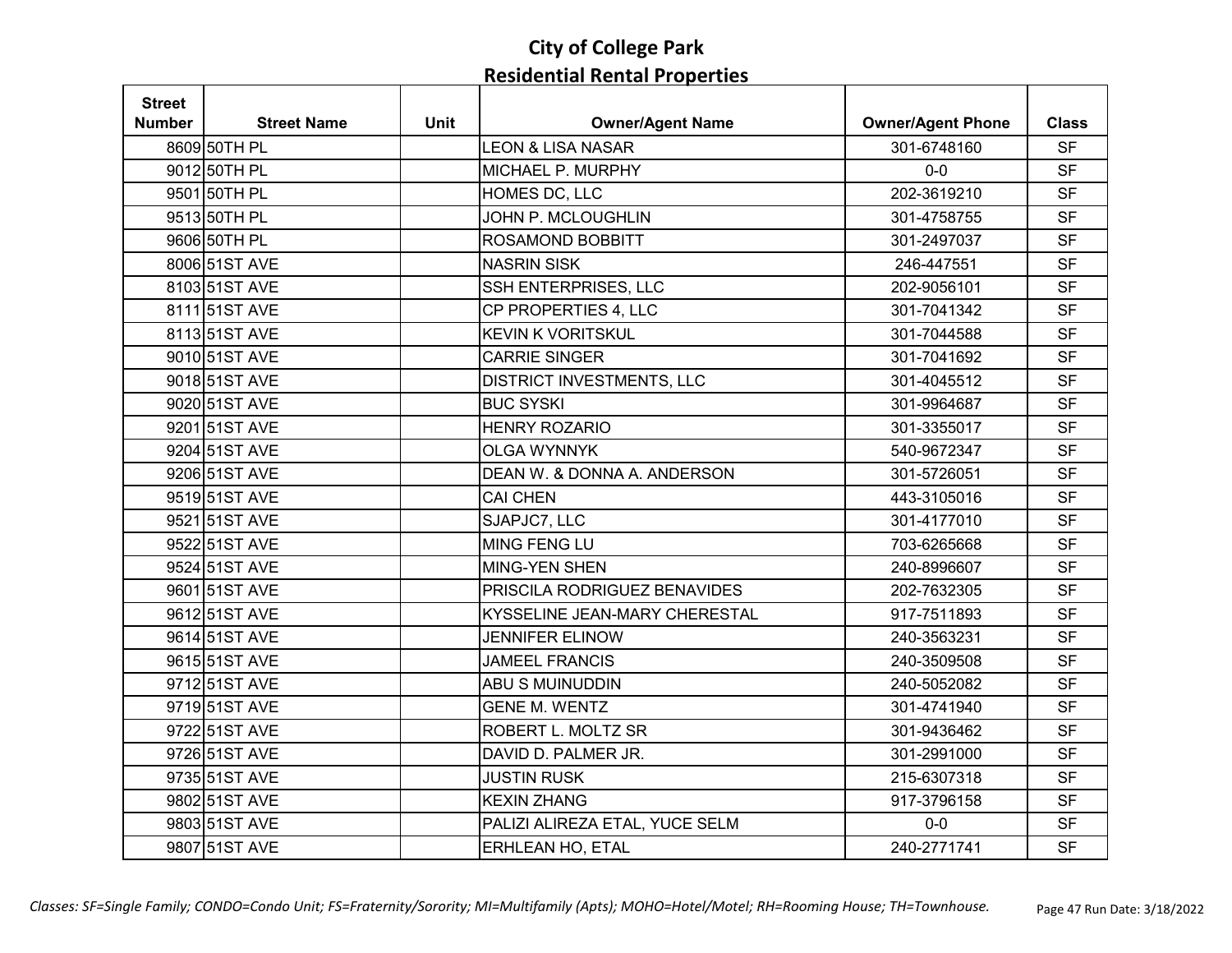| <b>Street</b> |                    |             |                                |                          |              |
|---------------|--------------------|-------------|--------------------------------|--------------------------|--------------|
| <b>Number</b> | <b>Street Name</b> | <b>Unit</b> | <b>Owner/Agent Name</b>        | <b>Owner/Agent Phone</b> | <b>Class</b> |
|               | 8609 50TH PL       |             | <b>LEON &amp; LISA NASAR</b>   | 301-6748160              | <b>SF</b>    |
|               | 9012 50TH PL       |             | MICHAEL P. MURPHY              | $0-0$                    | <b>SF</b>    |
|               | 9501 50TH PL       |             | HOMES DC, LLC                  | 202-3619210              | <b>SF</b>    |
|               | 9513 50TH PL       |             | JOHN P. MCLOUGHLIN             | 301-4758755              | <b>SF</b>    |
|               | 9606 50TH PL       |             | ROSAMOND BOBBITT               | 301-2497037              | <b>SF</b>    |
|               | 8006 51ST AVE      |             | <b>NASRIN SISK</b>             | 246-447551               | <b>SF</b>    |
|               | 8103 51ST AVE      |             | SSH ENTERPRISES, LLC           | 202-9056101              | <b>SF</b>    |
|               | 8111 51ST AVE      |             | CP PROPERTIES 4, LLC           | 301-7041342              | <b>SF</b>    |
|               | 8113 51ST AVE      |             | <b>KEVIN K VORITSKUL</b>       | 301-7044588              | <b>SF</b>    |
|               | 9010 51ST AVE      |             | <b>CARRIE SINGER</b>           | 301-7041692              | <b>SF</b>    |
|               | 9018 51ST AVE      |             | DISTRICT INVESTMENTS, LLC      | 301-4045512              | <b>SF</b>    |
|               | 9020 51ST AVE      |             | <b>BUC SYSKI</b>               | 301-9964687              | <b>SF</b>    |
|               | 9201 51ST AVE      |             | <b>HENRY ROZARIO</b>           | 301-3355017              | <b>SF</b>    |
|               | 9204 51ST AVE      |             | <b>OLGA WYNNYK</b>             | 540-9672347              | <b>SF</b>    |
|               | 9206 51ST AVE      |             | DEAN W. & DONNA A. ANDERSON    | 301-5726051              | <b>SF</b>    |
|               | 9519 51ST AVE      |             | <b>CAI CHEN</b>                | 443-3105016              | <b>SF</b>    |
|               | 9521 51ST AVE      |             | SJAPJC7, LLC                   | 301-4177010              | <b>SF</b>    |
|               | 9522 51ST AVE      |             | <b>MING FENG LU</b>            | 703-6265668              | <b>SF</b>    |
|               | 9524 51ST AVE      |             | <b>MING-YEN SHEN</b>           | 240-8996607              | <b>SF</b>    |
|               | 9601 51ST AVE      |             | PRISCILA RODRIGUEZ BENAVIDES   | 202-7632305              | <b>SF</b>    |
|               | 9612 51ST AVE      |             | KYSSELINE JEAN-MARY CHERESTAL  | 917-7511893              | <b>SF</b>    |
|               | 9614 51ST AVE      |             | <b>JENNIFER ELINOW</b>         | 240-3563231              | <b>SF</b>    |
|               | 9615 51ST AVE      |             | <b>JAMEEL FRANCIS</b>          | 240-3509508              | <b>SF</b>    |
|               | 9712 51ST AVE      |             | <b>ABU S MUINUDDIN</b>         | 240-5052082              | <b>SF</b>    |
|               | 9719 51ST AVE      |             | <b>GENE M. WENTZ</b>           | 301-4741940              | <b>SF</b>    |
|               | 9722 51ST AVE      |             | ROBERT L. MOLTZ SR             | 301-9436462              | <b>SF</b>    |
|               | 9726 51ST AVE      |             | DAVID D. PALMER JR.            | 301-2991000              | <b>SF</b>    |
|               | 9735 51ST AVE      |             | <b>JUSTIN RUSK</b>             | 215-6307318              | <b>SF</b>    |
|               | 9802 51ST AVE      |             | <b>KEXIN ZHANG</b>             | 917-3796158              | <b>SF</b>    |
|               | 9803 51ST AVE      |             | PALIZI ALIREZA ETAL, YUCE SELM | $0-0$                    | <b>SF</b>    |
|               | 9807 51ST AVE      |             | ERHLEAN HO, ETAL               | 240-2771741              | <b>SF</b>    |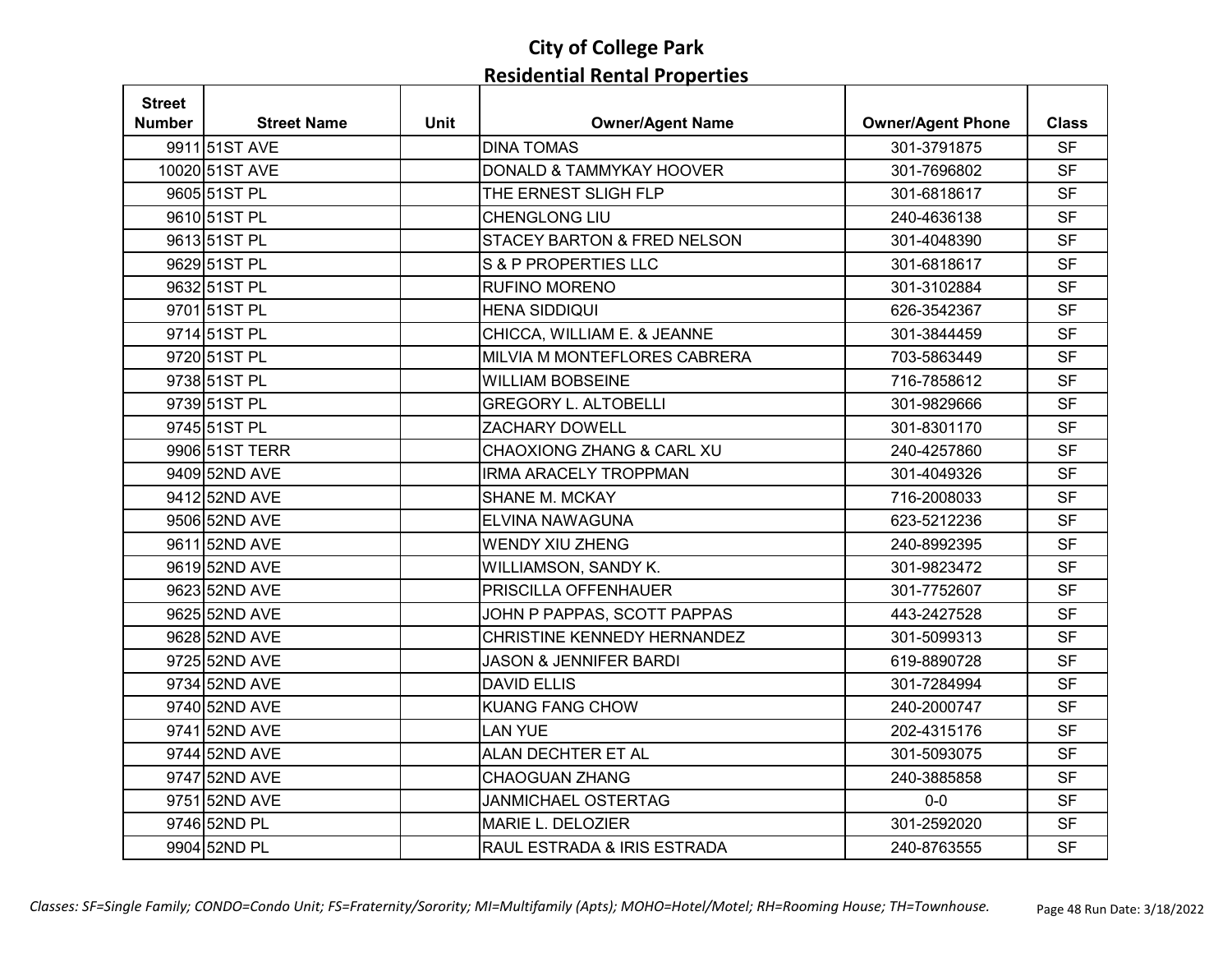| <b>Street</b> |                    |             |                                        |                          |              |
|---------------|--------------------|-------------|----------------------------------------|--------------------------|--------------|
| <b>Number</b> | <b>Street Name</b> | <b>Unit</b> | <b>Owner/Agent Name</b>                | <b>Owner/Agent Phone</b> | <b>Class</b> |
|               | 9911 51ST AVE      |             | <b>DINA TOMAS</b>                      | 301-3791875              | <b>SF</b>    |
|               | 10020 51ST AVE     |             | DONALD & TAMMYKAY HOOVER               | 301-7696802              | <b>SF</b>    |
|               | 9605 51ST PL       |             | THE ERNEST SLIGH FLP                   | 301-6818617              | <b>SF</b>    |
|               | 9610 51ST PL       |             | <b>CHENGLONG LIU</b>                   | 240-4636138              | <b>SF</b>    |
|               | 9613 51ST PL       |             | <b>STACEY BARTON &amp; FRED NELSON</b> | 301-4048390              | <b>SF</b>    |
|               | 9629 51ST PL       |             | <b>S &amp; P PROPERTIES LLC</b>        | 301-6818617              | <b>SF</b>    |
|               | 9632 51ST PL       |             | <b>RUFINO MORENO</b>                   | 301-3102884              | <b>SF</b>    |
|               | 9701 51ST PL       |             | <b>HENA SIDDIQUI</b>                   | 626-3542367              | <b>SF</b>    |
|               | 9714 51ST PL       |             | CHICCA, WILLIAM E. & JEANNE            | 301-3844459              | <b>SF</b>    |
|               | 9720 51ST PL       |             | MILVIA M MONTEFLORES CABRERA           | 703-5863449              | <b>SF</b>    |
|               | 9738 51ST PL       |             | <b>WILLIAM BOBSEINE</b>                | 716-7858612              | <b>SF</b>    |
|               | 9739 51ST PL       |             | <b>GREGORY L. ALTOBELLI</b>            | 301-9829666              | <b>SF</b>    |
|               | 9745 51ST PL       |             | <b>ZACHARY DOWELL</b>                  | 301-8301170              | <b>SF</b>    |
|               | 9906 51ST TERR     |             | <b>CHAOXIONG ZHANG &amp; CARL XU</b>   | 240-4257860              | <b>SF</b>    |
|               | 9409 52ND AVE      |             | <b>IRMA ARACELY TROPPMAN</b>           | 301-4049326              | <b>SF</b>    |
|               | 9412 52ND AVE      |             | <b>SHANE M. MCKAY</b>                  | 716-2008033              | <b>SF</b>    |
|               | 9506 52ND AVE      |             | ELVINA NAWAGUNA                        | 623-5212236              | <b>SF</b>    |
|               | 9611 52ND AVE      |             | <b>WENDY XIU ZHENG</b>                 | 240-8992395              | <b>SF</b>    |
|               | 9619 52ND AVE      |             | WILLIAMSON, SANDY K.                   | 301-9823472              | <b>SF</b>    |
|               | 9623 52ND AVE      |             | PRISCILLA OFFENHAUER                   | 301-7752607              | <b>SF</b>    |
|               | 9625 52ND AVE      |             | JOHN P PAPPAS, SCOTT PAPPAS            | 443-2427528              | <b>SF</b>    |
|               | 9628 52ND AVE      |             | CHRISTINE KENNEDY HERNANDEZ            | 301-5099313              | <b>SF</b>    |
|               | 9725 52ND AVE      |             | <b>JASON &amp; JENNIFER BARDI</b>      | 619-8890728              | <b>SF</b>    |
|               | 9734 52ND AVE      |             | <b>DAVID ELLIS</b>                     | 301-7284994              | <b>SF</b>    |
|               | 9740 52ND AVE      |             | <b>KUANG FANG CHOW</b>                 | 240-2000747              | <b>SF</b>    |
|               | 9741 52ND AVE      |             | <b>LAN YUE</b>                         | 202-4315176              | <b>SF</b>    |
|               | 9744 52ND AVE      |             | ALAN DECHTER ET AL                     | 301-5093075              | <b>SF</b>    |
|               | 9747 52ND AVE      |             | <b>CHAOGUAN ZHANG</b>                  | 240-3885858              | <b>SF</b>    |
|               | 9751 52ND AVE      |             | <b>JANMICHAEL OSTERTAG</b>             | $0-0$                    | <b>SF</b>    |
|               | 9746 52ND PL       |             | MARIE L. DELOZIER                      | 301-2592020              | <b>SF</b>    |
|               | 9904 52ND PL       |             | RAUL ESTRADA & IRIS ESTRADA            | 240-8763555              | <b>SF</b>    |